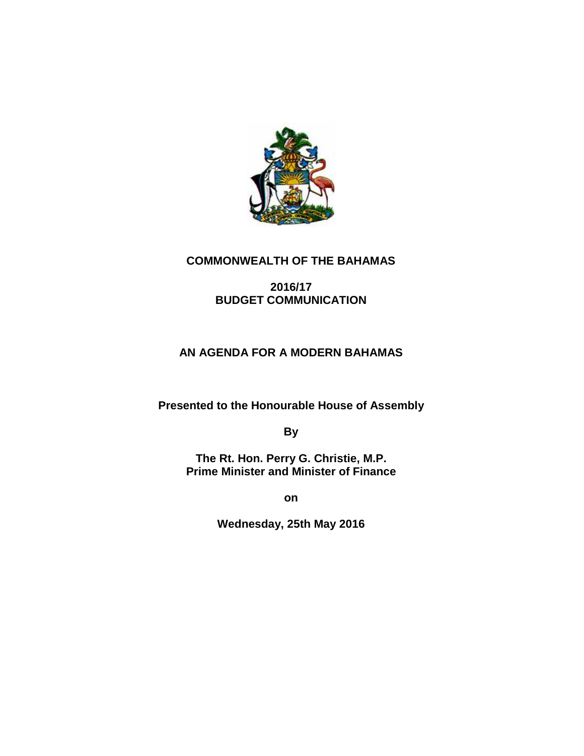

# **COMMONWEALTH OF THE BAHAMAS**

# **2016/17 BUDGET COMMUNICATION**

# **AN AGENDA FOR A MODERN BAHAMAS**

**Presented to the Honourable House of Assembly**

**By**

**The Rt. Hon. Perry G. Christie, M.P. Prime Minister and Minister of Finance**

**on**

**Wednesday, 25th May 2016**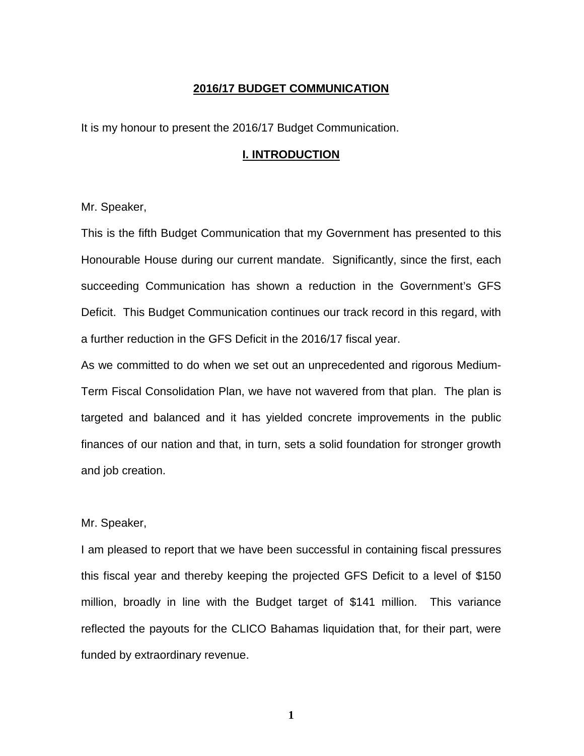### **2016/17 BUDGET COMMUNICATION**

It is my honour to present the 2016/17 Budget Communication.

#### **I. INTRODUCTION**

Mr. Speaker,

This is the fifth Budget Communication that my Government has presented to this Honourable House during our current mandate. Significantly, since the first, each succeeding Communication has shown a reduction in the Government's GFS Deficit. This Budget Communication continues our track record in this regard, with a further reduction in the GFS Deficit in the 2016/17 fiscal year.

As we committed to do when we set out an unprecedented and rigorous Medium-Term Fiscal Consolidation Plan, we have not wavered from that plan. The plan is targeted and balanced and it has yielded concrete improvements in the public finances of our nation and that, in turn, sets a solid foundation for stronger growth and job creation.

Mr. Speaker,

I am pleased to report that we have been successful in containing fiscal pressures this fiscal year and thereby keeping the projected GFS Deficit to a level of \$150 million, broadly in line with the Budget target of \$141 million. This variance reflected the payouts for the CLICO Bahamas liquidation that, for their part, were funded by extraordinary revenue.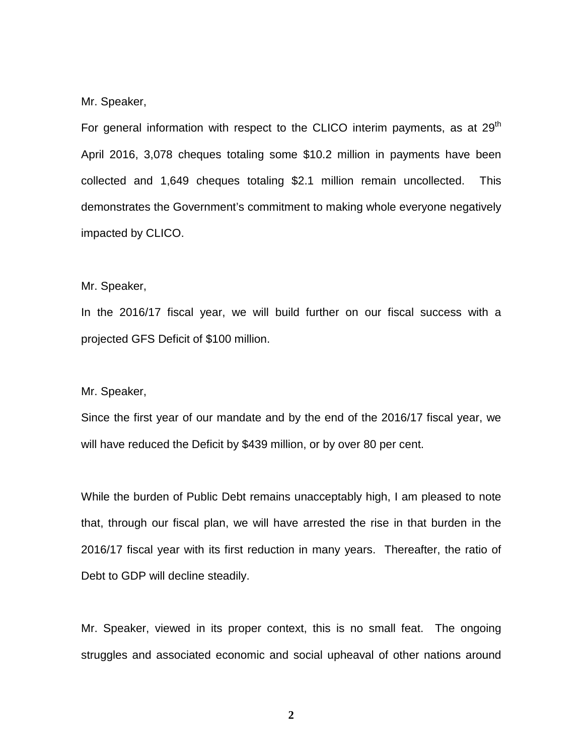#### Mr. Speaker,

For general information with respect to the CLICO interim payments, as at  $29<sup>th</sup>$ April 2016, 3,078 cheques totaling some \$10.2 million in payments have been collected and 1,649 cheques totaling \$2.1 million remain uncollected. This demonstrates the Government's commitment to making whole everyone negatively impacted by CLICO.

### Mr. Speaker,

In the 2016/17 fiscal year, we will build further on our fiscal success with a projected GFS Deficit of \$100 million.

#### Mr. Speaker,

Since the first year of our mandate and by the end of the 2016/17 fiscal year, we will have reduced the Deficit by \$439 million, or by over 80 per cent.

While the burden of Public Debt remains unacceptably high, I am pleased to note that, through our fiscal plan, we will have arrested the rise in that burden in the 2016/17 fiscal year with its first reduction in many years. Thereafter, the ratio of Debt to GDP will decline steadily.

Mr. Speaker, viewed in its proper context, this is no small feat. The ongoing struggles and associated economic and social upheaval of other nations around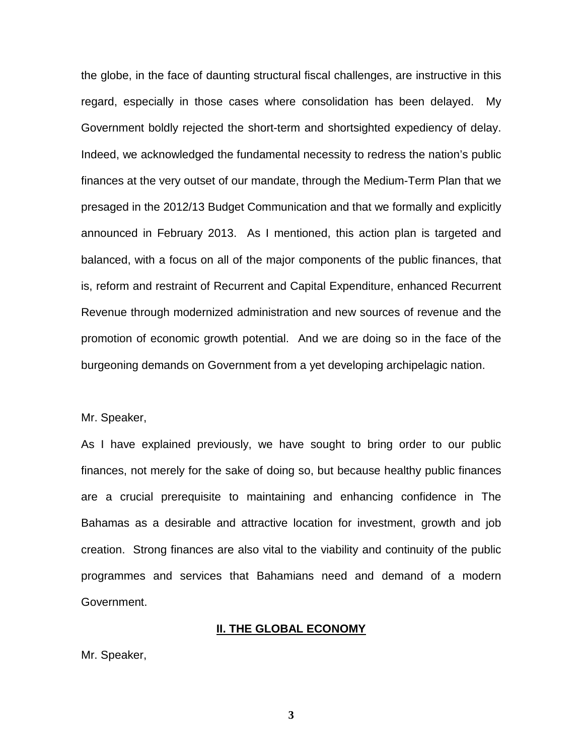the globe, in the face of daunting structural fiscal challenges, are instructive in this regard, especially in those cases where consolidation has been delayed. My Government boldly rejected the short-term and shortsighted expediency of delay. Indeed, we acknowledged the fundamental necessity to redress the nation's public finances at the very outset of our mandate, through the Medium-Term Plan that we presaged in the 2012/13 Budget Communication and that we formally and explicitly announced in February 2013. As I mentioned, this action plan is targeted and balanced, with a focus on all of the major components of the public finances, that is, reform and restraint of Recurrent and Capital Expenditure, enhanced Recurrent Revenue through modernized administration and new sources of revenue and the promotion of economic growth potential. And we are doing so in the face of the burgeoning demands on Government from a yet developing archipelagic nation.

Mr. Speaker,

As I have explained previously, we have sought to bring order to our public finances, not merely for the sake of doing so, but because healthy public finances are a crucial prerequisite to maintaining and enhancing confidence in The Bahamas as a desirable and attractive location for investment, growth and job creation. Strong finances are also vital to the viability and continuity of the public programmes and services that Bahamians need and demand of a modern Government.

### **II. THE GLOBAL ECONOMY**

Mr. Speaker,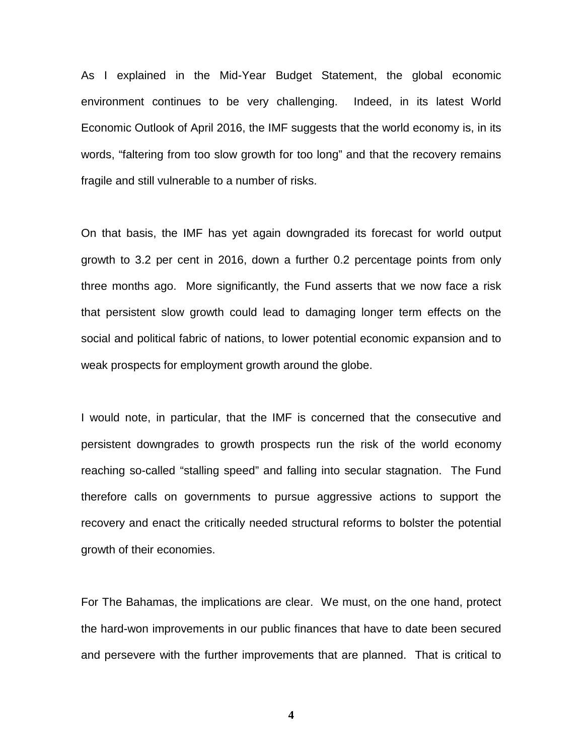As I explained in the Mid-Year Budget Statement, the global economic environment continues to be very challenging. Indeed, in its latest World Economic Outlook of April 2016, the IMF suggests that the world economy is, in its words, "faltering from too slow growth for too long" and that the recovery remains fragile and still vulnerable to a number of risks.

On that basis, the IMF has yet again downgraded its forecast for world output growth to 3.2 per cent in 2016, down a further 0.2 percentage points from only three months ago. More significantly, the Fund asserts that we now face a risk that persistent slow growth could lead to damaging longer term effects on the social and political fabric of nations, to lower potential economic expansion and to weak prospects for employment growth around the globe.

I would note, in particular, that the IMF is concerned that the consecutive and persistent downgrades to growth prospects run the risk of the world economy reaching so-called "stalling speed" and falling into secular stagnation. The Fund therefore calls on governments to pursue aggressive actions to support the recovery and enact the critically needed structural reforms to bolster the potential growth of their economies.

For The Bahamas, the implications are clear. We must, on the one hand, protect the hard-won improvements in our public finances that have to date been secured and persevere with the further improvements that are planned. That is critical to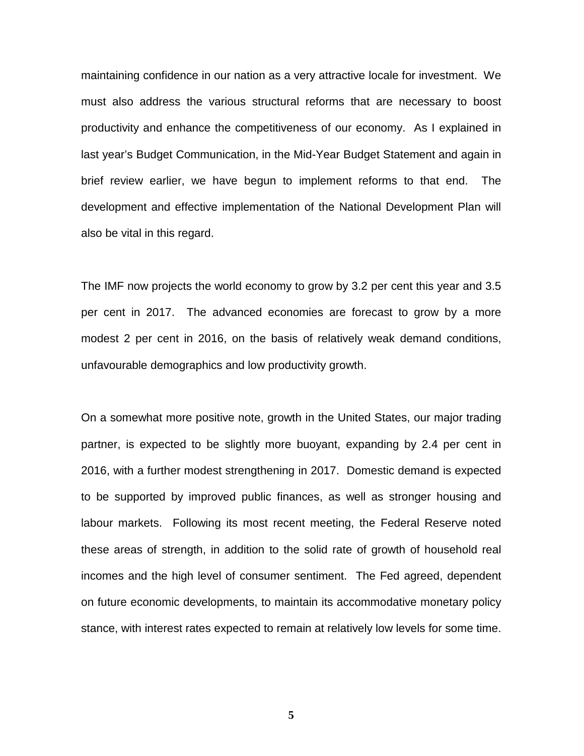maintaining confidence in our nation as a very attractive locale for investment. We must also address the various structural reforms that are necessary to boost productivity and enhance the competitiveness of our economy. As I explained in last year's Budget Communication, in the Mid-Year Budget Statement and again in brief review earlier, we have begun to implement reforms to that end. The development and effective implementation of the National Development Plan will also be vital in this regard.

The IMF now projects the world economy to grow by 3.2 per cent this year and 3.5 per cent in 2017. The advanced economies are forecast to grow by a more modest 2 per cent in 2016, on the basis of relatively weak demand conditions, unfavourable demographics and low productivity growth.

On a somewhat more positive note, growth in the United States, our major trading partner, is expected to be slightly more buoyant, expanding by 2.4 per cent in 2016, with a further modest strengthening in 2017. Domestic demand is expected to be supported by improved public finances, as well as stronger housing and labour markets. Following its most recent meeting, the Federal Reserve noted these areas of strength, in addition to the solid rate of growth of household real incomes and the high level of consumer sentiment. The Fed agreed, dependent on future economic developments, to maintain its accommodative monetary policy stance, with interest rates expected to remain at relatively low levels for some time.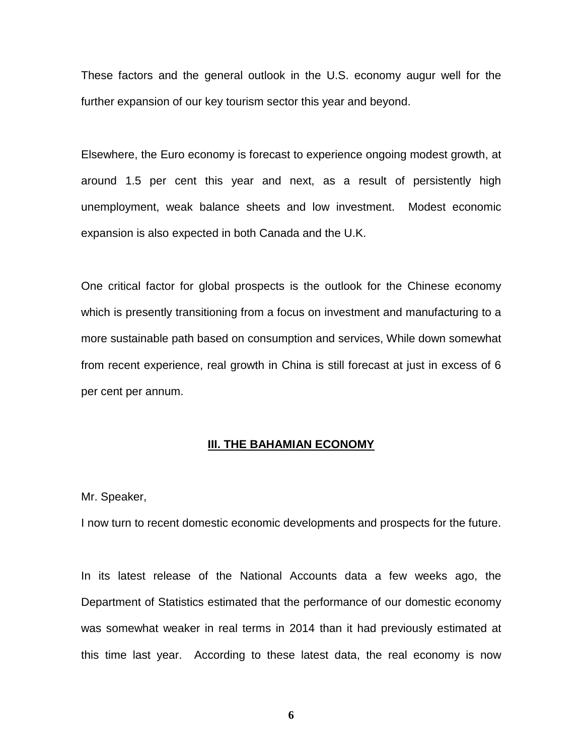These factors and the general outlook in the U.S. economy augur well for the further expansion of our key tourism sector this year and beyond.

Elsewhere, the Euro economy is forecast to experience ongoing modest growth, at around 1.5 per cent this year and next, as a result of persistently high unemployment, weak balance sheets and low investment. Modest economic expansion is also expected in both Canada and the U.K.

One critical factor for global prospects is the outlook for the Chinese economy which is presently transitioning from a focus on investment and manufacturing to a more sustainable path based on consumption and services, While down somewhat from recent experience, real growth in China is still forecast at just in excess of 6 per cent per annum.

### **III. THE BAHAMIAN ECONOMY**

#### Mr. Speaker,

I now turn to recent domestic economic developments and prospects for the future.

In its latest release of the National Accounts data a few weeks ago, the Department of Statistics estimated that the performance of our domestic economy was somewhat weaker in real terms in 2014 than it had previously estimated at this time last year. According to these latest data, the real economy is now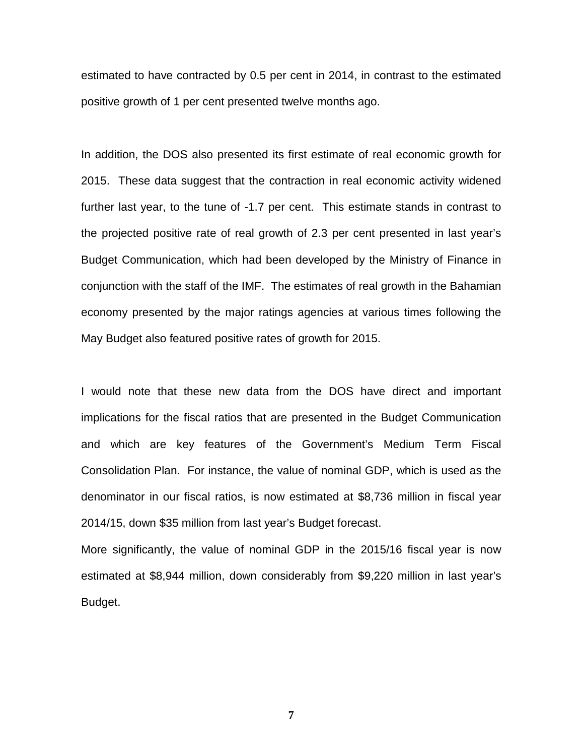estimated to have contracted by 0.5 per cent in 2014, in contrast to the estimated positive growth of 1 per cent presented twelve months ago.

In addition, the DOS also presented its first estimate of real economic growth for 2015. These data suggest that the contraction in real economic activity widened further last year, to the tune of -1.7 per cent. This estimate stands in contrast to the projected positive rate of real growth of 2.3 per cent presented in last year's Budget Communication, which had been developed by the Ministry of Finance in conjunction with the staff of the IMF. The estimates of real growth in the Bahamian economy presented by the major ratings agencies at various times following the May Budget also featured positive rates of growth for 2015.

I would note that these new data from the DOS have direct and important implications for the fiscal ratios that are presented in the Budget Communication and which are key features of the Government's Medium Term Fiscal Consolidation Plan. For instance, the value of nominal GDP, which is used as the denominator in our fiscal ratios, is now estimated at \$8,736 million in fiscal year 2014/15, down \$35 million from last year's Budget forecast.

More significantly, the value of nominal GDP in the 2015/16 fiscal year is now estimated at \$8,944 million, down considerably from \$9,220 million in last year's Budget.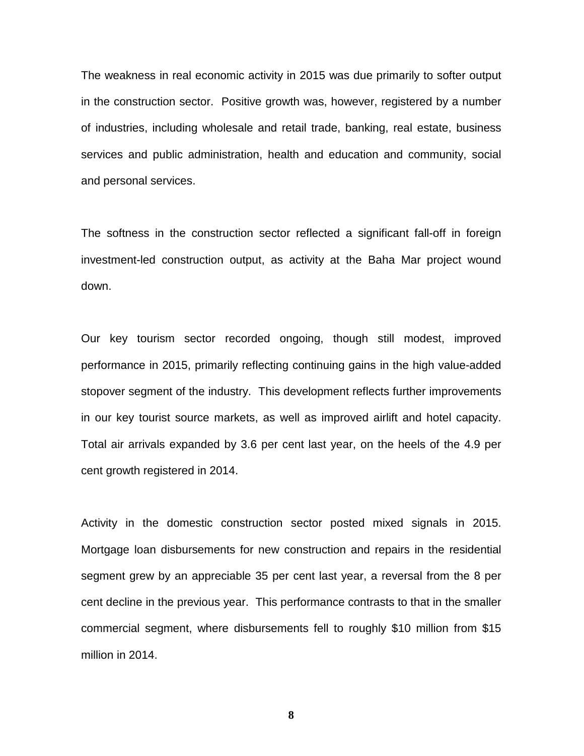The weakness in real economic activity in 2015 was due primarily to softer output in the construction sector. Positive growth was, however, registered by a number of industries, including wholesale and retail trade, banking, real estate, business services and public administration, health and education and community, social and personal services.

The softness in the construction sector reflected a significant fall-off in foreign investment-led construction output, as activity at the Baha Mar project wound down.

Our key tourism sector recorded ongoing, though still modest, improved performance in 2015, primarily reflecting continuing gains in the high value-added stopover segment of the industry. This development reflects further improvements in our key tourist source markets, as well as improved airlift and hotel capacity. Total air arrivals expanded by 3.6 per cent last year, on the heels of the 4.9 per cent growth registered in 2014.

Activity in the domestic construction sector posted mixed signals in 2015. Mortgage loan disbursements for new construction and repairs in the residential segment grew by an appreciable 35 per cent last year, a reversal from the 8 per cent decline in the previous year. This performance contrasts to that in the smaller commercial segment, where disbursements fell to roughly \$10 million from \$15 million in 2014.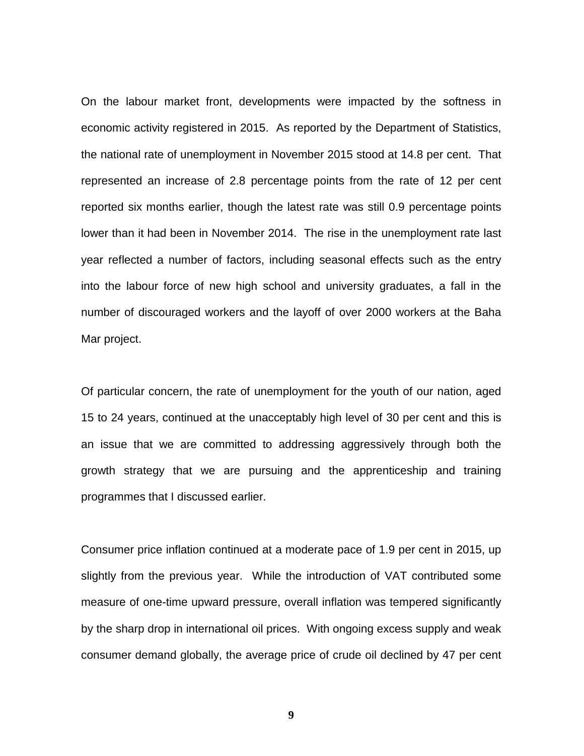On the labour market front, developments were impacted by the softness in economic activity registered in 2015. As reported by the Department of Statistics, the national rate of unemployment in November 2015 stood at 14.8 per cent. That represented an increase of 2.8 percentage points from the rate of 12 per cent reported six months earlier, though the latest rate was still 0.9 percentage points lower than it had been in November 2014. The rise in the unemployment rate last year reflected a number of factors, including seasonal effects such as the entry into the labour force of new high school and university graduates, a fall in the number of discouraged workers and the layoff of over 2000 workers at the Baha Mar project.

Of particular concern, the rate of unemployment for the youth of our nation, aged 15 to 24 years, continued at the unacceptably high level of 30 per cent and this is an issue that we are committed to addressing aggressively through both the growth strategy that we are pursuing and the apprenticeship and training programmes that I discussed earlier.

Consumer price inflation continued at a moderate pace of 1.9 per cent in 2015, up slightly from the previous year. While the introduction of VAT contributed some measure of one-time upward pressure, overall inflation was tempered significantly by the sharp drop in international oil prices. With ongoing excess supply and weak consumer demand globally, the average price of crude oil declined by 47 per cent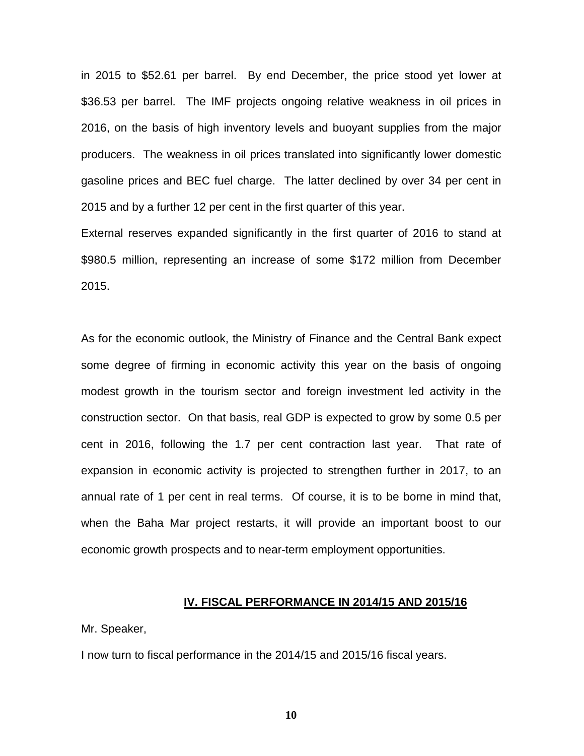in 2015 to \$52.61 per barrel. By end December, the price stood yet lower at \$36.53 per barrel. The IMF projects ongoing relative weakness in oil prices in 2016, on the basis of high inventory levels and buoyant supplies from the major producers. The weakness in oil prices translated into significantly lower domestic gasoline prices and BEC fuel charge. The latter declined by over 34 per cent in 2015 and by a further 12 per cent in the first quarter of this year.

External reserves expanded significantly in the first quarter of 2016 to stand at \$980.5 million, representing an increase of some \$172 million from December 2015.

As for the economic outlook, the Ministry of Finance and the Central Bank expect some degree of firming in economic activity this year on the basis of ongoing modest growth in the tourism sector and foreign investment led activity in the construction sector. On that basis, real GDP is expected to grow by some 0.5 per cent in 2016, following the 1.7 per cent contraction last year. That rate of expansion in economic activity is projected to strengthen further in 2017, to an annual rate of 1 per cent in real terms. Of course, it is to be borne in mind that, when the Baha Mar project restarts, it will provide an important boost to our economic growth prospects and to near-term employment opportunities.

#### **IV. FISCAL PERFORMANCE IN 2014/15 AND 2015/16**

Mr. Speaker,

I now turn to fiscal performance in the 2014/15 and 2015/16 fiscal years.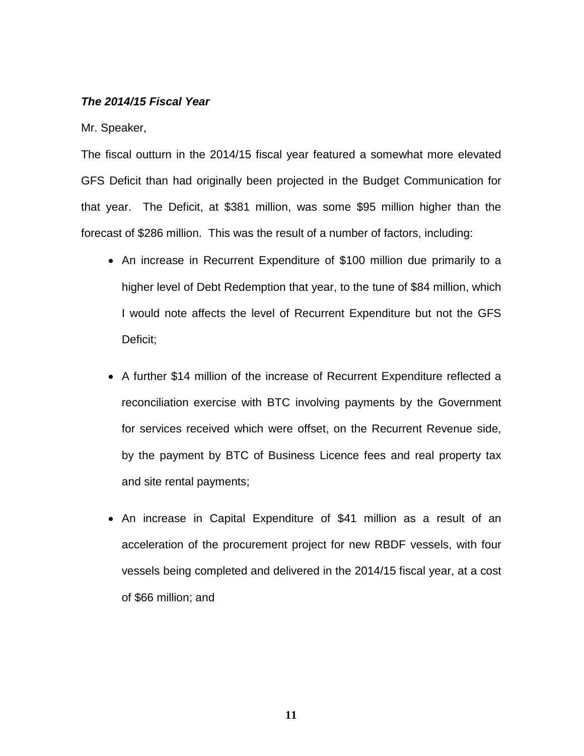### *The 2014/15 Fiscal Year*

Mr. Speaker,

The fiscal outturn in the 2014/15 fiscal year featured a somewhat more elevated GFS Deficit than had originally been projected in the Budget Communication for that year. The Deficit, at \$381 million, was some \$95 million higher than the forecast of \$286 million. This was the result of a number of factors, including:

- An increase in Recurrent Expenditure of \$100 million due primarily to a higher level of Debt Redemption that year, to the tune of \$84 million, which I would note affects the level of Recurrent Expenditure but not the GFS Deficit;
- A further \$14 million of the increase of Recurrent Expenditure reflected a reconciliation exercise with BTC involving payments by the Government for services received which were offset, on the Recurrent Revenue side, by the payment by BTC of Business Licence fees and real property tax and site rental payments;
- An increase in Capital Expenditure of \$41 million as a result of an acceleration of the procurement project for new RBDF vessels, with four vessels being completed and delivered in the 2014/15 fiscal year, at a cost of \$66 million; and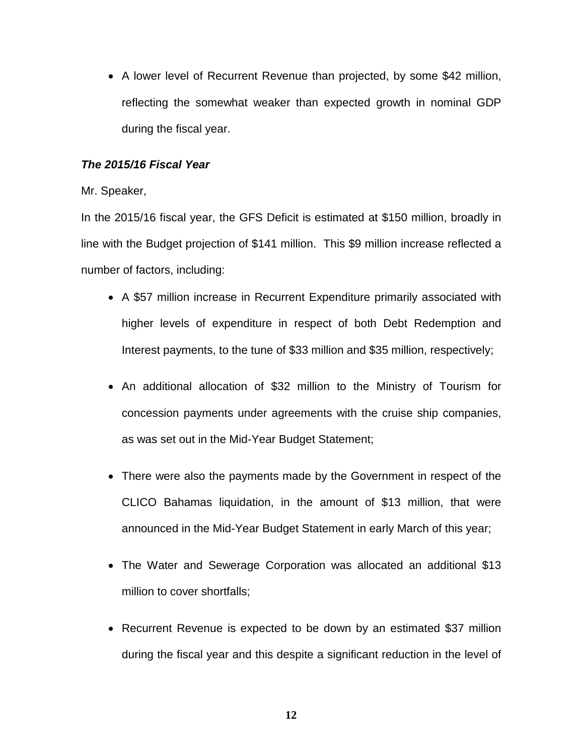• A lower level of Recurrent Revenue than projected, by some \$42 million, reflecting the somewhat weaker than expected growth in nominal GDP during the fiscal year.

# *The 2015/16 Fiscal Year*

Mr. Speaker,

In the 2015/16 fiscal year, the GFS Deficit is estimated at \$150 million, broadly in line with the Budget projection of \$141 million. This \$9 million increase reflected a number of factors, including:

- A \$57 million increase in Recurrent Expenditure primarily associated with higher levels of expenditure in respect of both Debt Redemption and Interest payments, to the tune of \$33 million and \$35 million, respectively;
- An additional allocation of \$32 million to the Ministry of Tourism for concession payments under agreements with the cruise ship companies, as was set out in the Mid-Year Budget Statement;
- There were also the payments made by the Government in respect of the CLICO Bahamas liquidation, in the amount of \$13 million, that were announced in the Mid-Year Budget Statement in early March of this year;
- The Water and Sewerage Corporation was allocated an additional \$13 million to cover shortfalls;
- Recurrent Revenue is expected to be down by an estimated \$37 million during the fiscal year and this despite a significant reduction in the level of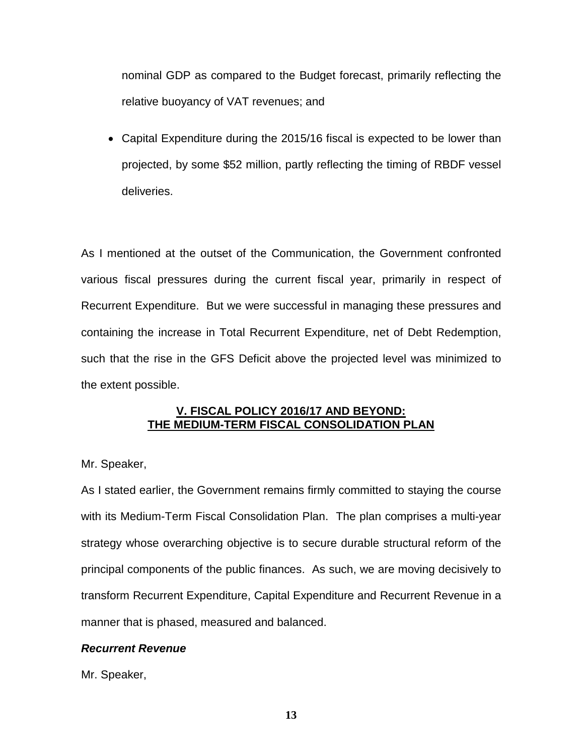nominal GDP as compared to the Budget forecast, primarily reflecting the relative buoyancy of VAT revenues; and

• Capital Expenditure during the 2015/16 fiscal is expected to be lower than projected, by some \$52 million, partly reflecting the timing of RBDF vessel deliveries.

As I mentioned at the outset of the Communication, the Government confronted various fiscal pressures during the current fiscal year, primarily in respect of Recurrent Expenditure. But we were successful in managing these pressures and containing the increase in Total Recurrent Expenditure, net of Debt Redemption, such that the rise in the GFS Deficit above the projected level was minimized to the extent possible.

# **V. FISCAL POLICY 2016/17 AND BEYOND: THE MEDIUM-TERM FISCAL CONSOLIDATION PLAN**

# Mr. Speaker,

As I stated earlier, the Government remains firmly committed to staying the course with its Medium-Term Fiscal Consolidation Plan. The plan comprises a multi-year strategy whose overarching objective is to secure durable structural reform of the principal components of the public finances. As such, we are moving decisively to transform Recurrent Expenditure, Capital Expenditure and Recurrent Revenue in a manner that is phased, measured and balanced.

# *Recurrent Revenue*

Mr. Speaker,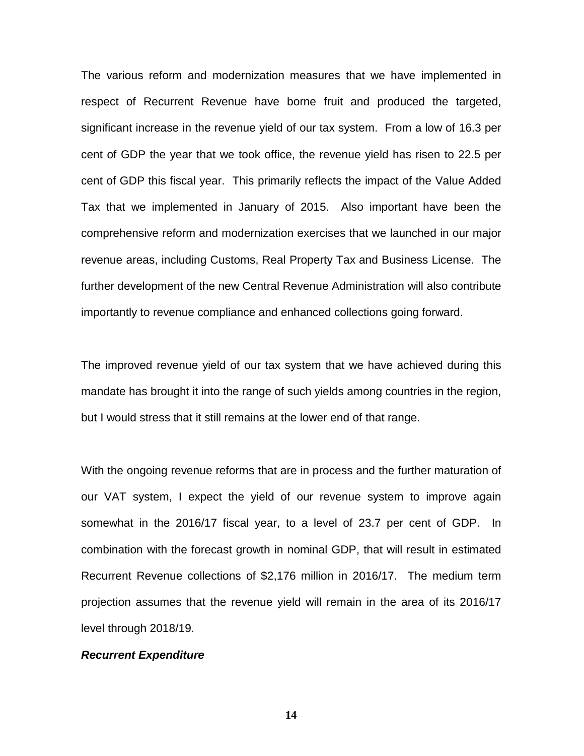The various reform and modernization measures that we have implemented in respect of Recurrent Revenue have borne fruit and produced the targeted, significant increase in the revenue yield of our tax system. From a low of 16.3 per cent of GDP the year that we took office, the revenue yield has risen to 22.5 per cent of GDP this fiscal year. This primarily reflects the impact of the Value Added Tax that we implemented in January of 2015. Also important have been the comprehensive reform and modernization exercises that we launched in our major revenue areas, including Customs, Real Property Tax and Business License. The further development of the new Central Revenue Administration will also contribute importantly to revenue compliance and enhanced collections going forward.

The improved revenue yield of our tax system that we have achieved during this mandate has brought it into the range of such yields among countries in the region, but I would stress that it still remains at the lower end of that range.

With the ongoing revenue reforms that are in process and the further maturation of our VAT system, I expect the yield of our revenue system to improve again somewhat in the 2016/17 fiscal year, to a level of 23.7 per cent of GDP. In combination with the forecast growth in nominal GDP, that will result in estimated Recurrent Revenue collections of \$2,176 million in 2016/17. The medium term projection assumes that the revenue yield will remain in the area of its 2016/17 level through 2018/19.

#### *Recurrent Expenditure*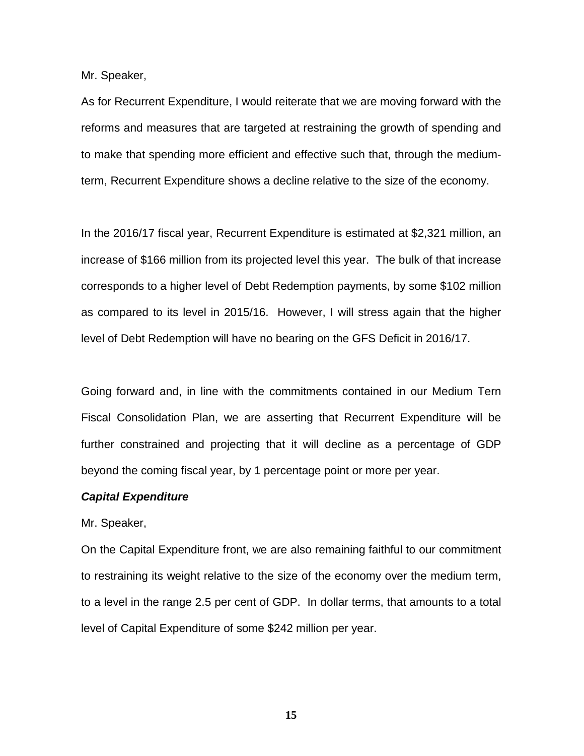Mr. Speaker,

As for Recurrent Expenditure, I would reiterate that we are moving forward with the reforms and measures that are targeted at restraining the growth of spending and to make that spending more efficient and effective such that, through the mediumterm, Recurrent Expenditure shows a decline relative to the size of the economy.

In the 2016/17 fiscal year, Recurrent Expenditure is estimated at \$2,321 million, an increase of \$166 million from its projected level this year. The bulk of that increase corresponds to a higher level of Debt Redemption payments, by some \$102 million as compared to its level in 2015/16. However, I will stress again that the higher level of Debt Redemption will have no bearing on the GFS Deficit in 2016/17.

Going forward and, in line with the commitments contained in our Medium Tern Fiscal Consolidation Plan, we are asserting that Recurrent Expenditure will be further constrained and projecting that it will decline as a percentage of GDP beyond the coming fiscal year, by 1 percentage point or more per year.

#### *Capital Expenditure*

Mr. Speaker,

On the Capital Expenditure front, we are also remaining faithful to our commitment to restraining its weight relative to the size of the economy over the medium term, to a level in the range 2.5 per cent of GDP. In dollar terms, that amounts to a total level of Capital Expenditure of some \$242 million per year.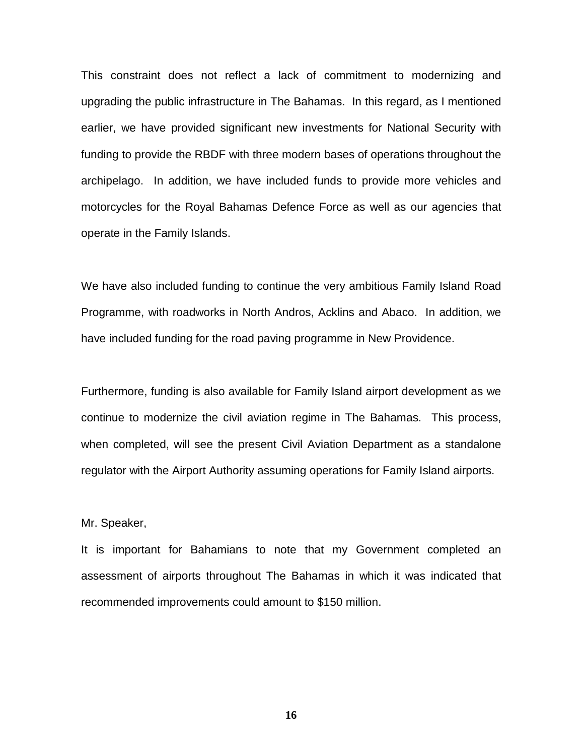This constraint does not reflect a lack of commitment to modernizing and upgrading the public infrastructure in The Bahamas. In this regard, as I mentioned earlier, we have provided significant new investments for National Security with funding to provide the RBDF with three modern bases of operations throughout the archipelago. In addition, we have included funds to provide more vehicles and motorcycles for the Royal Bahamas Defence Force as well as our agencies that operate in the Family Islands.

We have also included funding to continue the very ambitious Family Island Road Programme, with roadworks in North Andros, Acklins and Abaco. In addition, we have included funding for the road paving programme in New Providence.

Furthermore, funding is also available for Family Island airport development as we continue to modernize the civil aviation regime in The Bahamas. This process, when completed, will see the present Civil Aviation Department as a standalone regulator with the Airport Authority assuming operations for Family Island airports.

Mr. Speaker,

It is important for Bahamians to note that my Government completed an assessment of airports throughout The Bahamas in which it was indicated that recommended improvements could amount to \$150 million.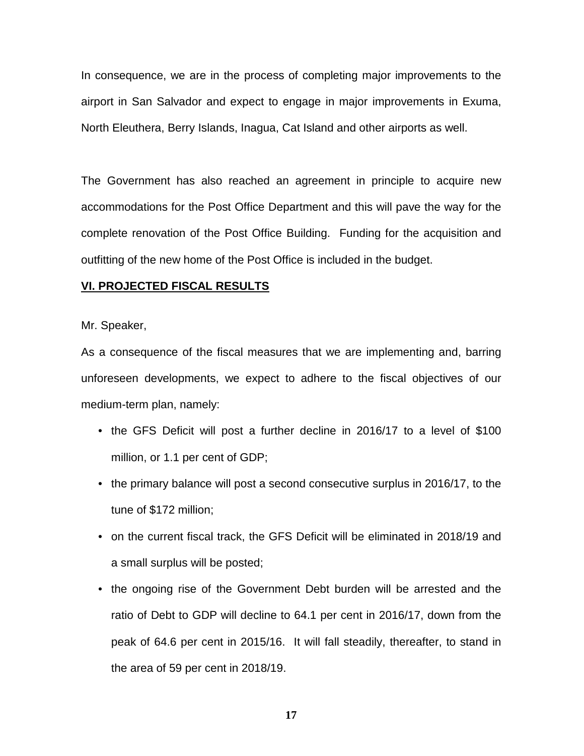In consequence, we are in the process of completing major improvements to the airport in San Salvador and expect to engage in major improvements in Exuma, North Eleuthera, Berry Islands, Inagua, Cat Island and other airports as well.

The Government has also reached an agreement in principle to acquire new accommodations for the Post Office Department and this will pave the way for the complete renovation of the Post Office Building. Funding for the acquisition and outfitting of the new home of the Post Office is included in the budget.

### **VI. PROJECTED FISCAL RESULTS**

Mr. Speaker,

As a consequence of the fiscal measures that we are implementing and, barring unforeseen developments, we expect to adhere to the fiscal objectives of our medium-term plan, namely:

- the GFS Deficit will post a further decline in 2016/17 to a level of \$100 million, or 1.1 per cent of GDP;
- the primary balance will post a second consecutive surplus in 2016/17, to the tune of \$172 million;
- on the current fiscal track, the GFS Deficit will be eliminated in 2018/19 and a small surplus will be posted;
- the ongoing rise of the Government Debt burden will be arrested and the ratio of Debt to GDP will decline to 64.1 per cent in 2016/17, down from the peak of 64.6 per cent in 2015/16. It will fall steadily, thereafter, to stand in the area of 59 per cent in 2018/19.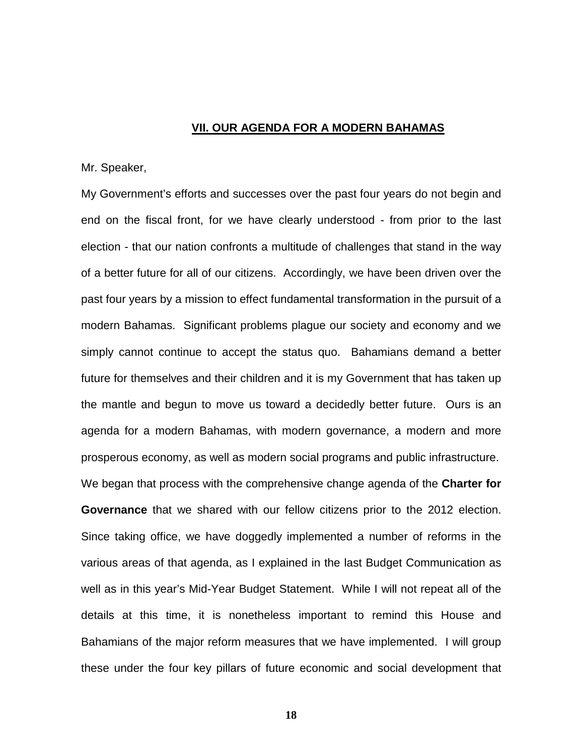### **VII. OUR AGENDA FOR A MODERN BAHAMAS**

### Mr. Speaker,

My Government's efforts and successes over the past four years do not begin and end on the fiscal front, for we have clearly understood - from prior to the last election - that our nation confronts a multitude of challenges that stand in the way of a better future for all of our citizens. Accordingly, we have been driven over the past four years by a mission to effect fundamental transformation in the pursuit of a modern Bahamas. Significant problems plague our society and economy and we simply cannot continue to accept the status quo. Bahamians demand a better future for themselves and their children and it is my Government that has taken up the mantle and begun to move us toward a decidedly better future. Ours is an agenda for a modern Bahamas, with modern governance, a modern and more prosperous economy, as well as modern social programs and public infrastructure. We began that process with the comprehensive change agenda of the **Charter for Governance** that we shared with our fellow citizens prior to the 2012 election.

Since taking office, we have doggedly implemented a number of reforms in the various areas of that agenda, as I explained in the last Budget Communication as well as in this year's Mid-Year Budget Statement. While I will not repeat all of the details at this time, it is nonetheless important to remind this House and Bahamians of the major reform measures that we have implemented. I will group these under the four key pillars of future economic and social development that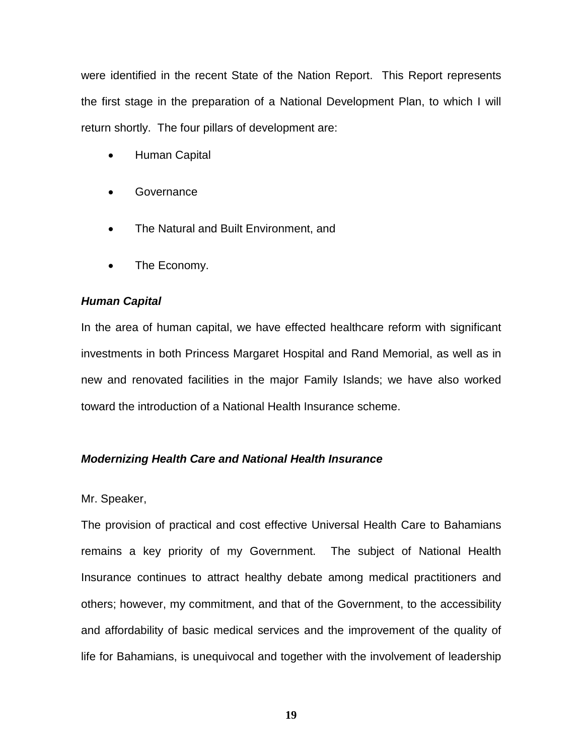were identified in the recent State of the Nation Report. This Report represents the first stage in the preparation of a National Development Plan, to which I will return shortly. The four pillars of development are:

- Human Capital
- Governance
- The Natural and Built Environment, and
- The Economy.

# *Human Capital*

In the area of human capital, we have effected healthcare reform with significant investments in both Princess Margaret Hospital and Rand Memorial, as well as in new and renovated facilities in the major Family Islands; we have also worked toward the introduction of a National Health Insurance scheme.

# *Modernizing Health Care and National Health Insurance*

### Mr. Speaker,

The provision of practical and cost effective Universal Health Care to Bahamians remains a key priority of my Government. The subject of National Health Insurance continues to attract healthy debate among medical practitioners and others; however, my commitment, and that of the Government, to the accessibility and affordability of basic medical services and the improvement of the quality of life for Bahamians, is unequivocal and together with the involvement of leadership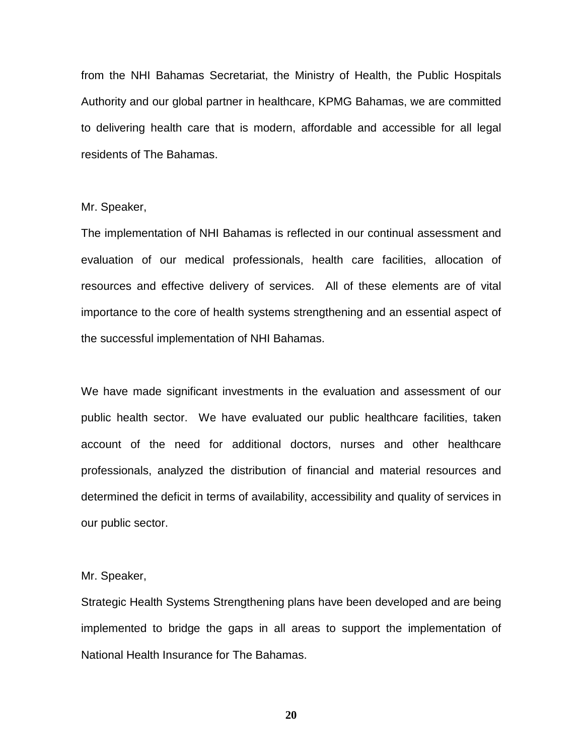from the NHI Bahamas Secretariat, the Ministry of Health, the Public Hospitals Authority and our global partner in healthcare, KPMG Bahamas, we are committed to delivering health care that is modern, affordable and accessible for all legal residents of The Bahamas.

Mr. Speaker,

The implementation of NHI Bahamas is reflected in our continual assessment and evaluation of our medical professionals, health care facilities, allocation of resources and effective delivery of services. All of these elements are of vital importance to the core of health systems strengthening and an essential aspect of the successful implementation of NHI Bahamas.

We have made significant investments in the evaluation and assessment of our public health sector. We have evaluated our public healthcare facilities, taken account of the need for additional doctors, nurses and other healthcare professionals, analyzed the distribution of financial and material resources and determined the deficit in terms of availability, accessibility and quality of services in our public sector.

Mr. Speaker,

Strategic Health Systems Strengthening plans have been developed and are being implemented to bridge the gaps in all areas to support the implementation of National Health Insurance for The Bahamas.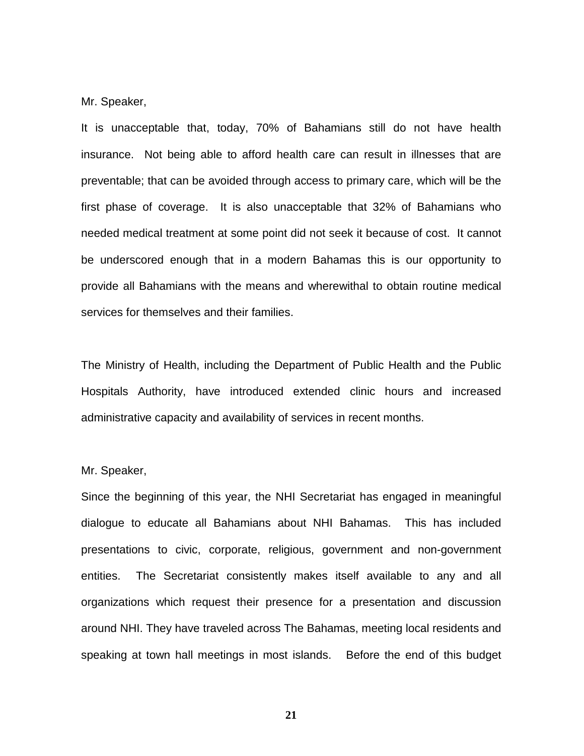#### Mr. Speaker,

It is unacceptable that, today, 70% of Bahamians still do not have health insurance. Not being able to afford health care can result in illnesses that are preventable; that can be avoided through access to primary care, which will be the first phase of coverage. It is also unacceptable that 32% of Bahamians who needed medical treatment at some point did not seek it because of cost. It cannot be underscored enough that in a modern Bahamas this is our opportunity to provide all Bahamians with the means and wherewithal to obtain routine medical services for themselves and their families.

The Ministry of Health, including the Department of Public Health and the Public Hospitals Authority, have introduced extended clinic hours and increased administrative capacity and availability of services in recent months.

#### Mr. Speaker,

Since the beginning of this year, the NHI Secretariat has engaged in meaningful dialogue to educate all Bahamians about NHI Bahamas. This has included presentations to civic, corporate, religious, government and non-government entities. The Secretariat consistently makes itself available to any and all organizations which request their presence for a presentation and discussion around NHI. They have traveled across The Bahamas, meeting local residents and speaking at town hall meetings in most islands. Before the end of this budget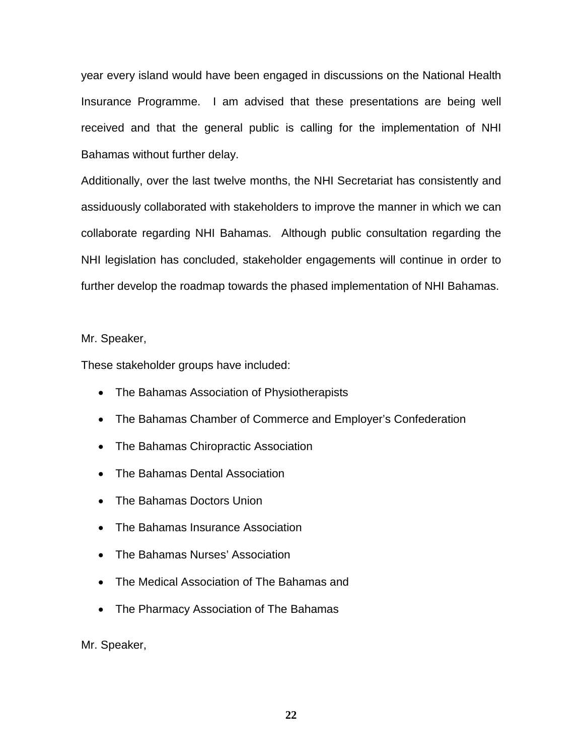year every island would have been engaged in discussions on the National Health Insurance Programme. I am advised that these presentations are being well received and that the general public is calling for the implementation of NHI Bahamas without further delay.

Additionally, over the last twelve months, the NHI Secretariat has consistently and assiduously collaborated with stakeholders to improve the manner in which we can collaborate regarding NHI Bahamas. Although public consultation regarding the NHI legislation has concluded, stakeholder engagements will continue in order to further develop the roadmap towards the phased implementation of NHI Bahamas.

Mr. Speaker,

These stakeholder groups have included:

- The Bahamas Association of Physiotherapists
- The Bahamas Chamber of Commerce and Employer's Confederation
- The Bahamas Chiropractic Association
- The Bahamas Dental Association
- The Bahamas Doctors Union
- The Bahamas Insurance Association
- The Bahamas Nurses' Association
- The Medical Association of The Bahamas and
- The Pharmacy Association of The Bahamas

Mr. Speaker,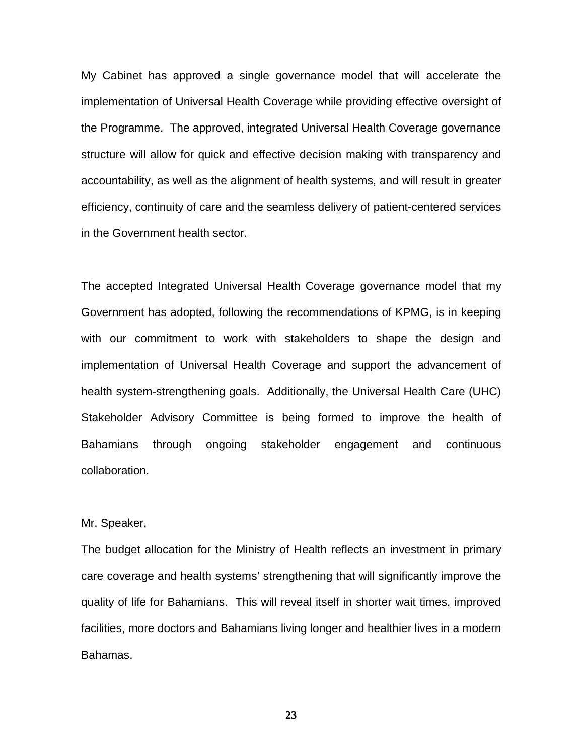My Cabinet has approved a single governance model that will accelerate the implementation of Universal Health Coverage while providing effective oversight of the Programme. The approved, integrated Universal Health Coverage governance structure will allow for quick and effective decision making with transparency and accountability, as well as the alignment of health systems, and will result in greater efficiency, continuity of care and the seamless delivery of patient-centered services in the Government health sector.

The accepted Integrated Universal Health Coverage governance model that my Government has adopted, following the recommendations of KPMG, is in keeping with our commitment to work with stakeholders to shape the design and implementation of Universal Health Coverage and support the advancement of health system-strengthening goals. Additionally, the Universal Health Care (UHC) Stakeholder Advisory Committee is being formed to improve the health of Bahamians through ongoing stakeholder engagement and continuous collaboration.

### Mr. Speaker,

The budget allocation for the Ministry of Health reflects an investment in primary care coverage and health systems' strengthening that will significantly improve the quality of life for Bahamians. This will reveal itself in shorter wait times, improved facilities, more doctors and Bahamians living longer and healthier lives in a modern Bahamas.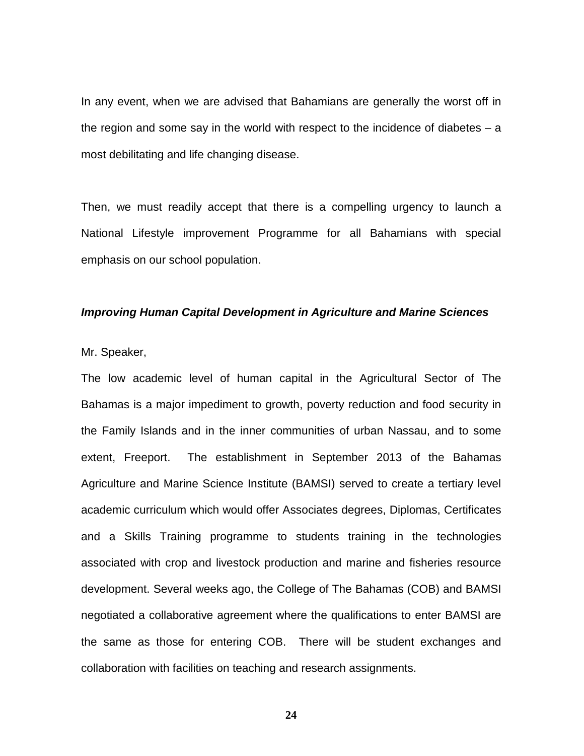In any event, when we are advised that Bahamians are generally the worst off in the region and some say in the world with respect to the incidence of diabetes  $-$  a most debilitating and life changing disease.

Then, we must readily accept that there is a compelling urgency to launch a National Lifestyle improvement Programme for all Bahamians with special emphasis on our school population.

#### *Improving Human Capital Development in Agriculture and Marine Sciences*

### Mr. Speaker,

The low academic level of human capital in the Agricultural Sector of The Bahamas is a major impediment to growth, poverty reduction and food security in the Family Islands and in the inner communities of urban Nassau, and to some extent, Freeport. The establishment in September 2013 of the Bahamas Agriculture and Marine Science Institute (BAMSI) served to create a tertiary level academic curriculum which would offer Associates degrees, Diplomas, Certificates and a Skills Training programme to students training in the technologies associated with crop and livestock production and marine and fisheries resource development. Several weeks ago, the College of The Bahamas (COB) and BAMSI negotiated a collaborative agreement where the qualifications to enter BAMSI are the same as those for entering COB. There will be student exchanges and collaboration with facilities on teaching and research assignments.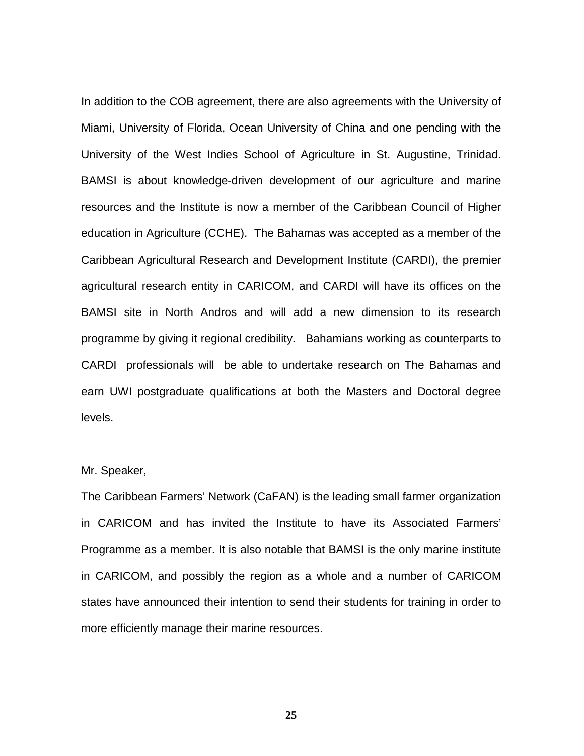In addition to the COB agreement, there are also agreements with the University of Miami, University of Florida, Ocean University of China and one pending with the University of the West Indies School of Agriculture in St. Augustine, Trinidad. BAMSI is about knowledge-driven development of our agriculture and marine resources and the Institute is now a member of the Caribbean Council of Higher education in Agriculture (CCHE). The Bahamas was accepted as a member of the Caribbean Agricultural Research and Development Institute (CARDI), the premier agricultural research entity in CARICOM, and CARDI will have its offices on the BAMSI site in North Andros and will add a new dimension to its research programme by giving it regional credibility. Bahamians working as counterparts to CARDI professionals will be able to undertake research on The Bahamas and earn UWI postgraduate qualifications at both the Masters and Doctoral degree levels.

#### Mr. Speaker,

The Caribbean Farmers' Network (CaFAN) is the leading small farmer organization in CARICOM and has invited the Institute to have its Associated Farmers' Programme as a member. It is also notable that BAMSI is the only marine institute in CARICOM, and possibly the region as a whole and a number of CARICOM states have announced their intention to send their students for training in order to more efficiently manage their marine resources.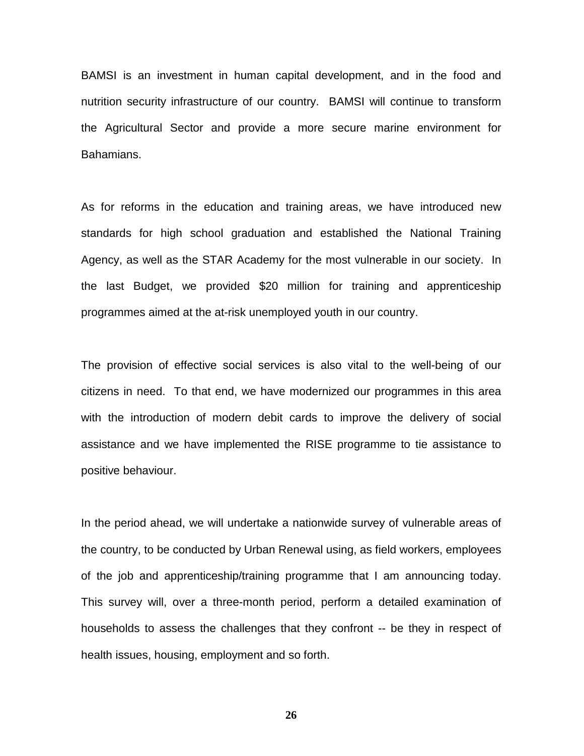BAMSI is an investment in human capital development, and in the food and nutrition security infrastructure of our country. BAMSI will continue to transform the Agricultural Sector and provide a more secure marine environment for Bahamians.

As for reforms in the education and training areas, we have introduced new standards for high school graduation and established the National Training Agency, as well as the STAR Academy for the most vulnerable in our society. In the last Budget, we provided \$20 million for training and apprenticeship programmes aimed at the at-risk unemployed youth in our country.

The provision of effective social services is also vital to the well-being of our citizens in need. To that end, we have modernized our programmes in this area with the introduction of modern debit cards to improve the delivery of social assistance and we have implemented the RISE programme to tie assistance to positive behaviour.

In the period ahead, we will undertake a nationwide survey of vulnerable areas of the country, to be conducted by Urban Renewal using, as field workers, employees of the job and apprenticeship/training programme that I am announcing today. This survey will, over a three-month period, perform a detailed examination of households to assess the challenges that they confront -- be they in respect of health issues, housing, employment and so forth.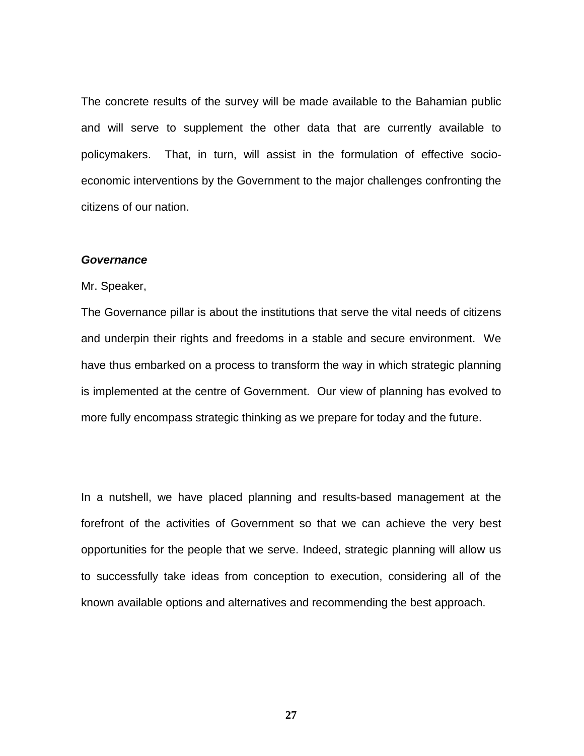The concrete results of the survey will be made available to the Bahamian public and will serve to supplement the other data that are currently available to policymakers. That, in turn, will assist in the formulation of effective socioeconomic interventions by the Government to the major challenges confronting the citizens of our nation.

#### *Governance*

Mr. Speaker,

The Governance pillar is about the institutions that serve the vital needs of citizens and underpin their rights and freedoms in a stable and secure environment. We have thus embarked on a process to transform the way in which strategic planning is implemented at the centre of Government. Our view of planning has evolved to more fully encompass strategic thinking as we prepare for today and the future.

In a nutshell, we have placed planning and results-based management at the forefront of the activities of Government so that we can achieve the very best opportunities for the people that we serve. Indeed, strategic planning will allow us to successfully take ideas from conception to execution, considering all of the known available options and alternatives and recommending the best approach.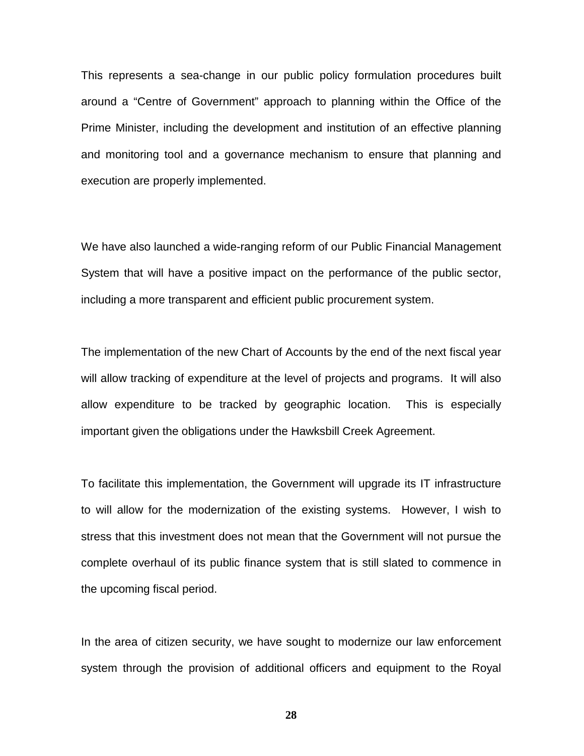This represents a sea-change in our public policy formulation procedures built around a "Centre of Government" approach to planning within the Office of the Prime Minister, including the development and institution of an effective planning and monitoring tool and a governance mechanism to ensure that planning and execution are properly implemented.

We have also launched a wide-ranging reform of our Public Financial Management System that will have a positive impact on the performance of the public sector, including a more transparent and efficient public procurement system.

The implementation of the new Chart of Accounts by the end of the next fiscal year will allow tracking of expenditure at the level of projects and programs. It will also allow expenditure to be tracked by geographic location. This is especially important given the obligations under the Hawksbill Creek Agreement.

To facilitate this implementation, the Government will upgrade its IT infrastructure to will allow for the modernization of the existing systems. However, I wish to stress that this investment does not mean that the Government will not pursue the complete overhaul of its public finance system that is still slated to commence in the upcoming fiscal period.

In the area of citizen security, we have sought to modernize our law enforcement system through the provision of additional officers and equipment to the Royal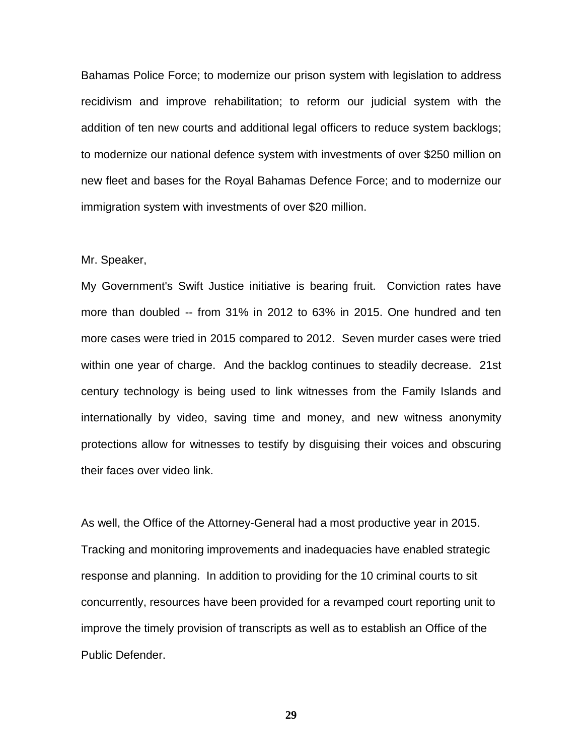Bahamas Police Force; to modernize our prison system with legislation to address recidivism and improve rehabilitation; to reform our judicial system with the addition of ten new courts and additional legal officers to reduce system backlogs; to modernize our national defence system with investments of over \$250 million on new fleet and bases for the Royal Bahamas Defence Force; and to modernize our immigration system with investments of over \$20 million.

#### Mr. Speaker,

My Government's Swift Justice initiative is bearing fruit. Conviction rates have more than doubled -- from 31% in 2012 to 63% in 2015. One hundred and ten more cases were tried in 2015 compared to 2012. Seven murder cases were tried within one year of charge. And the backlog continues to steadily decrease. 21st century technology is being used to link witnesses from the Family Islands and internationally by video, saving time and money, and new witness anonymity protections allow for witnesses to testify by disguising their voices and obscuring their faces over video link.

As well, the Office of the Attorney-General had a most productive year in 2015. Tracking and monitoring improvements and inadequacies have enabled strategic response and planning. In addition to providing for the 10 criminal courts to sit concurrently, resources have been provided for a revamped court reporting unit to improve the timely provision of transcripts as well as to establish an Office of the Public Defender.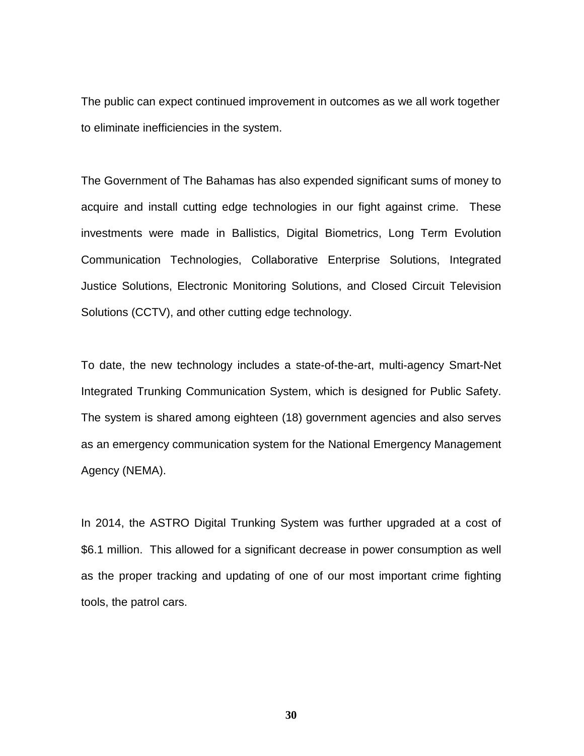The public can expect continued improvement in outcomes as we all work together to eliminate inefficiencies in the system.

The Government of The Bahamas has also expended significant sums of money to acquire and install cutting edge technologies in our fight against crime. These investments were made in Ballistics, Digital Biometrics, Long Term Evolution Communication Technologies, Collaborative Enterprise Solutions, Integrated Justice Solutions, Electronic Monitoring Solutions, and Closed Circuit Television Solutions (CCTV), and other cutting edge technology.

To date, the new technology includes a state-of-the-art, multi-agency Smart-Net Integrated Trunking Communication System, which is designed for Public Safety. The system is shared among eighteen (18) government agencies and also serves as an emergency communication system for the National Emergency Management Agency (NEMA).

In 2014, the ASTRO Digital Trunking System was further upgraded at a cost of \$6.1 million. This allowed for a significant decrease in power consumption as well as the proper tracking and updating of one of our most important crime fighting tools, the patrol cars.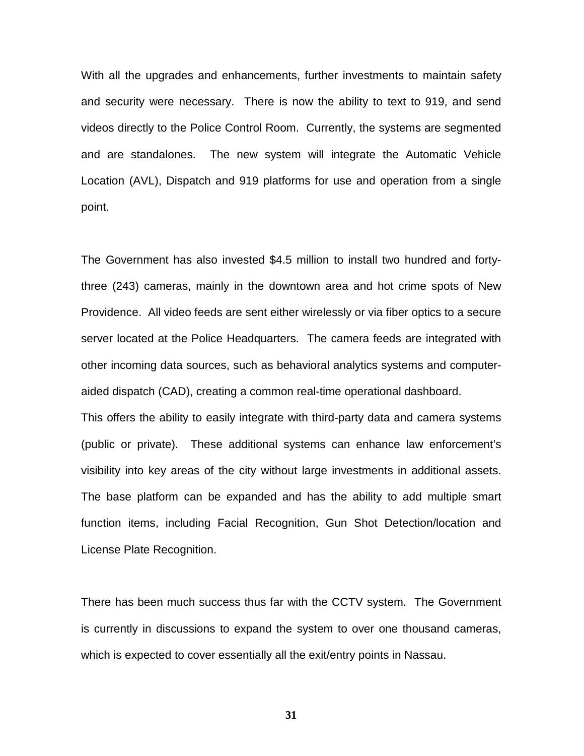With all the upgrades and enhancements, further investments to maintain safety and security were necessary. There is now the ability to text to 919, and send videos directly to the Police Control Room. Currently, the systems are segmented and are standalones. The new system will integrate the Automatic Vehicle Location (AVL), Dispatch and 919 platforms for use and operation from a single point.

The Government has also invested \$4.5 million to install two hundred and fortythree (243) cameras, mainly in the downtown area and hot crime spots of New Providence. All video feeds are sent either wirelessly or via fiber optics to a secure server located at the Police Headquarters. The camera feeds are integrated with other incoming data sources, such as behavioral analytics systems and computeraided dispatch (CAD), creating a common real-time operational dashboard.

This offers the ability to easily integrate with third-party data and camera systems (public or private). These additional systems can enhance law enforcement's visibility into key areas of the city without large investments in additional assets. The base platform can be expanded and has the ability to add multiple smart function items, including Facial Recognition, Gun Shot Detection/location and License Plate Recognition.

There has been much success thus far with the CCTV system. The Government is currently in discussions to expand the system to over one thousand cameras, which is expected to cover essentially all the exit/entry points in Nassau.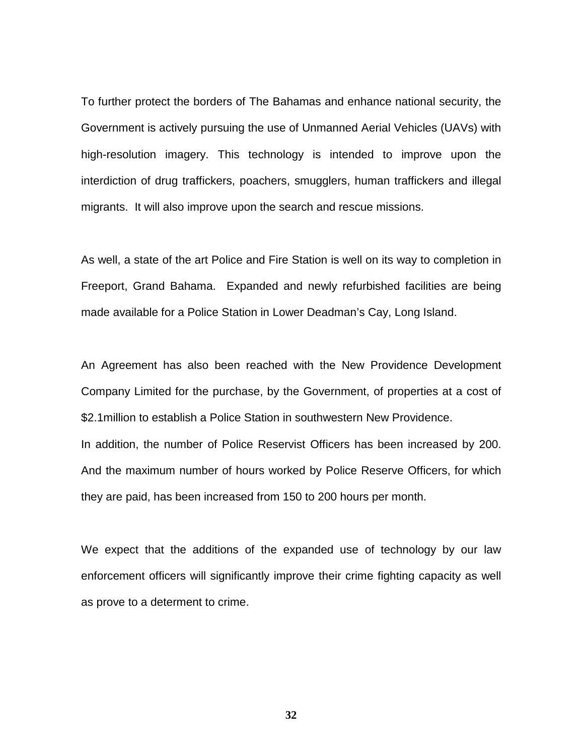To further protect the borders of The Bahamas and enhance national security, the Government is actively pursuing the use of Unmanned Aerial Vehicles (UAVs) with high-resolution imagery. This technology is intended to improve upon the interdiction of drug traffickers, poachers, smugglers, human traffickers and illegal migrants. It will also improve upon the search and rescue missions.

As well, a state of the art Police and Fire Station is well on its way to completion in Freeport, Grand Bahama. Expanded and newly refurbished facilities are being made available for a Police Station in Lower Deadman's Cay, Long Island.

An Agreement has also been reached with the New Providence Development Company Limited for the purchase, by the Government, of properties at a cost of \$2.1million to establish a Police Station in southwestern New Providence. In addition, the number of Police Reservist Officers has been increased by 200.

And the maximum number of hours worked by Police Reserve Officers, for which they are paid, has been increased from 150 to 200 hours per month.

We expect that the additions of the expanded use of technology by our law enforcement officers will significantly improve their crime fighting capacity as well as prove to a determent to crime.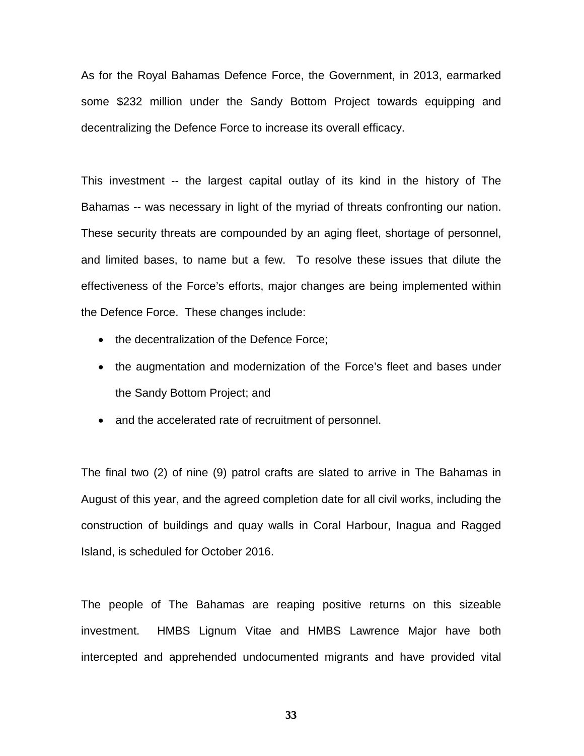As for the Royal Bahamas Defence Force, the Government, in 2013, earmarked some \$232 million under the Sandy Bottom Project towards equipping and decentralizing the Defence Force to increase its overall efficacy.

This investment -- the largest capital outlay of its kind in the history of The Bahamas -- was necessary in light of the myriad of threats confronting our nation. These security threats are compounded by an aging fleet, shortage of personnel, and limited bases, to name but a few. To resolve these issues that dilute the effectiveness of the Force's efforts, major changes are being implemented within the Defence Force. These changes include:

- the decentralization of the Defence Force;
- the augmentation and modernization of the Force's fleet and bases under the Sandy Bottom Project; and
- and the accelerated rate of recruitment of personnel.

The final two (2) of nine (9) patrol crafts are slated to arrive in The Bahamas in August of this year, and the agreed completion date for all civil works, including the construction of buildings and quay walls in Coral Harbour, Inagua and Ragged Island, is scheduled for October 2016.

The people of The Bahamas are reaping positive returns on this sizeable investment. HMBS Lignum Vitae and HMBS Lawrence Major have both intercepted and apprehended undocumented migrants and have provided vital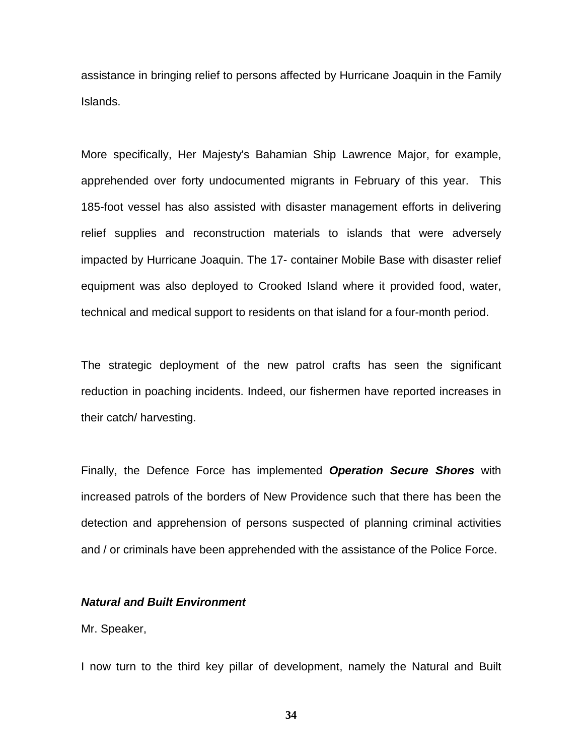assistance in bringing relief to persons affected by Hurricane Joaquin in the Family Islands.

More specifically, Her Majesty's Bahamian Ship Lawrence Major, for example, apprehended over forty undocumented migrants in February of this year. This 185-foot vessel has also assisted with disaster management efforts in delivering relief supplies and reconstruction materials to islands that were adversely impacted by Hurricane Joaquin. The 17- container Mobile Base with disaster relief equipment was also deployed to Crooked Island where it provided food, water, technical and medical support to residents on that island for a four-month period.

The strategic deployment of the new patrol crafts has seen the significant reduction in poaching incidents. Indeed, our fishermen have reported increases in their catch/ harvesting.

Finally, the Defence Force has implemented *Operation Secure Shores* with increased patrols of the borders of New Providence such that there has been the detection and apprehension of persons suspected of planning criminal activities and / or criminals have been apprehended with the assistance of the Police Force.

#### *Natural and Built Environment*

### Mr. Speaker,

I now turn to the third key pillar of development, namely the Natural and Built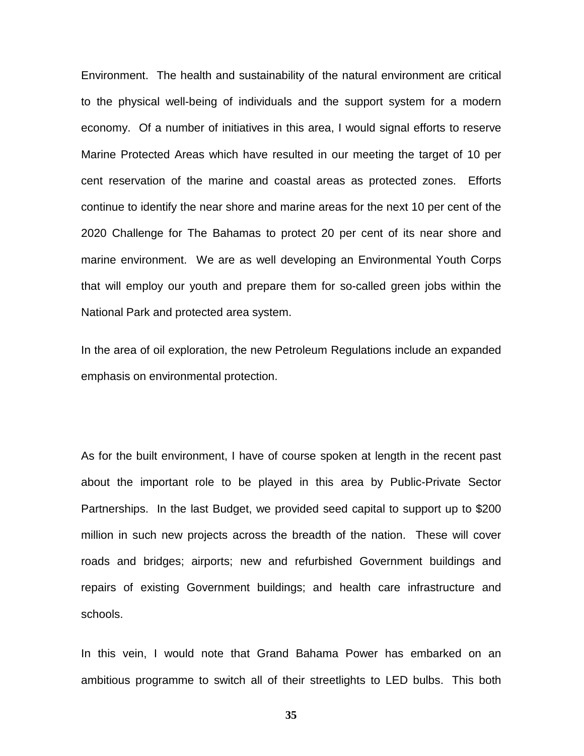Environment. The health and sustainability of the natural environment are critical to the physical well-being of individuals and the support system for a modern economy. Of a number of initiatives in this area, I would signal efforts to reserve Marine Protected Areas which have resulted in our meeting the target of 10 per cent reservation of the marine and coastal areas as protected zones. Efforts continue to identify the near shore and marine areas for the next 10 per cent of the 2020 Challenge for The Bahamas to protect 20 per cent of its near shore and marine environment. We are as well developing an Environmental Youth Corps that will employ our youth and prepare them for so-called green jobs within the National Park and protected area system.

In the area of oil exploration, the new Petroleum Regulations include an expanded emphasis on environmental protection.

As for the built environment, I have of course spoken at length in the recent past about the important role to be played in this area by Public-Private Sector Partnerships. In the last Budget, we provided seed capital to support up to \$200 million in such new projects across the breadth of the nation. These will cover roads and bridges; airports; new and refurbished Government buildings and repairs of existing Government buildings; and health care infrastructure and schools.

In this vein, I would note that Grand Bahama Power has embarked on an ambitious programme to switch all of their streetlights to LED bulbs. This both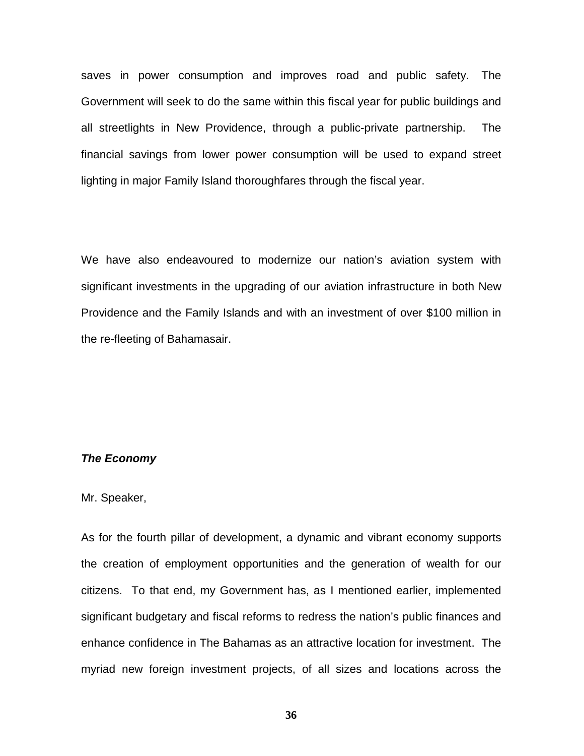saves in power consumption and improves road and public safety. The Government will seek to do the same within this fiscal year for public buildings and all streetlights in New Providence, through a public-private partnership. The financial savings from lower power consumption will be used to expand street lighting in major Family Island thoroughfares through the fiscal year.

We have also endeavoured to modernize our nation's aviation system with significant investments in the upgrading of our aviation infrastructure in both New Providence and the Family Islands and with an investment of over \$100 million in the re-fleeting of Bahamasair.

# *The Economy*

# Mr. Speaker,

As for the fourth pillar of development, a dynamic and vibrant economy supports the creation of employment opportunities and the generation of wealth for our citizens. To that end, my Government has, as I mentioned earlier, implemented significant budgetary and fiscal reforms to redress the nation's public finances and enhance confidence in The Bahamas as an attractive location for investment. The myriad new foreign investment projects, of all sizes and locations across the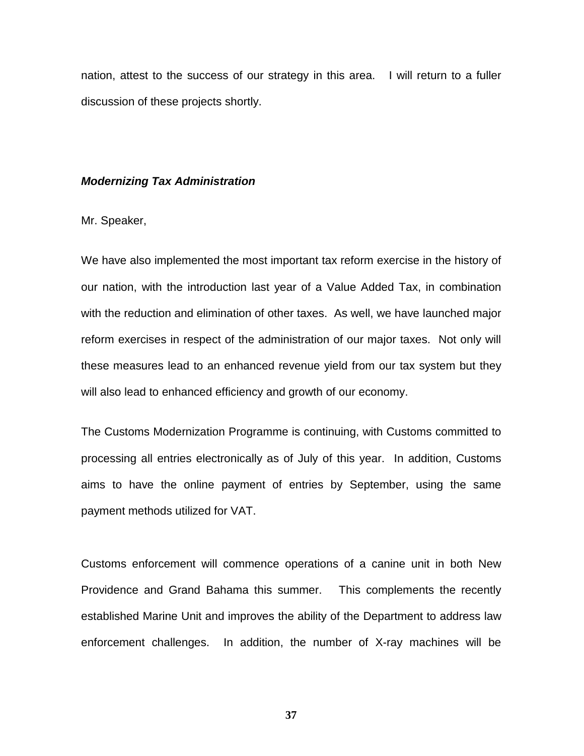nation, attest to the success of our strategy in this area. I will return to a fuller discussion of these projects shortly.

# *Modernizing Tax Administration*

Mr. Speaker,

We have also implemented the most important tax reform exercise in the history of our nation, with the introduction last year of a Value Added Tax, in combination with the reduction and elimination of other taxes. As well, we have launched major reform exercises in respect of the administration of our major taxes. Not only will these measures lead to an enhanced revenue yield from our tax system but they will also lead to enhanced efficiency and growth of our economy.

The Customs Modernization Programme is continuing, with Customs committed to processing all entries electronically as of July of this year. In addition, Customs aims to have the online payment of entries by September, using the same payment methods utilized for VAT.

Customs enforcement will commence operations of a canine unit in both New Providence and Grand Bahama this summer. This complements the recently established Marine Unit and improves the ability of the Department to address law enforcement challenges. In addition, the number of X-ray machines will be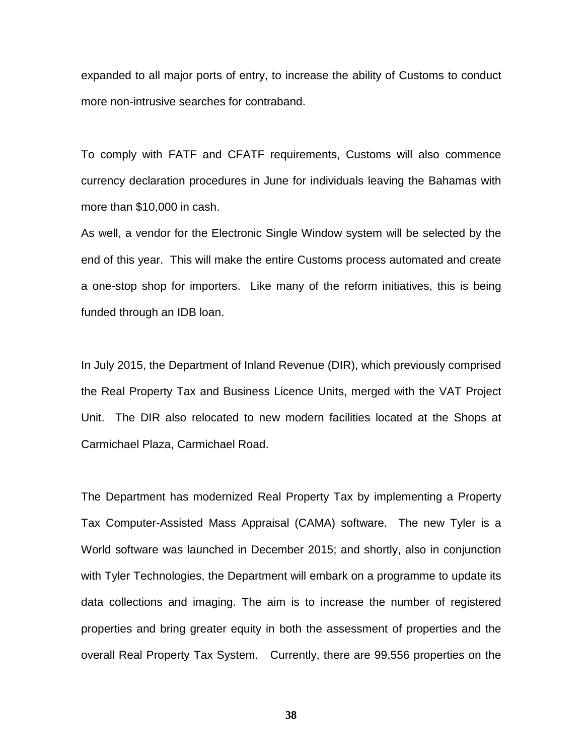expanded to all major ports of entry, to increase the ability of Customs to conduct more non-intrusive searches for contraband.

To comply with FATF and CFATF requirements, Customs will also commence currency declaration procedures in June for individuals leaving the Bahamas with more than \$10,000 in cash.

As well, a vendor for the Electronic Single Window system will be selected by the end of this year. This will make the entire Customs process automated and create a one-stop shop for importers. Like many of the reform initiatives, this is being funded through an IDB loan.

In July 2015, the Department of Inland Revenue (DIR), which previously comprised the Real Property Tax and Business Licence Units, merged with the VAT Project Unit. The DIR also relocated to new modern facilities located at the Shops at Carmichael Plaza, Carmichael Road.

The Department has modernized Real Property Tax by implementing a Property Tax Computer-Assisted Mass Appraisal (CAMA) software. The new Tyler is a World software was launched in December 2015; and shortly, also in conjunction with Tyler Technologies, the Department will embark on a programme to update its data collections and imaging. The aim is to increase the number of registered properties and bring greater equity in both the assessment of properties and the overall Real Property Tax System. Currently, there are 99,556 properties on the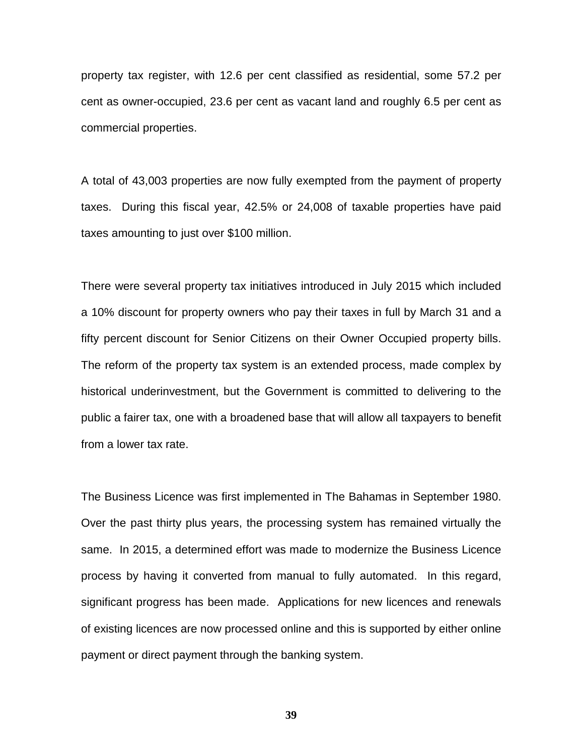property tax register, with 12.6 per cent classified as residential, some 57.2 per cent as owner-occupied, 23.6 per cent as vacant land and roughly 6.5 per cent as commercial properties.

A total of 43,003 properties are now fully exempted from the payment of property taxes. During this fiscal year, 42.5% or 24,008 of taxable properties have paid taxes amounting to just over \$100 million.

There were several property tax initiatives introduced in July 2015 which included a 10% discount for property owners who pay their taxes in full by March 31 and a fifty percent discount for Senior Citizens on their Owner Occupied property bills. The reform of the property tax system is an extended process, made complex by historical underinvestment, but the Government is committed to delivering to the public a fairer tax, one with a broadened base that will allow all taxpayers to benefit from a lower tax rate.

The Business Licence was first implemented in The Bahamas in September 1980. Over the past thirty plus years, the processing system has remained virtually the same. In 2015, a determined effort was made to modernize the Business Licence process by having it converted from manual to fully automated. In this regard, significant progress has been made. Applications for new licences and renewals of existing licences are now processed online and this is supported by either online payment or direct payment through the banking system.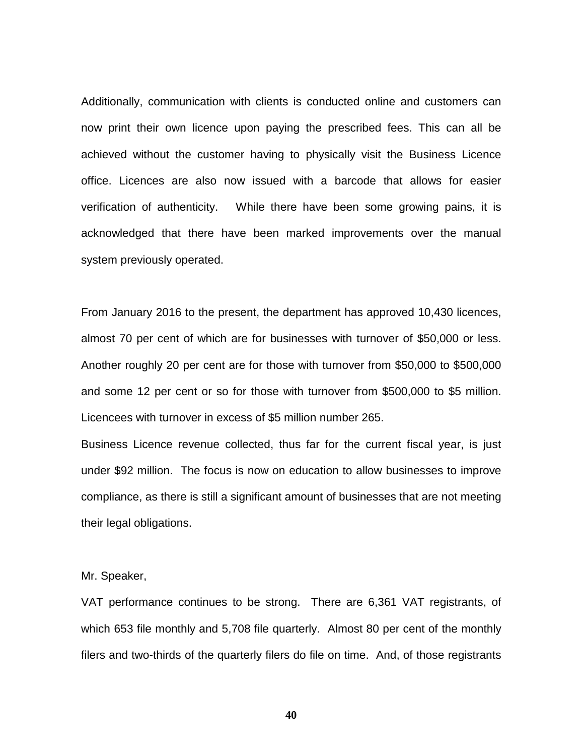Additionally, communication with clients is conducted online and customers can now print their own licence upon paying the prescribed fees. This can all be achieved without the customer having to physically visit the Business Licence office. Licences are also now issued with a barcode that allows for easier verification of authenticity. While there have been some growing pains, it is acknowledged that there have been marked improvements over the manual system previously operated.

From January 2016 to the present, the department has approved 10,430 licences, almost 70 per cent of which are for businesses with turnover of \$50,000 or less. Another roughly 20 per cent are for those with turnover from \$50,000 to \$500,000 and some 12 per cent or so for those with turnover from \$500,000 to \$5 million. Licencees with turnover in excess of \$5 million number 265.

Business Licence revenue collected, thus far for the current fiscal year, is just under \$92 million. The focus is now on education to allow businesses to improve compliance, as there is still a significant amount of businesses that are not meeting their legal obligations.

Mr. Speaker,

VAT performance continues to be strong. There are 6,361 VAT registrants, of which 653 file monthly and 5,708 file quarterly. Almost 80 per cent of the monthly filers and two-thirds of the quarterly filers do file on time. And, of those registrants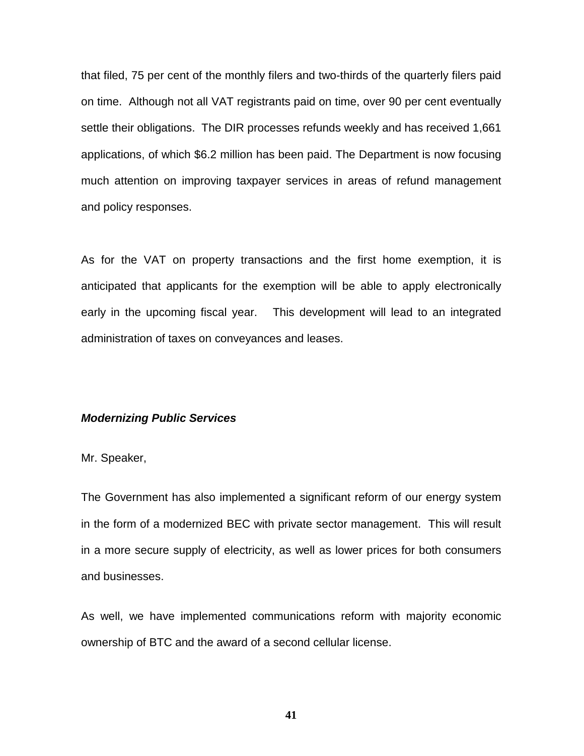that filed, 75 per cent of the monthly filers and two-thirds of the quarterly filers paid on time. Although not all VAT registrants paid on time, over 90 per cent eventually settle their obligations. The DIR processes refunds weekly and has received 1,661 applications, of which \$6.2 million has been paid. The Department is now focusing much attention on improving taxpayer services in areas of refund management and policy responses.

As for the VAT on property transactions and the first home exemption, it is anticipated that applicants for the exemption will be able to apply electronically early in the upcoming fiscal year. This development will lead to an integrated administration of taxes on conveyances and leases.

#### *Modernizing Public Services*

Mr. Speaker,

The Government has also implemented a significant reform of our energy system in the form of a modernized BEC with private sector management. This will result in a more secure supply of electricity, as well as lower prices for both consumers and businesses.

As well, we have implemented communications reform with majority economic ownership of BTC and the award of a second cellular license.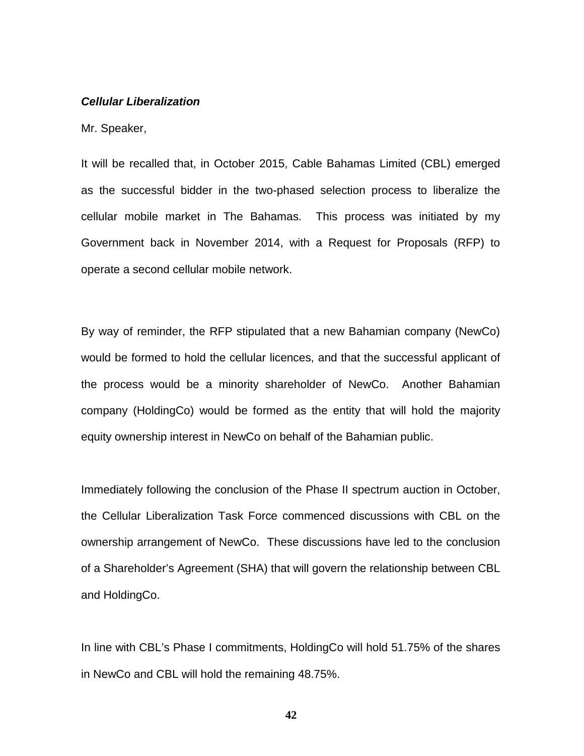# *Cellular Liberalization*

Mr. Speaker,

It will be recalled that, in October 2015, Cable Bahamas Limited (CBL) emerged as the successful bidder in the two-phased selection process to liberalize the cellular mobile market in The Bahamas. This process was initiated by my Government back in November 2014, with a Request for Proposals (RFP) to operate a second cellular mobile network.

By way of reminder, the RFP stipulated that a new Bahamian company (NewCo) would be formed to hold the cellular licences, and that the successful applicant of the process would be a minority shareholder of NewCo. Another Bahamian company (HoldingCo) would be formed as the entity that will hold the majority equity ownership interest in NewCo on behalf of the Bahamian public.

Immediately following the conclusion of the Phase II spectrum auction in October, the Cellular Liberalization Task Force commenced discussions with CBL on the ownership arrangement of NewCo. These discussions have led to the conclusion of a Shareholder's Agreement (SHA) that will govern the relationship between CBL and HoldingCo.

In line with CBL's Phase I commitments, HoldingCo will hold 51.75% of the shares in NewCo and CBL will hold the remaining 48.75%.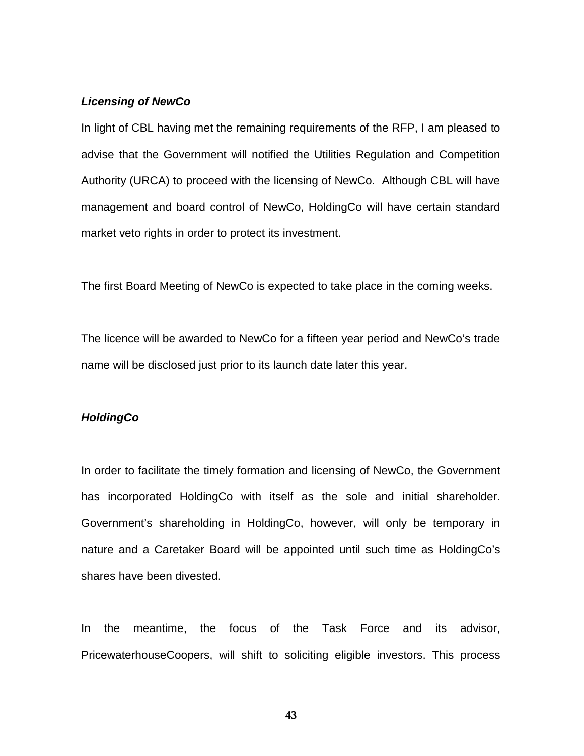# *Licensing of NewCo*

In light of CBL having met the remaining requirements of the RFP, I am pleased to advise that the Government will notified the Utilities Regulation and Competition Authority (URCA) to proceed with the licensing of NewCo. Although CBL will have management and board control of NewCo, HoldingCo will have certain standard market veto rights in order to protect its investment.

The first Board Meeting of NewCo is expected to take place in the coming weeks.

The licence will be awarded to NewCo for a fifteen year period and NewCo's trade name will be disclosed just prior to its launch date later this year.

# *HoldingCo*

In order to facilitate the timely formation and licensing of NewCo, the Government has incorporated HoldingCo with itself as the sole and initial shareholder. Government's shareholding in HoldingCo, however, will only be temporary in nature and a Caretaker Board will be appointed until such time as HoldingCo's shares have been divested.

In the meantime, the focus of the Task Force and its advisor, PricewaterhouseCoopers, will shift to soliciting eligible investors. This process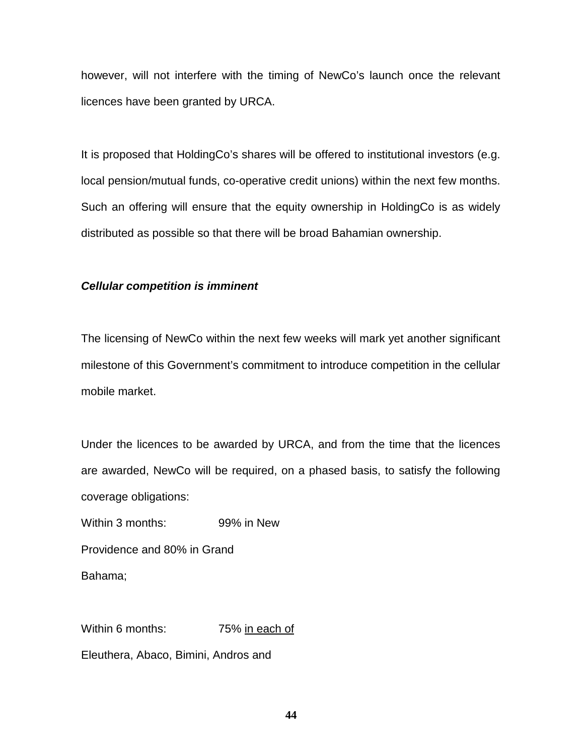however, will not interfere with the timing of NewCo's launch once the relevant licences have been granted by URCA.

It is proposed that HoldingCo's shares will be offered to institutional investors (e.g. local pension/mutual funds, co-operative credit unions) within the next few months. Such an offering will ensure that the equity ownership in HoldingCo is as widely distributed as possible so that there will be broad Bahamian ownership.

# *Cellular competition is imminent*

The licensing of NewCo within the next few weeks will mark yet another significant milestone of this Government's commitment to introduce competition in the cellular mobile market.

Under the licences to be awarded by URCA, and from the time that the licences are awarded, NewCo will be required, on a phased basis, to satisfy the following coverage obligations:

Within 3 months: 99% in New

Providence and 80% in Grand

Bahama;

Within 6 months: 75% in each of

Eleuthera, Abaco, Bimini, Andros and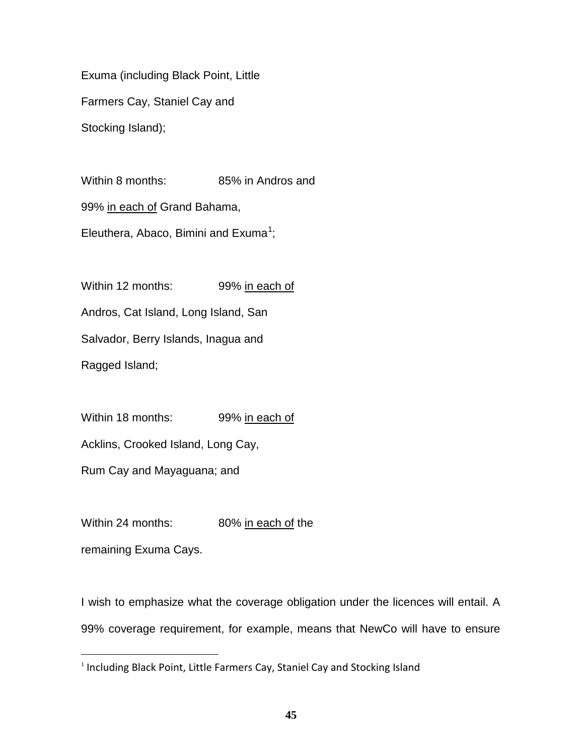Exuma (including Black Point, Little Farmers Cay, Staniel Cay and Stocking Island);

Within 8 months: 85% in Andros and 99% in each of Grand Bahama, Eleuthera, Abaco, Bimini and Exuma<sup>[1](#page-45-0)</sup>;

Within 12 months: 99% in each of Andros, Cat Island, Long Island, San Salvador, Berry Islands, Inagua and

Ragged Island;

Within 18 months: 99% in each of

Acklins, Crooked Island, Long Cay,

Rum Cay and Mayaguana; and

Within 24 months: 80% in each of the

remaining Exuma Cays.

I wish to emphasize what the coverage obligation under the licences will entail. A 99% coverage requirement, for example, means that NewCo will have to ensure

<span id="page-45-0"></span> $1$  Including Black Point, Little Farmers Cay, Staniel Cay and Stocking Island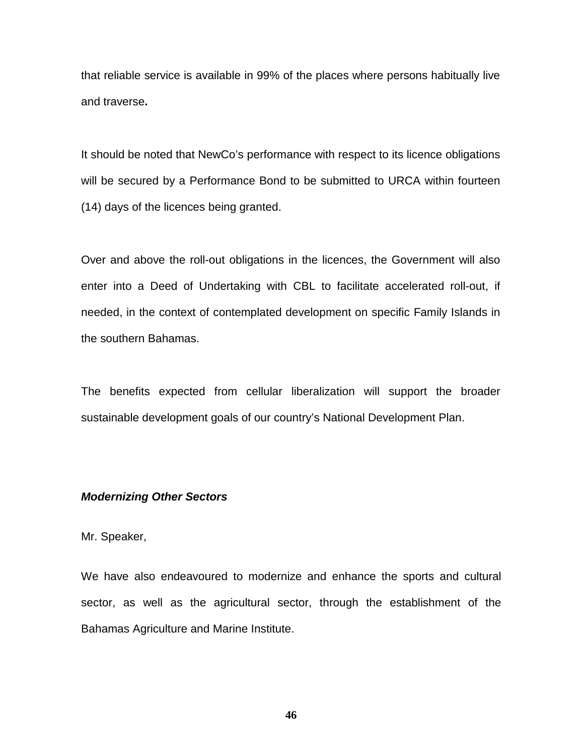that reliable service is available in 99% of the places where persons habitually live and traverse**.**

It should be noted that NewCo's performance with respect to its licence obligations will be secured by a Performance Bond to be submitted to URCA within fourteen (14) days of the licences being granted.

Over and above the roll-out obligations in the licences, the Government will also enter into a Deed of Undertaking with CBL to facilitate accelerated roll-out, if needed, in the context of contemplated development on specific Family Islands in the southern Bahamas.

The benefits expected from cellular liberalization will support the broader sustainable development goals of our country's National Development Plan.

# *Modernizing Other Sectors*

# Mr. Speaker,

We have also endeavoured to modernize and enhance the sports and cultural sector, as well as the agricultural sector, through the establishment of the Bahamas Agriculture and Marine Institute.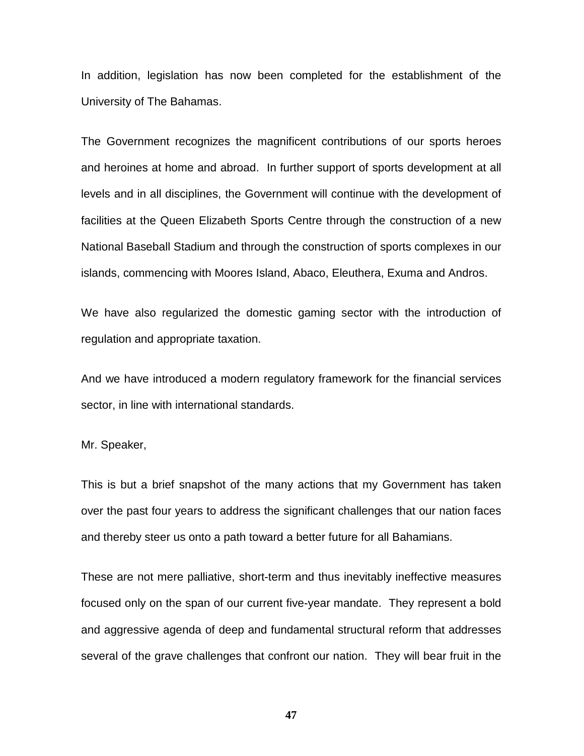In addition, legislation has now been completed for the establishment of the University of The Bahamas.

The Government recognizes the magnificent contributions of our sports heroes and heroines at home and abroad. In further support of sports development at all levels and in all disciplines, the Government will continue with the development of facilities at the Queen Elizabeth Sports Centre through the construction of a new National Baseball Stadium and through the construction of sports complexes in our islands, commencing with Moores Island, Abaco, Eleuthera, Exuma and Andros.

We have also regularized the domestic gaming sector with the introduction of regulation and appropriate taxation.

And we have introduced a modern regulatory framework for the financial services sector, in line with international standards.

Mr. Speaker,

This is but a brief snapshot of the many actions that my Government has taken over the past four years to address the significant challenges that our nation faces and thereby steer us onto a path toward a better future for all Bahamians.

These are not mere palliative, short-term and thus inevitably ineffective measures focused only on the span of our current five-year mandate. They represent a bold and aggressive agenda of deep and fundamental structural reform that addresses several of the grave challenges that confront our nation. They will bear fruit in the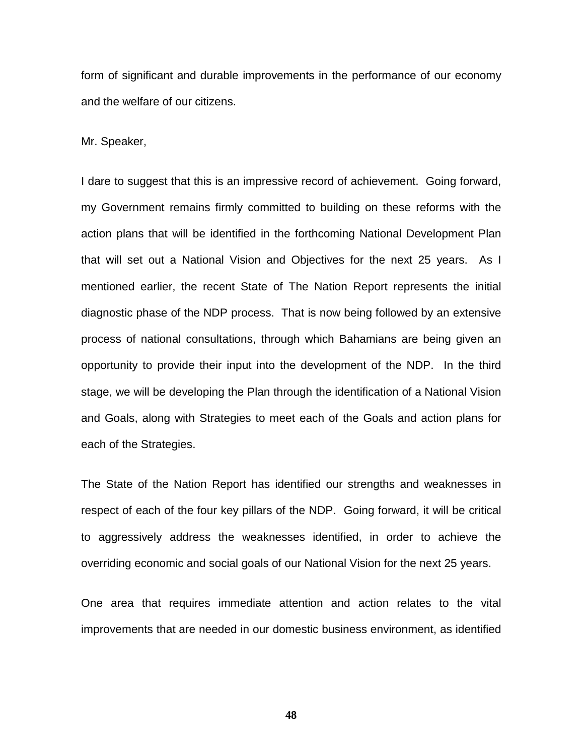form of significant and durable improvements in the performance of our economy and the welfare of our citizens.

Mr. Speaker,

I dare to suggest that this is an impressive record of achievement. Going forward, my Government remains firmly committed to building on these reforms with the action plans that will be identified in the forthcoming National Development Plan that will set out a National Vision and Objectives for the next 25 years. As I mentioned earlier, the recent State of The Nation Report represents the initial diagnostic phase of the NDP process. That is now being followed by an extensive process of national consultations, through which Bahamians are being given an opportunity to provide their input into the development of the NDP. In the third stage, we will be developing the Plan through the identification of a National Vision and Goals, along with Strategies to meet each of the Goals and action plans for each of the Strategies.

The State of the Nation Report has identified our strengths and weaknesses in respect of each of the four key pillars of the NDP. Going forward, it will be critical to aggressively address the weaknesses identified, in order to achieve the overriding economic and social goals of our National Vision for the next 25 years.

One area that requires immediate attention and action relates to the vital improvements that are needed in our domestic business environment, as identified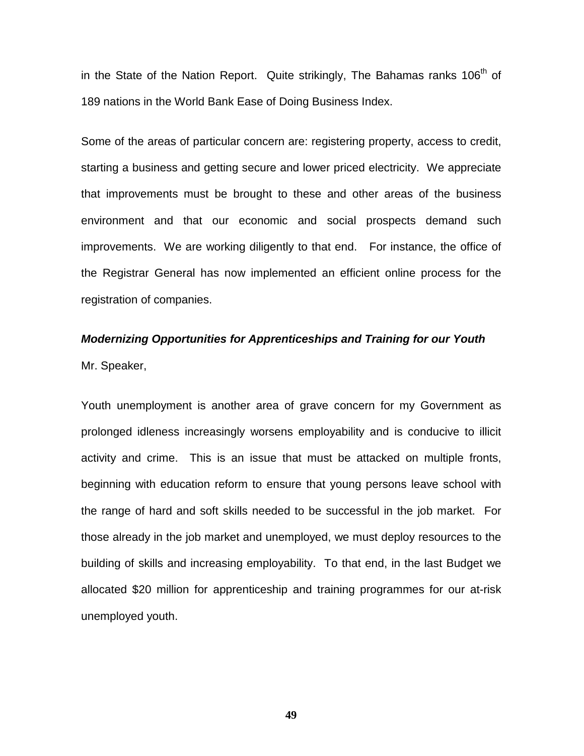in the State of the Nation Report. Quite strikingly, The Bahamas ranks 106<sup>th</sup> of 189 nations in the World Bank Ease of Doing Business Index.

Some of the areas of particular concern are: registering property, access to credit, starting a business and getting secure and lower priced electricity. We appreciate that improvements must be brought to these and other areas of the business environment and that our economic and social prospects demand such improvements. We are working diligently to that end. For instance, the office of the Registrar General has now implemented an efficient online process for the registration of companies.

# *Modernizing Opportunities for Apprenticeships and Training for our Youth* Mr. Speaker,

Youth unemployment is another area of grave concern for my Government as prolonged idleness increasingly worsens employability and is conducive to illicit activity and crime. This is an issue that must be attacked on multiple fronts, beginning with education reform to ensure that young persons leave school with the range of hard and soft skills needed to be successful in the job market. For those already in the job market and unemployed, we must deploy resources to the building of skills and increasing employability. To that end, in the last Budget we allocated \$20 million for apprenticeship and training programmes for our at-risk unemployed youth.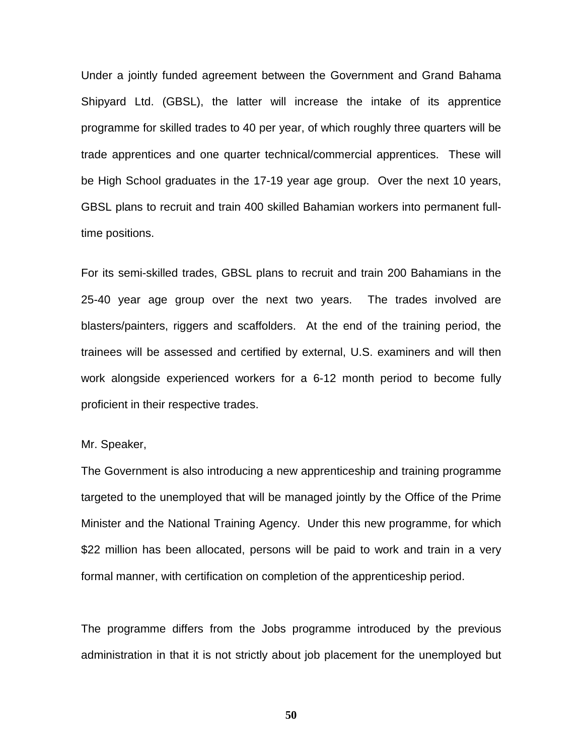Under a jointly funded agreement between the Government and Grand Bahama Shipyard Ltd. (GBSL), the latter will increase the intake of its apprentice programme for skilled trades to 40 per year, of which roughly three quarters will be trade apprentices and one quarter technical/commercial apprentices. These will be High School graduates in the 17-19 year age group. Over the next 10 years, GBSL plans to recruit and train 400 skilled Bahamian workers into permanent fulltime positions.

For its semi-skilled trades, GBSL plans to recruit and train 200 Bahamians in the 25-40 year age group over the next two years. The trades involved are blasters/painters, riggers and scaffolders. At the end of the training period, the trainees will be assessed and certified by external, U.S. examiners and will then work alongside experienced workers for a 6-12 month period to become fully proficient in their respective trades.

Mr. Speaker,

The Government is also introducing a new apprenticeship and training programme targeted to the unemployed that will be managed jointly by the Office of the Prime Minister and the National Training Agency. Under this new programme, for which \$22 million has been allocated, persons will be paid to work and train in a very formal manner, with certification on completion of the apprenticeship period.

The programme differs from the Jobs programme introduced by the previous administration in that it is not strictly about job placement for the unemployed but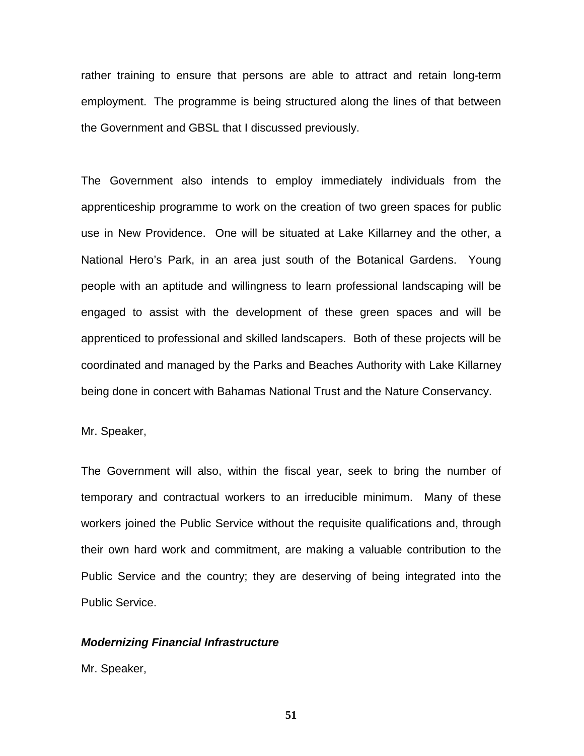rather training to ensure that persons are able to attract and retain long-term employment. The programme is being structured along the lines of that between the Government and GBSL that I discussed previously.

The Government also intends to employ immediately individuals from the apprenticeship programme to work on the creation of two green spaces for public use in New Providence. One will be situated at Lake Killarney and the other, a National Hero's Park, in an area just south of the Botanical Gardens. Young people with an aptitude and willingness to learn professional landscaping will be engaged to assist with the development of these green spaces and will be apprenticed to professional and skilled landscapers. Both of these projects will be coordinated and managed by the Parks and Beaches Authority with Lake Killarney being done in concert with Bahamas National Trust and the Nature Conservancy.

## Mr. Speaker,

The Government will also, within the fiscal year, seek to bring the number of temporary and contractual workers to an irreducible minimum. Many of these workers joined the Public Service without the requisite qualifications and, through their own hard work and commitment, are making a valuable contribution to the Public Service and the country; they are deserving of being integrated into the Public Service.

#### *Modernizing Financial Infrastructure*

Mr. Speaker,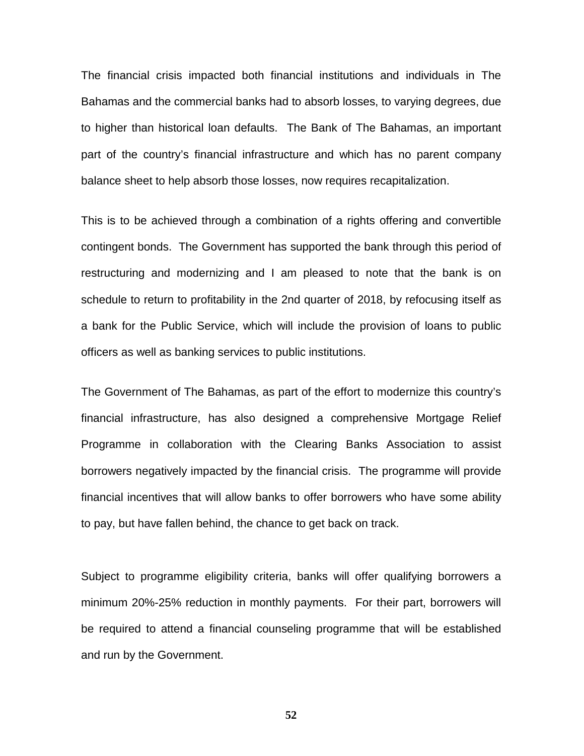The financial crisis impacted both financial institutions and individuals in The Bahamas and the commercial banks had to absorb losses, to varying degrees, due to higher than historical loan defaults. The Bank of The Bahamas, an important part of the country's financial infrastructure and which has no parent company balance sheet to help absorb those losses, now requires recapitalization.

This is to be achieved through a combination of a rights offering and convertible contingent bonds. The Government has supported the bank through this period of restructuring and modernizing and I am pleased to note that the bank is on schedule to return to profitability in the 2nd quarter of 2018, by refocusing itself as a bank for the Public Service, which will include the provision of loans to public officers as well as banking services to public institutions.

The Government of The Bahamas, as part of the effort to modernize this country's financial infrastructure, has also designed a comprehensive Mortgage Relief Programme in collaboration with the Clearing Banks Association to assist borrowers negatively impacted by the financial crisis. The programme will provide financial incentives that will allow banks to offer borrowers who have some ability to pay, but have fallen behind, the chance to get back on track.

Subject to programme eligibility criteria, banks will offer qualifying borrowers a minimum 20%-25% reduction in monthly payments. For their part, borrowers will be required to attend a financial counseling programme that will be established and run by the Government.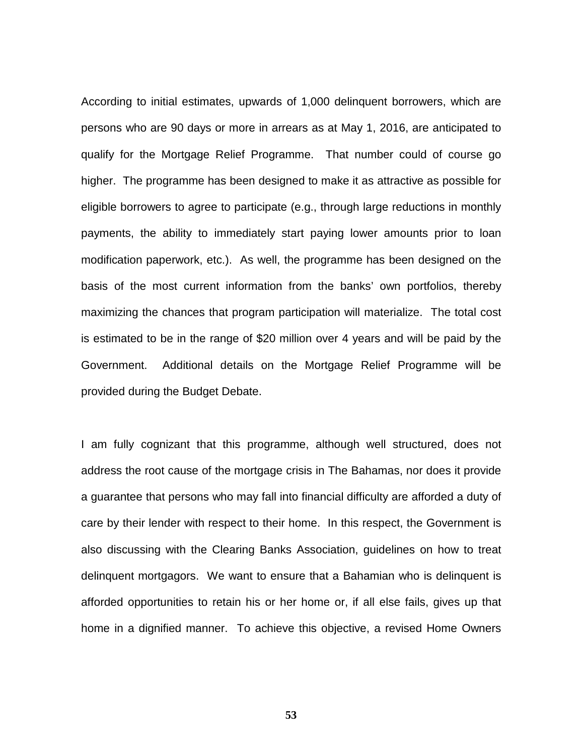According to initial estimates, upwards of 1,000 delinquent borrowers, which are persons who are 90 days or more in arrears as at May 1, 2016, are anticipated to qualify for the Mortgage Relief Programme. That number could of course go higher. The programme has been designed to make it as attractive as possible for eligible borrowers to agree to participate (e.g., through large reductions in monthly payments, the ability to immediately start paying lower amounts prior to loan modification paperwork, etc.). As well, the programme has been designed on the basis of the most current information from the banks' own portfolios, thereby maximizing the chances that program participation will materialize. The total cost is estimated to be in the range of \$20 million over 4 years and will be paid by the Government. Additional details on the Mortgage Relief Programme will be provided during the Budget Debate.

I am fully cognizant that this programme, although well structured, does not address the root cause of the mortgage crisis in The Bahamas, nor does it provide a guarantee that persons who may fall into financial difficulty are afforded a duty of care by their lender with respect to their home. In this respect, the Government is also discussing with the Clearing Banks Association, guidelines on how to treat delinquent mortgagors. We want to ensure that a Bahamian who is delinquent is afforded opportunities to retain his or her home or, if all else fails, gives up that home in a dignified manner. To achieve this objective, a revised Home Owners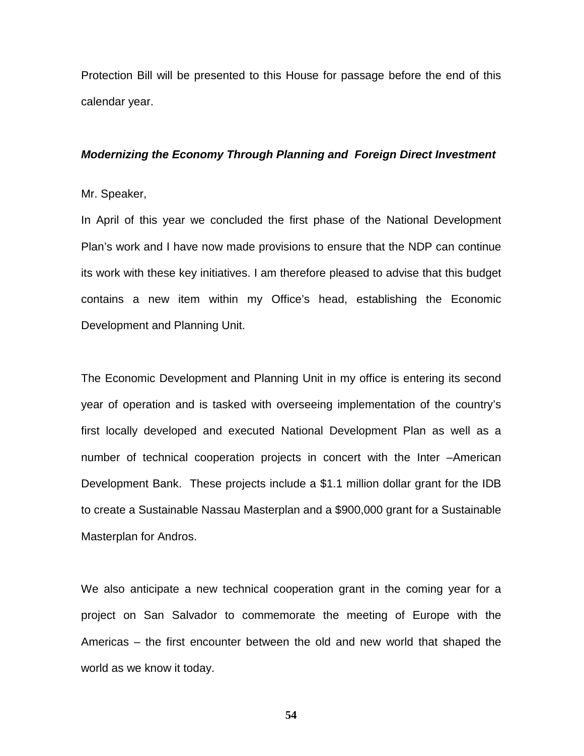Protection Bill will be presented to this House for passage before the end of this calendar year.

#### *Modernizing the Economy Through Planning and Foreign Direct Investment*

# Mr. Speaker,

In April of this year we concluded the first phase of the National Development Plan's work and I have now made provisions to ensure that the NDP can continue its work with these key initiatives. I am therefore pleased to advise that this budget contains a new item within my Office's head, establishing the Economic Development and Planning Unit.

The Economic Development and Planning Unit in my office is entering its second year of operation and is tasked with overseeing implementation of the country's first locally developed and executed National Development Plan as well as a number of technical cooperation projects in concert with the Inter –American Development Bank. These projects include a \$1.1 million dollar grant for the IDB to create a Sustainable Nassau Masterplan and a \$900,000 grant for a Sustainable Masterplan for Andros.

We also anticipate a new technical cooperation grant in the coming year for a project on San Salvador to commemorate the meeting of Europe with the Americas – the first encounter between the old and new world that shaped the world as we know it today.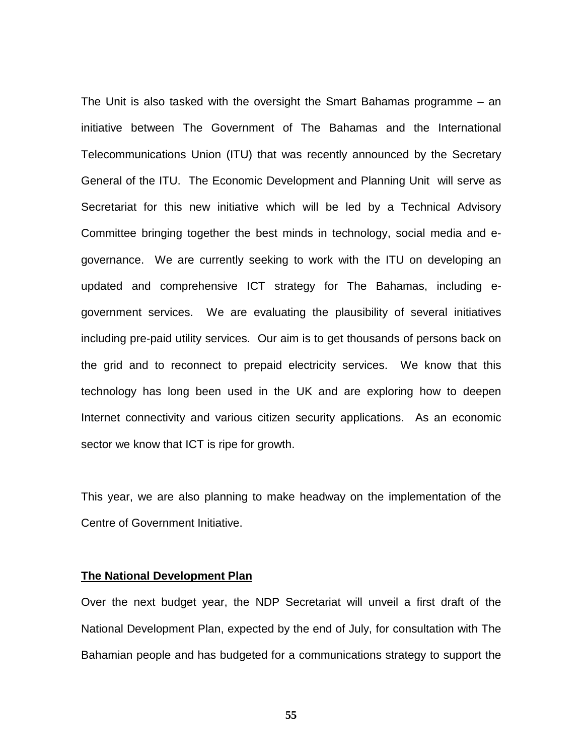The Unit is also tasked with the oversight the Smart Bahamas programme – an initiative between The Government of The Bahamas and the International Telecommunications Union (ITU) that was recently announced by the Secretary General of the ITU. The Economic Development and Planning Unit will serve as Secretariat for this new initiative which will be led by a Technical Advisory Committee bringing together the best minds in technology, social media and egovernance. We are currently seeking to work with the ITU on developing an updated and comprehensive ICT strategy for The Bahamas, including egovernment services. We are evaluating the plausibility of several initiatives including pre-paid utility services. Our aim is to get thousands of persons back on the grid and to reconnect to prepaid electricity services. We know that this technology has long been used in the UK and are exploring how to deepen Internet connectivity and various citizen security applications. As an economic sector we know that ICT is ripe for growth.

This year, we are also planning to make headway on the implementation of the Centre of Government Initiative.

# **The National Development Plan**

Over the next budget year, the NDP Secretariat will unveil a first draft of the National Development Plan, expected by the end of July, for consultation with The Bahamian people and has budgeted for a communications strategy to support the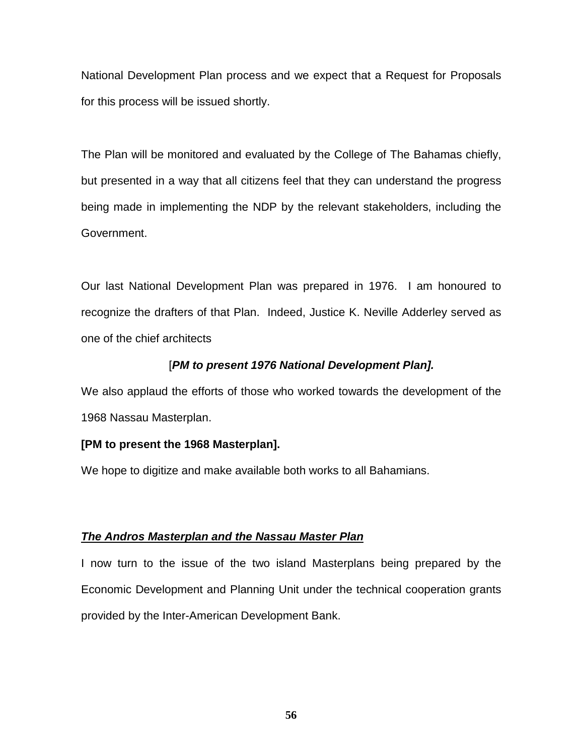National Development Plan process and we expect that a Request for Proposals for this process will be issued shortly.

The Plan will be monitored and evaluated by the College of The Bahamas chiefly, but presented in a way that all citizens feel that they can understand the progress being made in implementing the NDP by the relevant stakeholders, including the Government.

Our last National Development Plan was prepared in 1976. I am honoured to recognize the drafters of that Plan. Indeed, Justice K. Neville Adderley served as one of the chief architects

# [*PM to present 1976 National Development Plan].*

We also applaud the efforts of those who worked towards the development of the 1968 Nassau Masterplan.

# **[PM to present the 1968 Masterplan].**

We hope to digitize and make available both works to all Bahamians.

# *The Andros Masterplan and the Nassau Master Plan*

I now turn to the issue of the two island Masterplans being prepared by the Economic Development and Planning Unit under the technical cooperation grants provided by the Inter-American Development Bank.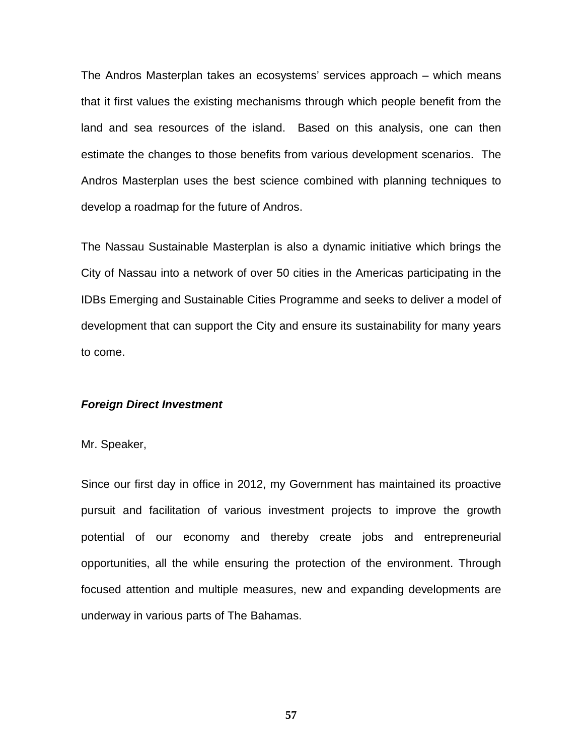The Andros Masterplan takes an ecosystems' services approach – which means that it first values the existing mechanisms through which people benefit from the land and sea resources of the island. Based on this analysis, one can then estimate the changes to those benefits from various development scenarios. The Andros Masterplan uses the best science combined with planning techniques to develop a roadmap for the future of Andros.

The Nassau Sustainable Masterplan is also a dynamic initiative which brings the City of Nassau into a network of over 50 cities in the Americas participating in the IDBs Emerging and Sustainable Cities Programme and seeks to deliver a model of development that can support the City and ensure its sustainability for many years to come.

# *Foreign Direct Investment*

Mr. Speaker,

Since our first day in office in 2012, my Government has maintained its proactive pursuit and facilitation of various investment projects to improve the growth potential of our economy and thereby create jobs and entrepreneurial opportunities, all the while ensuring the protection of the environment. Through focused attention and multiple measures, new and expanding developments are underway in various parts of The Bahamas.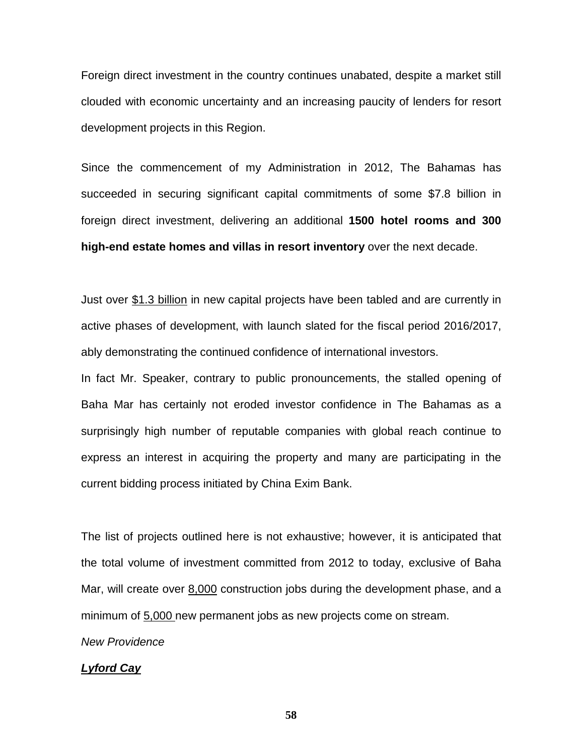Foreign direct investment in the country continues unabated, despite a market still clouded with economic uncertainty and an increasing paucity of lenders for resort development projects in this Region.

Since the commencement of my Administration in 2012, The Bahamas has succeeded in securing significant capital commitments of some \$7.8 billion in foreign direct investment, delivering an additional **1500 hotel rooms and 300 high-end estate homes and villas in resort inventory** over the next decade.

Just over \$1.3 billion in new capital projects have been tabled and are currently in active phases of development, with launch slated for the fiscal period 2016/2017, ably demonstrating the continued confidence of international investors.

In fact Mr. Speaker, contrary to public pronouncements, the stalled opening of Baha Mar has certainly not eroded investor confidence in The Bahamas as a surprisingly high number of reputable companies with global reach continue to express an interest in acquiring the property and many are participating in the current bidding process initiated by China Exim Bank.

The list of projects outlined here is not exhaustive; however, it is anticipated that the total volume of investment committed from 2012 to today, exclusive of Baha Mar, will create over 8,000 construction jobs during the development phase, and a minimum of 5,000 new permanent jobs as new projects come on stream.

*New Providence*

# *Lyford Cay*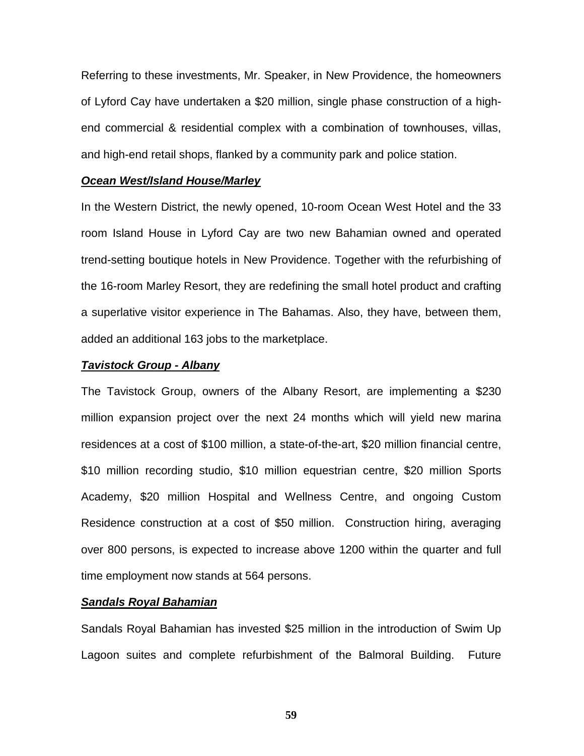Referring to these investments, Mr. Speaker, in New Providence, the homeowners of Lyford Cay have undertaken a \$20 million, single phase construction of a highend commercial & residential complex with a combination of townhouses, villas, and high-end retail shops, flanked by a community park and police station.

#### *Ocean West/Island House/Marley*

In the Western District, the newly opened, 10-room Ocean West Hotel and the 33 room Island House in Lyford Cay are two new Bahamian owned and operated trend-setting boutique hotels in New Providence. Together with the refurbishing of the 16-room Marley Resort, they are redefining the small hotel product and crafting a superlative visitor experience in The Bahamas. Also, they have, between them, added an additional 163 jobs to the marketplace.

#### *Tavistock Group - Albany*

The Tavistock Group, owners of the Albany Resort, are implementing a \$230 million expansion project over the next 24 months which will yield new marina residences at a cost of \$100 million, a state-of-the-art, \$20 million financial centre, \$10 million recording studio, \$10 million equestrian centre, \$20 million Sports Academy, \$20 million Hospital and Wellness Centre, and ongoing Custom Residence construction at a cost of \$50 million. Construction hiring, averaging over 800 persons, is expected to increase above 1200 within the quarter and full time employment now stands at 564 persons.

# *Sandals Royal Bahamian*

Sandals Royal Bahamian has invested \$25 million in the introduction of Swim Up Lagoon suites and complete refurbishment of the Balmoral Building. Future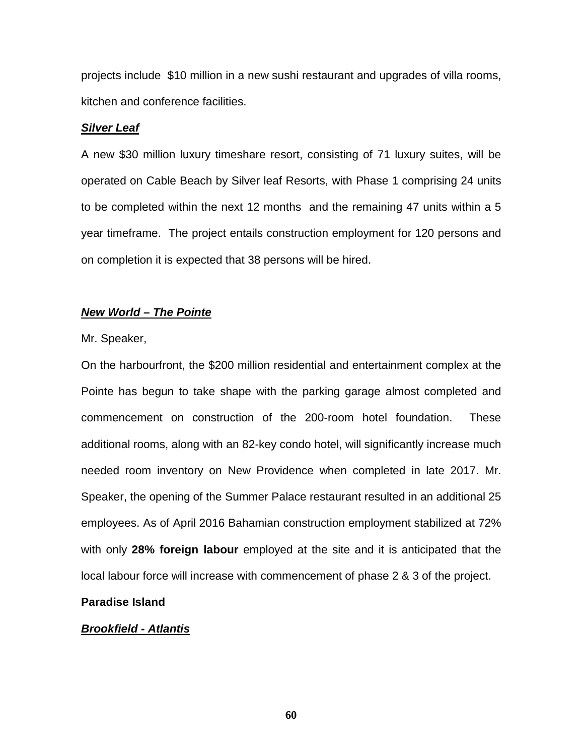projects include \$10 million in a new sushi restaurant and upgrades of villa rooms, kitchen and conference facilities.

# *Silver Leaf*

A new \$30 million luxury timeshare resort, consisting of 71 luxury suites, will be operated on Cable Beach by Silver leaf Resorts, with Phase 1 comprising 24 units to be completed within the next 12 months and the remaining 47 units within a 5 year timeframe. The project entails construction employment for 120 persons and on completion it is expected that 38 persons will be hired.

# *New World – The Pointe*

#### Mr. Speaker,

On the harbourfront, the \$200 million residential and entertainment complex at the Pointe has begun to take shape with the parking garage almost completed and commencement on construction of the 200-room hotel foundation. These additional rooms, along with an 82-key condo hotel, will significantly increase much needed room inventory on New Providence when completed in late 2017. Mr. Speaker, the opening of the Summer Palace restaurant resulted in an additional 25 employees. As of April 2016 Bahamian construction employment stabilized at 72% with only **28% foreign labour** employed at the site and it is anticipated that the local labour force will increase with commencement of phase 2 & 3 of the project.

# **Paradise Island**

# *Brookfield - Atlantis*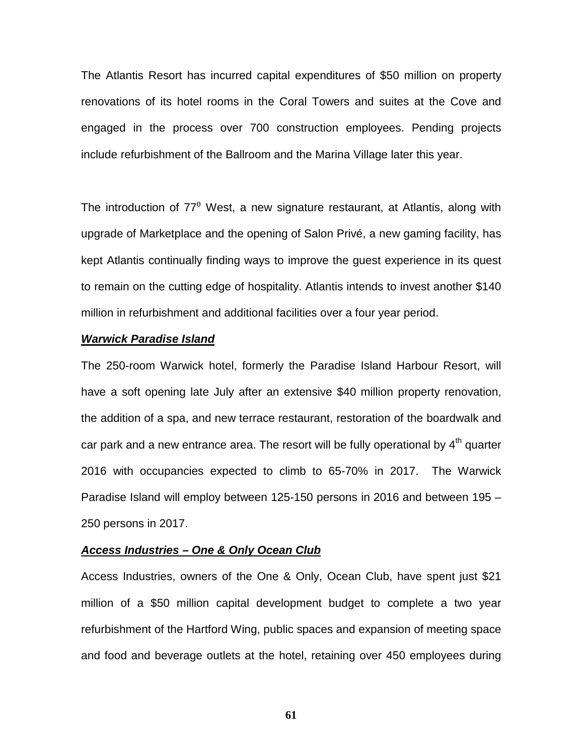The Atlantis Resort has incurred capital expenditures of \$50 million on property renovations of its hotel rooms in the Coral Towers and suites at the Cove and engaged in the process over 700 construction employees. Pending projects include refurbishment of the Ballroom and the Marina Village later this year.

The introduction of  $77^{\circ}$  West, a new signature restaurant, at Atlantis, along with upgrade of Marketplace and the opening of Salon Privé, a new gaming facility, has kept Atlantis continually finding ways to improve the guest experience in its quest to remain on the cutting edge of hospitality. Atlantis intends to invest another \$140 million in refurbishment and additional facilities over a four year period.

## *Warwick Paradise Island*

The 250-room Warwick hotel, formerly the Paradise Island Harbour Resort, will have a soft opening late July after an extensive \$40 million property renovation, the addition of a spa, and new terrace restaurant, restoration of the boardwalk and car park and a new entrance area. The resort will be fully operational by  $4<sup>th</sup>$  quarter 2016 with occupancies expected to climb to 65-70% in 2017. The Warwick Paradise Island will employ between 125-150 persons in 2016 and between 195 – 250 persons in 2017.

## *Access Industries – One & Only Ocean Club*

Access Industries, owners of the One & Only, Ocean Club, have spent just \$21 million of a \$50 million capital development budget to complete a two year refurbishment of the Hartford Wing, public spaces and expansion of meeting space and food and beverage outlets at the hotel, retaining over 450 employees during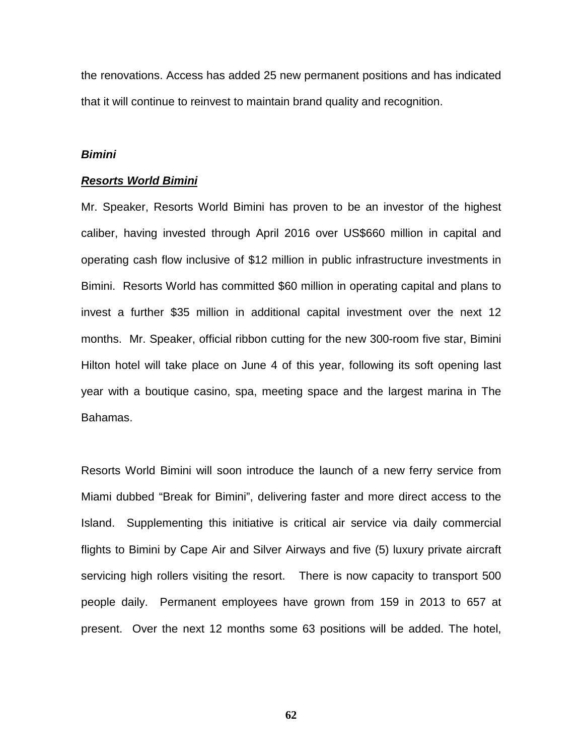the renovations. Access has added 25 new permanent positions and has indicated that it will continue to reinvest to maintain brand quality and recognition.

#### *Bimini*

#### *Resorts World Bimini*

Mr. Speaker, Resorts World Bimini has proven to be an investor of the highest caliber, having invested through April 2016 over US\$660 million in capital and operating cash flow inclusive of \$12 million in public infrastructure investments in Bimini. Resorts World has committed \$60 million in operating capital and plans to invest a further \$35 million in additional capital investment over the next 12 months. Mr. Speaker, official ribbon cutting for the new 300-room five star, Bimini Hilton hotel will take place on June 4 of this year, following its soft opening last year with a boutique casino, spa, meeting space and the largest marina in The Bahamas.

Resorts World Bimini will soon introduce the launch of a new ferry service from Miami dubbed "Break for Bimini", delivering faster and more direct access to the Island. Supplementing this initiative is critical air service via daily commercial flights to Bimini by Cape Air and Silver Airways and five (5) luxury private aircraft servicing high rollers visiting the resort. There is now capacity to transport 500 people daily. Permanent employees have grown from 159 in 2013 to 657 at present. Over the next 12 months some 63 positions will be added. The hotel,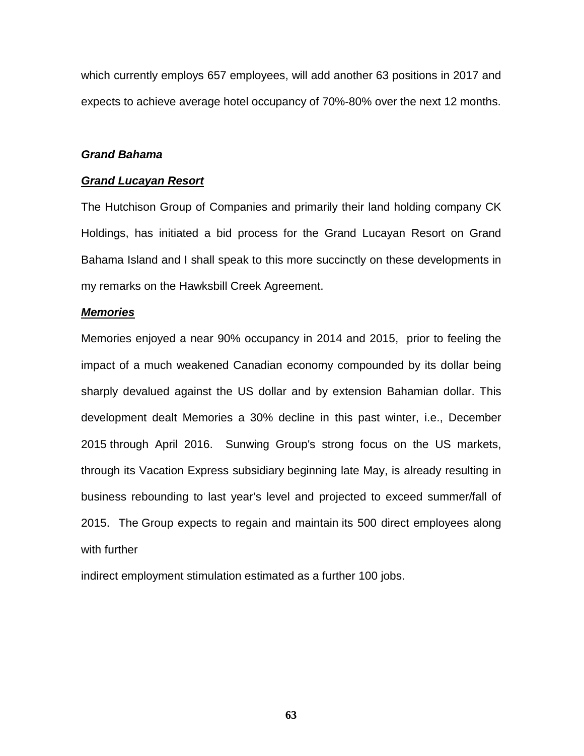which currently employs 657 employees, will add another 63 positions in 2017 and expects to achieve average hotel occupancy of 70%-80% over the next 12 months.

# *Grand Bahama*

# *Grand Lucayan Resort*

The Hutchison Group of Companies and primarily their land holding company CK Holdings, has initiated a bid process for the Grand Lucayan Resort on Grand Bahama Island and I shall speak to this more succinctly on these developments in my remarks on the Hawksbill Creek Agreement.

### *Memories*

Memories enjoyed a near 90% occupancy in 2014 and 2015, prior to feeling the impact of a much weakened Canadian economy compounded by its dollar being sharply devalued against the US dollar and by extension Bahamian dollar. This development dealt Memories a 30% decline in this past winter, i.e., December 2015 through April 2016. Sunwing Group's strong focus on the US markets, through its Vacation Express subsidiary beginning late May, is already resulting in business rebounding to last year's level and projected to exceed summer/fall of 2015. The Group expects to regain and maintain its 500 direct employees along with further

indirect employment stimulation estimated as a further 100 jobs.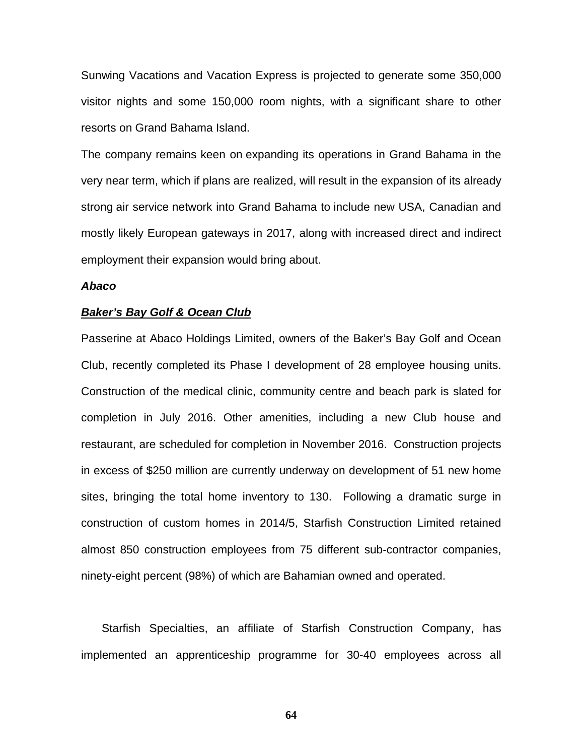Sunwing Vacations and Vacation Express is projected to generate some 350,000 visitor nights and some 150,000 room nights, with a significant share to other resorts on Grand Bahama Island.

The company remains keen on expanding its operations in Grand Bahama in the very near term, which if plans are realized, will result in the expansion of its already strong air service network into Grand Bahama to include new USA, Canadian and mostly likely European gateways in 2017, along with increased direct and indirect employment their expansion would bring about.

# *Abaco*

#### *Baker's Bay Golf & Ocean Club*

Passerine at Abaco Holdings Limited, owners of the Baker's Bay Golf and Ocean Club, recently completed its Phase I development of 28 employee housing units. Construction of the medical clinic, community centre and beach park is slated for completion in July 2016. Other amenities, including a new Club house and restaurant, are scheduled for completion in November 2016. Construction projects in excess of \$250 million are currently underway on development of 51 new home sites, bringing the total home inventory to 130. Following a dramatic surge in construction of custom homes in 2014/5, Starfish Construction Limited retained almost 850 construction employees from 75 different sub-contractor companies, ninety-eight percent (98%) of which are Bahamian owned and operated.

Starfish Specialties, an affiliate of Starfish Construction Company, has implemented an apprenticeship programme for 30-40 employees across all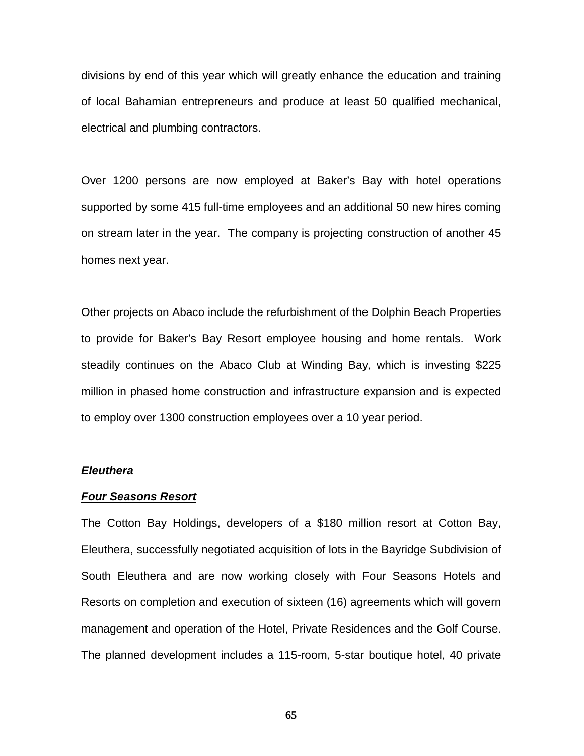divisions by end of this year which will greatly enhance the education and training of local Bahamian entrepreneurs and produce at least 50 qualified mechanical, electrical and plumbing contractors.

Over 1200 persons are now employed at Baker's Bay with hotel operations supported by some 415 full-time employees and an additional 50 new hires coming on stream later in the year. The company is projecting construction of another 45 homes next year.

Other projects on Abaco include the refurbishment of the Dolphin Beach Properties to provide for Baker's Bay Resort employee housing and home rentals. Work steadily continues on the Abaco Club at Winding Bay, which is investing \$225 million in phased home construction and infrastructure expansion and is expected to employ over 1300 construction employees over a 10 year period.

#### *Eleuthera*

# *Four Seasons Resort*

The Cotton Bay Holdings, developers of a \$180 million resort at Cotton Bay, Eleuthera, successfully negotiated acquisition of lots in the Bayridge Subdivision of South Eleuthera and are now working closely with Four Seasons Hotels and Resorts on completion and execution of sixteen (16) agreements which will govern management and operation of the Hotel, Private Residences and the Golf Course. The planned development includes a 115-room, 5-star boutique hotel, 40 private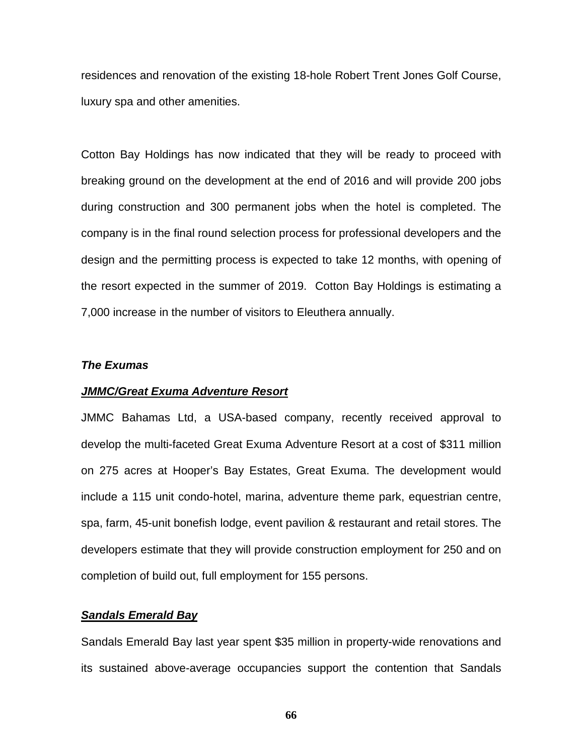residences and renovation of the existing 18-hole Robert Trent Jones Golf Course, luxury spa and other amenities.

Cotton Bay Holdings has now indicated that they will be ready to proceed with breaking ground on the development at the end of 2016 and will provide 200 jobs during construction and 300 permanent jobs when the hotel is completed. The company is in the final round selection process for professional developers and the design and the permitting process is expected to take 12 months, with opening of the resort expected in the summer of 2019. Cotton Bay Holdings is estimating a 7,000 increase in the number of visitors to Eleuthera annually.

#### *The Exumas*

#### *JMMC/Great Exuma Adventure Resort*

JMMC Bahamas Ltd, a USA-based company, recently received approval to develop the multi-faceted Great Exuma Adventure Resort at a cost of \$311 million on 275 acres at Hooper's Bay Estates, Great Exuma. The development would include a 115 unit condo-hotel, marina, adventure theme park, equestrian centre, spa, farm, 45-unit bonefish lodge, event pavilion & restaurant and retail stores. The developers estimate that they will provide construction employment for 250 and on completion of build out, full employment for 155 persons.

# *Sandals Emerald Bay*

Sandals Emerald Bay last year spent \$35 million in property-wide renovations and its sustained above-average occupancies support the contention that Sandals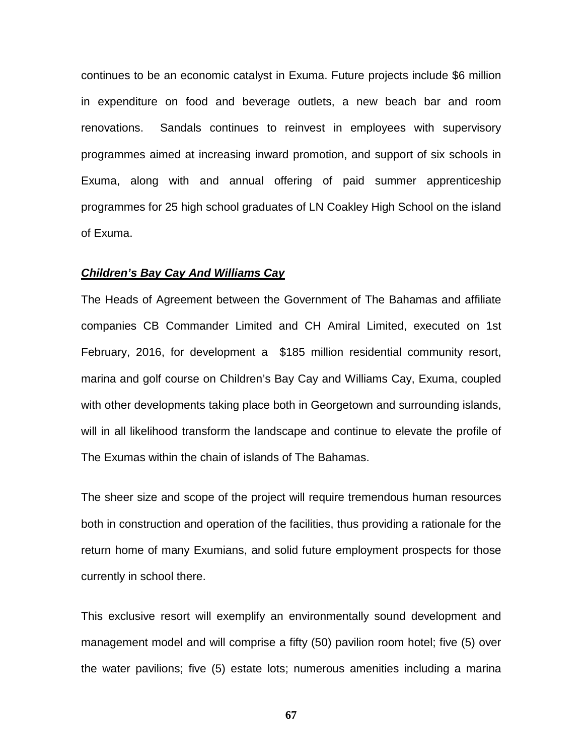continues to be an economic catalyst in Exuma. Future projects include \$6 million in expenditure on food and beverage outlets, a new beach bar and room renovations. Sandals continues to reinvest in employees with supervisory programmes aimed at increasing inward promotion, and support of six schools in Exuma, along with and annual offering of paid summer apprenticeship programmes for 25 high school graduates of LN Coakley High School on the island of Exuma.

# *Children's Bay Cay And Williams Cay*

The Heads of Agreement between the Government of The Bahamas and affiliate companies CB Commander Limited and CH Amiral Limited, executed on 1st February, 2016, for development a \$185 million residential community resort, marina and golf course on Children's Bay Cay and Williams Cay, Exuma, coupled with other developments taking place both in Georgetown and surrounding islands, will in all likelihood transform the landscape and continue to elevate the profile of The Exumas within the chain of islands of The Bahamas.

The sheer size and scope of the project will require tremendous human resources both in construction and operation of the facilities, thus providing a rationale for the return home of many Exumians, and solid future employment prospects for those currently in school there.

This exclusive resort will exemplify an environmentally sound development and management model and will comprise a fifty (50) pavilion room hotel; five (5) over the water pavilions; five (5) estate lots; numerous amenities including a marina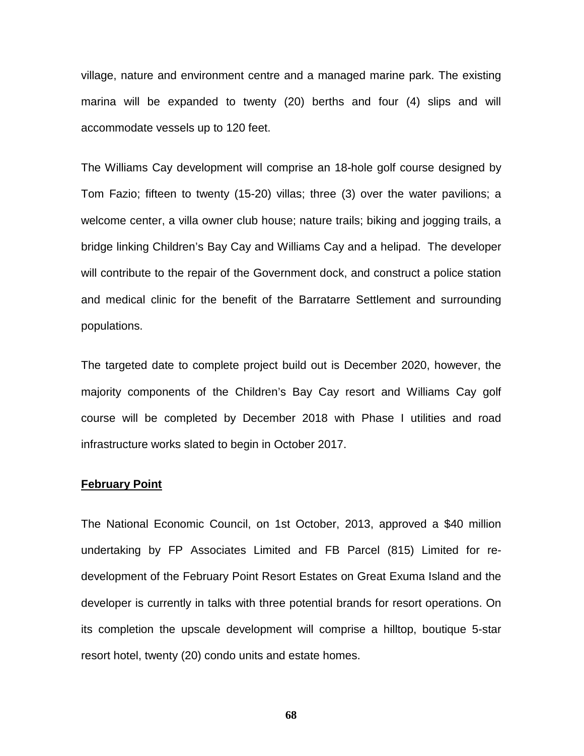village, nature and environment centre and a managed marine park. The existing marina will be expanded to twenty (20) berths and four (4) slips and will accommodate vessels up to 120 feet.

The Williams Cay development will comprise an 18-hole golf course designed by Tom Fazio; fifteen to twenty (15-20) villas; three (3) over the water pavilions; a welcome center, a villa owner club house; nature trails; biking and jogging trails, a bridge linking Children's Bay Cay and Williams Cay and a helipad. The developer will contribute to the repair of the Government dock, and construct a police station and medical clinic for the benefit of the Barratarre Settlement and surrounding populations.

The targeted date to complete project build out is December 2020, however, the majority components of the Children's Bay Cay resort and Williams Cay golf course will be completed by December 2018 with Phase I utilities and road infrastructure works slated to begin in October 2017.

# **February Point**

The National Economic Council, on 1st October, 2013, approved a \$40 million undertaking by FP Associates Limited and FB Parcel (815) Limited for redevelopment of the February Point Resort Estates on Great Exuma Island and the developer is currently in talks with three potential brands for resort operations. On its completion the upscale development will comprise a hilltop, boutique 5-star resort hotel, twenty (20) condo units and estate homes.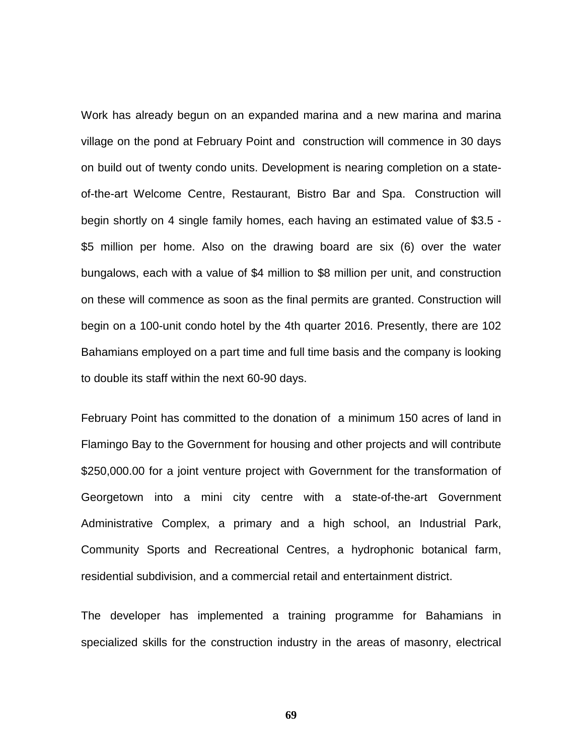Work has already begun on an expanded marina and a new marina and marina village on the pond at February Point and construction will commence in 30 days on build out of twenty condo units. Development is nearing completion on a stateof-the-art Welcome Centre, Restaurant, Bistro Bar and Spa. Construction will begin shortly on 4 single family homes, each having an estimated value of \$3.5 - \$5 million per home. Also on the drawing board are six (6) over the water bungalows, each with a value of \$4 million to \$8 million per unit, and construction on these will commence as soon as the final permits are granted. Construction will begin on a 100-unit condo hotel by the 4th quarter 2016. Presently, there are 102 Bahamians employed on a part time and full time basis and the company is looking to double its staff within the next 60-90 days.

February Point has committed to the donation of a minimum 150 acres of land in Flamingo Bay to the Government for housing and other projects and will contribute \$250,000.00 for a joint venture project with Government for the transformation of Georgetown into a mini city centre with a state-of-the-art Government Administrative Complex, a primary and a high school, an Industrial Park, Community Sports and Recreational Centres, a hydrophonic botanical farm, residential subdivision, and a commercial retail and entertainment district.

The developer has implemented a training programme for Bahamians in specialized skills for the construction industry in the areas of masonry, electrical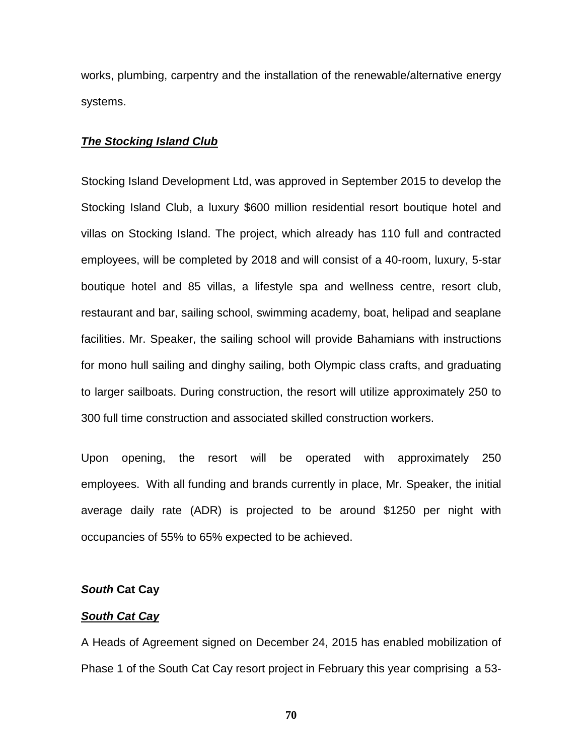works, plumbing, carpentry and the installation of the renewable/alternative energy systems.

# *The Stocking Island Club*

Stocking Island Development Ltd, was approved in September 2015 to develop the Stocking Island Club, a luxury \$600 million residential resort boutique hotel and villas on Stocking Island. The project, which already has 110 full and contracted employees, will be completed by 2018 and will consist of a 40-room, luxury, 5-star boutique hotel and 85 villas, a lifestyle spa and wellness centre, resort club, restaurant and bar, sailing school, swimming academy, boat, helipad and seaplane facilities. Mr. Speaker, the sailing school will provide Bahamians with instructions for mono hull sailing and dinghy sailing, both Olympic class crafts, and graduating to larger sailboats. During construction, the resort will utilize approximately 250 to 300 full time construction and associated skilled construction workers.

Upon opening, the resort will be operated with approximately 250 employees. With all funding and brands currently in place, Mr. Speaker, the initial average daily rate (ADR) is projected to be around \$1250 per night with occupancies of 55% to 65% expected to be achieved.

# *South* **Cat Cay**

# *South Cat Cay*

A Heads of Agreement signed on December 24, 2015 has enabled mobilization of Phase 1 of the South Cat Cay resort project in February this year comprising a 53-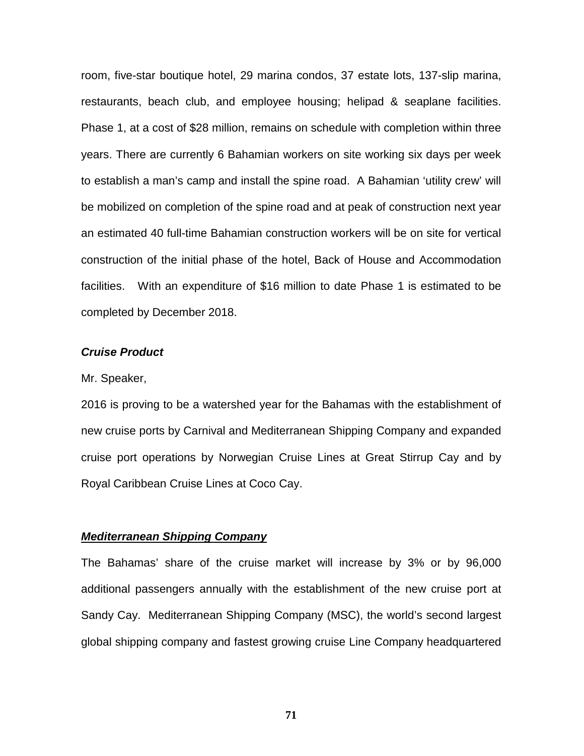room, five-star boutique hotel, 29 marina condos, 37 estate lots, 137-slip marina, restaurants, beach club, and employee housing; helipad & seaplane facilities. Phase 1, at a cost of \$28 million, remains on schedule with completion within three years. There are currently 6 Bahamian workers on site working six days per week to establish a man's camp and install the spine road. A Bahamian 'utility crew' will be mobilized on completion of the spine road and at peak of construction next year an estimated 40 full-time Bahamian construction workers will be on site for vertical construction of the initial phase of the hotel, Back of House and Accommodation facilities. With an expenditure of \$16 million to date Phase 1 is estimated to be completed by December 2018.

# *Cruise Product*

# Mr. Speaker,

2016 is proving to be a watershed year for the Bahamas with the establishment of new cruise ports by Carnival and Mediterranean Shipping Company and expanded cruise port operations by Norwegian Cruise Lines at Great Stirrup Cay and by Royal Caribbean Cruise Lines at Coco Cay.

#### *Mediterranean Shipping Company*

The Bahamas' share of the cruise market will increase by 3% or by 96,000 additional passengers annually with the establishment of the new cruise port at Sandy Cay. Mediterranean Shipping Company (MSC), the world's second largest global shipping company and fastest growing cruise Line Company headquartered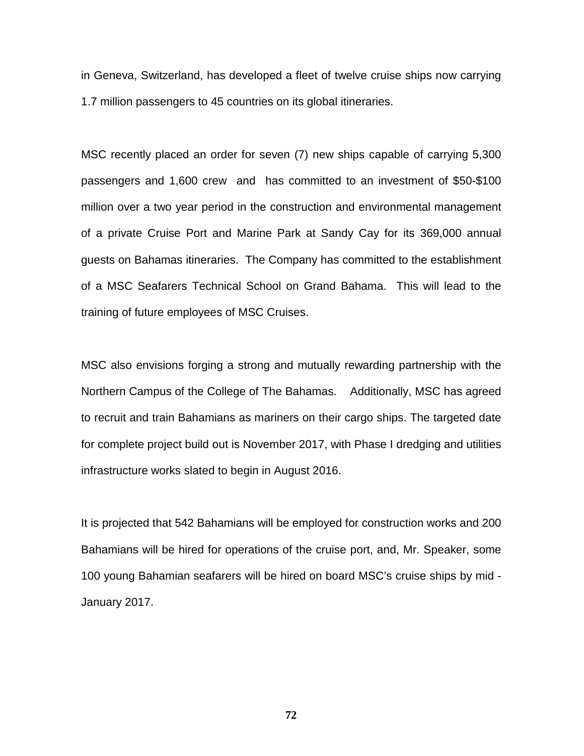in Geneva, Switzerland, has developed a fleet of twelve cruise ships now carrying 1.7 million passengers to 45 countries on its global itineraries.

MSC recently placed an order for seven (7) new ships capable of carrying 5,300 passengers and 1,600 crew and has committed to an investment of \$50-\$100 million over a two year period in the construction and environmental management of a private Cruise Port and Marine Park at Sandy Cay for its 369,000 annual guests on Bahamas itineraries. The Company has committed to the establishment of a MSC Seafarers Technical School on Grand Bahama. This will lead to the training of future employees of MSC Cruises.

MSC also envisions forging a strong and mutually rewarding partnership with the Northern Campus of the College of The Bahamas. Additionally, MSC has agreed to recruit and train Bahamians as mariners on their cargo ships. The targeted date for complete project build out is November 2017, with Phase I dredging and utilities infrastructure works slated to begin in August 2016.

It is projected that 542 Bahamians will be employed for construction works and 200 Bahamians will be hired for operations of the cruise port, and, Mr. Speaker, some 100 young Bahamian seafarers will be hired on board MSC's cruise ships by mid - January 2017.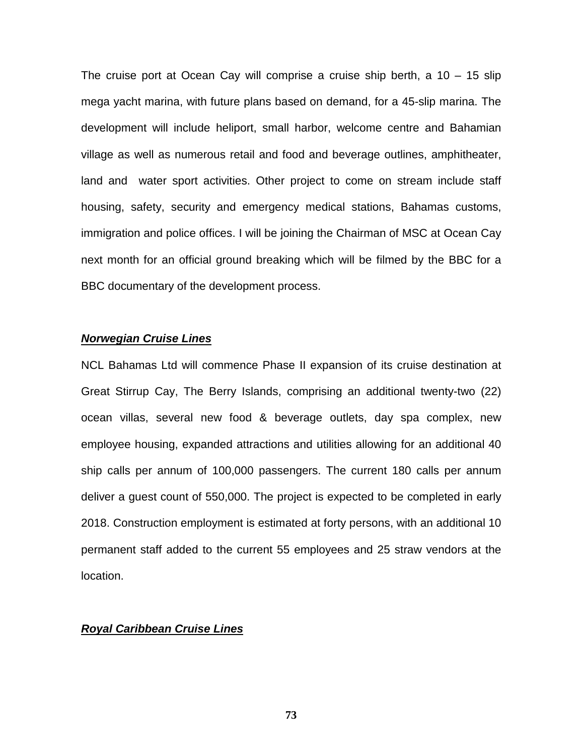The cruise port at Ocean Cay will comprise a cruise ship berth, a 10 – 15 slip mega yacht marina, with future plans based on demand, for a 45-slip marina. The development will include heliport, small harbor, welcome centre and Bahamian village as well as numerous retail and food and beverage outlines, amphitheater, land and water sport activities. Other project to come on stream include staff housing, safety, security and emergency medical stations, Bahamas customs, immigration and police offices. I will be joining the Chairman of MSC at Ocean Cay next month for an official ground breaking which will be filmed by the BBC for a BBC documentary of the development process.

### *Norwegian Cruise Lines*

NCL Bahamas Ltd will commence Phase II expansion of its cruise destination at Great Stirrup Cay, The Berry Islands, comprising an additional twenty-two (22) ocean villas, several new food & beverage outlets, day spa complex, new employee housing, expanded attractions and utilities allowing for an additional 40 ship calls per annum of 100,000 passengers. The current 180 calls per annum deliver a guest count of 550,000. The project is expected to be completed in early 2018. Construction employment is estimated at forty persons, with an additional 10 permanent staff added to the current 55 employees and 25 straw vendors at the location.

### *Royal Caribbean Cruise Lines*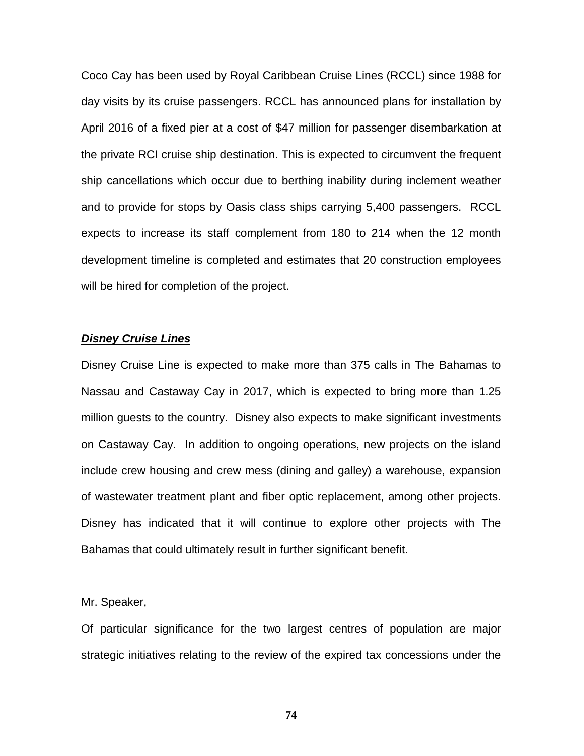Coco Cay has been used by Royal Caribbean Cruise Lines (RCCL) since 1988 for day visits by its cruise passengers. RCCL has announced plans for installation by April 2016 of a fixed pier at a cost of \$47 million for passenger disembarkation at the private RCI cruise ship destination. This is expected to circumvent the frequent ship cancellations which occur due to berthing inability during inclement weather and to provide for stops by Oasis class ships carrying 5,400 passengers. RCCL expects to increase its staff complement from 180 to 214 when the 12 month development timeline is completed and estimates that 20 construction employees will be hired for completion of the project.

### *Disney Cruise Lines*

Disney Cruise Line is expected to make more than 375 calls in The Bahamas to Nassau and Castaway Cay in 2017, which is expected to bring more than 1.25 million guests to the country. Disney also expects to make significant investments on Castaway Cay. In addition to ongoing operations, new projects on the island include crew housing and crew mess (dining and galley) a warehouse, expansion of wastewater treatment plant and fiber optic replacement, among other projects. Disney has indicated that it will continue to explore other projects with The Bahamas that could ultimately result in further significant benefit.

Mr. Speaker,

Of particular significance for the two largest centres of population are major strategic initiatives relating to the review of the expired tax concessions under the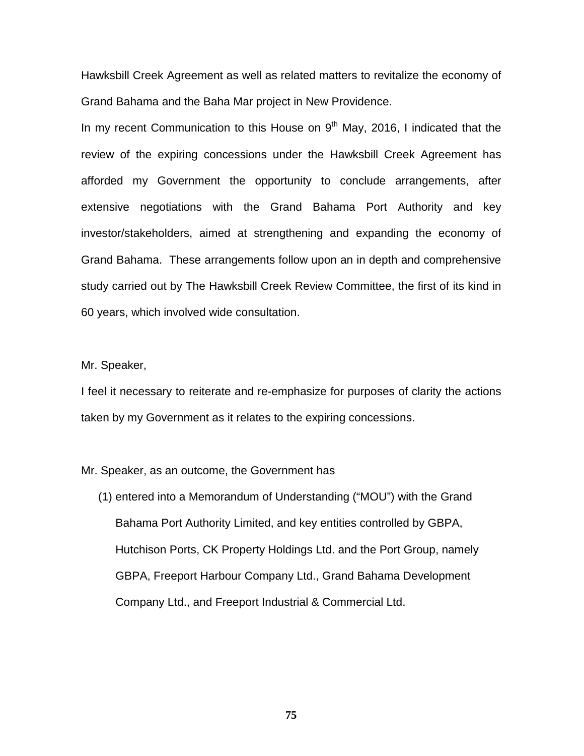Hawksbill Creek Agreement as well as related matters to revitalize the economy of Grand Bahama and the Baha Mar project in New Providence.

In my recent Communication to this House on  $9<sup>th</sup>$  May, 2016, I indicated that the review of the expiring concessions under the Hawksbill Creek Agreement has afforded my Government the opportunity to conclude arrangements, after extensive negotiations with the Grand Bahama Port Authority and key investor/stakeholders, aimed at strengthening and expanding the economy of Grand Bahama. These arrangements follow upon an in depth and comprehensive study carried out by The Hawksbill Creek Review Committee, the first of its kind in 60 years, which involved wide consultation.

Mr. Speaker,

I feel it necessary to reiterate and re-emphasize for purposes of clarity the actions taken by my Government as it relates to the expiring concessions.

Mr. Speaker, as an outcome, the Government has

(1) entered into a Memorandum of Understanding ("MOU") with the Grand Bahama Port Authority Limited, and key entities controlled by GBPA, Hutchison Ports, CK Property Holdings Ltd. and the Port Group, namely GBPA, Freeport Harbour Company Ltd., Grand Bahama Development Company Ltd., and Freeport Industrial & Commercial Ltd.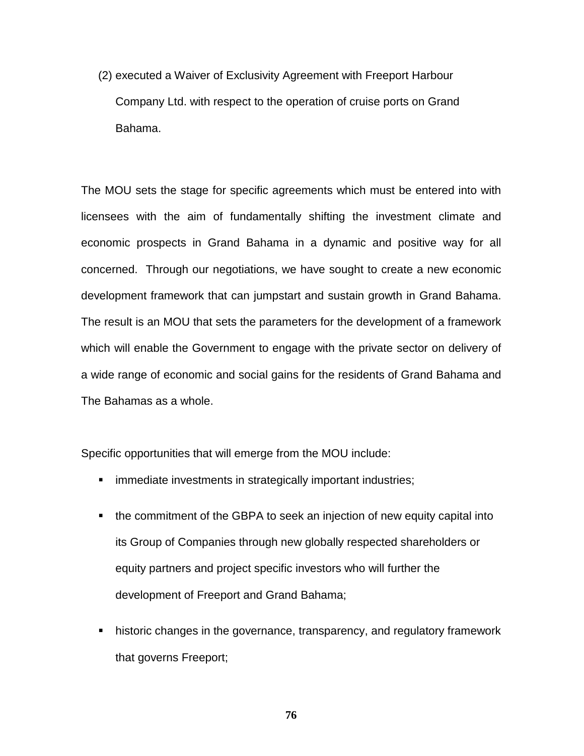(2) executed a Waiver of Exclusivity Agreement with Freeport Harbour Company Ltd. with respect to the operation of cruise ports on Grand Bahama.

The MOU sets the stage for specific agreements which must be entered into with licensees with the aim of fundamentally shifting the investment climate and economic prospects in Grand Bahama in a dynamic and positive way for all concerned. Through our negotiations, we have sought to create a new economic development framework that can jumpstart and sustain growth in Grand Bahama. The result is an MOU that sets the parameters for the development of a framework which will enable the Government to engage with the private sector on delivery of a wide range of economic and social gains for the residents of Grand Bahama and The Bahamas as a whole.

Specific opportunities that will emerge from the MOU include:

- **F** immediate investments in strategically important industries;
- the commitment of the GBPA to seek an injection of new equity capital into its Group of Companies through new globally respected shareholders or equity partners and project specific investors who will further the development of Freeport and Grand Bahama;
- historic changes in the governance, transparency, and regulatory framework that governs Freeport;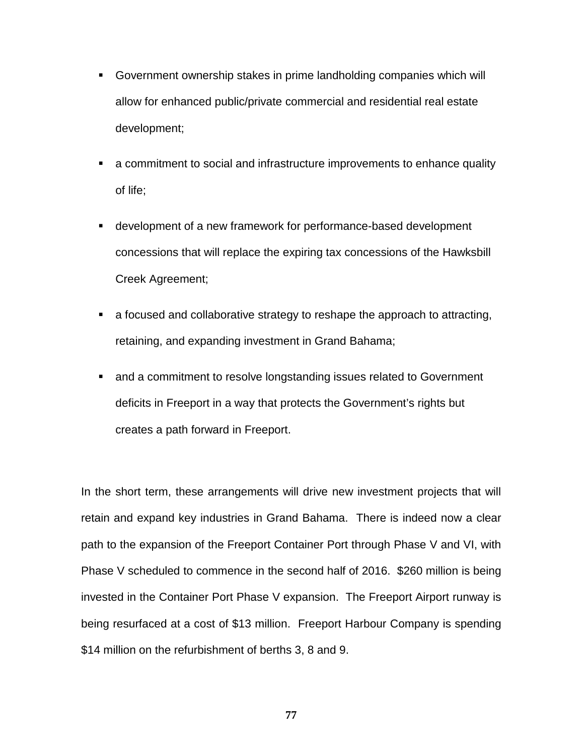- Government ownership stakes in prime landholding companies which will allow for enhanced public/private commercial and residential real estate development;
- a commitment to social and infrastructure improvements to enhance quality of life;
- development of a new framework for performance-based development concessions that will replace the expiring tax concessions of the Hawksbill Creek Agreement;
- a focused and collaborative strategy to reshape the approach to attracting, retaining, and expanding investment in Grand Bahama;
- and a commitment to resolve longstanding issues related to Government deficits in Freeport in a way that protects the Government's rights but creates a path forward in Freeport.

In the short term, these arrangements will drive new investment projects that will retain and expand key industries in Grand Bahama. There is indeed now a clear path to the expansion of the Freeport Container Port through Phase V and VI, with Phase V scheduled to commence in the second half of 2016. \$260 million is being invested in the Container Port Phase V expansion. The Freeport Airport runway is being resurfaced at a cost of \$13 million. Freeport Harbour Company is spending \$14 million on the refurbishment of berths 3, 8 and 9.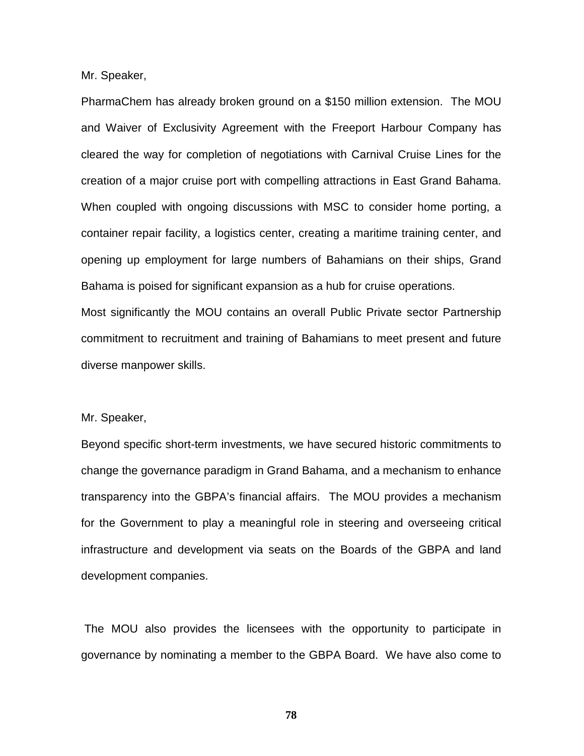Mr. Speaker,

PharmaChem has already broken ground on a \$150 million extension. The MOU and Waiver of Exclusivity Agreement with the Freeport Harbour Company has cleared the way for completion of negotiations with Carnival Cruise Lines for the creation of a major cruise port with compelling attractions in East Grand Bahama. When coupled with ongoing discussions with MSC to consider home porting, a container repair facility, a logistics center, creating a maritime training center, and opening up employment for large numbers of Bahamians on their ships, Grand Bahama is poised for significant expansion as a hub for cruise operations.

Most significantly the MOU contains an overall Public Private sector Partnership commitment to recruitment and training of Bahamians to meet present and future diverse manpower skills.

### Mr. Speaker,

Beyond specific short-term investments, we have secured historic commitments to change the governance paradigm in Grand Bahama, and a mechanism to enhance transparency into the GBPA's financial affairs. The MOU provides a mechanism for the Government to play a meaningful role in steering and overseeing critical infrastructure and development via seats on the Boards of the GBPA and land development companies.

The MOU also provides the licensees with the opportunity to participate in governance by nominating a member to the GBPA Board. We have also come to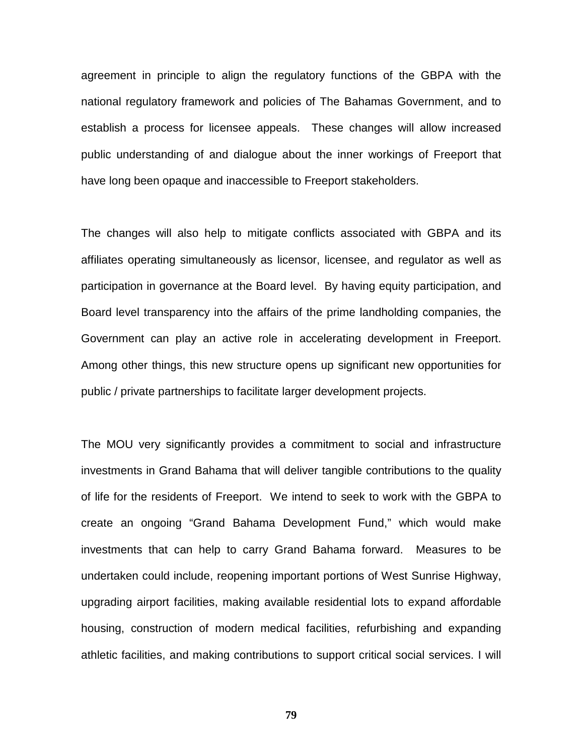agreement in principle to align the regulatory functions of the GBPA with the national regulatory framework and policies of The Bahamas Government, and to establish a process for licensee appeals. These changes will allow increased public understanding of and dialogue about the inner workings of Freeport that have long been opaque and inaccessible to Freeport stakeholders.

The changes will also help to mitigate conflicts associated with GBPA and its affiliates operating simultaneously as licensor, licensee, and regulator as well as participation in governance at the Board level. By having equity participation, and Board level transparency into the affairs of the prime landholding companies, the Government can play an active role in accelerating development in Freeport. Among other things, this new structure opens up significant new opportunities for public / private partnerships to facilitate larger development projects.

The MOU very significantly provides a commitment to social and infrastructure investments in Grand Bahama that will deliver tangible contributions to the quality of life for the residents of Freeport. We intend to seek to work with the GBPA to create an ongoing "Grand Bahama Development Fund," which would make investments that can help to carry Grand Bahama forward. Measures to be undertaken could include, reopening important portions of West Sunrise Highway, upgrading airport facilities, making available residential lots to expand affordable housing, construction of modern medical facilities, refurbishing and expanding athletic facilities, and making contributions to support critical social services. I will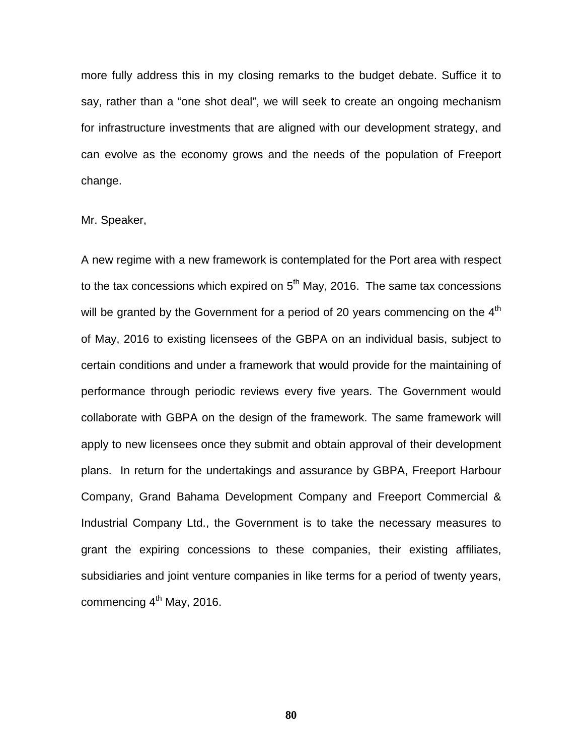more fully address this in my closing remarks to the budget debate. Suffice it to say, rather than a "one shot deal", we will seek to create an ongoing mechanism for infrastructure investments that are aligned with our development strategy, and can evolve as the economy grows and the needs of the population of Freeport change.

Mr. Speaker,

A new regime with a new framework is contemplated for the Port area with respect to the tax concessions which expired on  $5<sup>th</sup>$  May, 2016. The same tax concessions will be granted by the Government for a period of 20 years commencing on the  $4<sup>th</sup>$ of May, 2016 to existing licensees of the GBPA on an individual basis, subject to certain conditions and under a framework that would provide for the maintaining of performance through periodic reviews every five years. The Government would collaborate with GBPA on the design of the framework. The same framework will apply to new licensees once they submit and obtain approval of their development plans. In return for the undertakings and assurance by GBPA, Freeport Harbour Company, Grand Bahama Development Company and Freeport Commercial & Industrial Company Ltd., the Government is to take the necessary measures to grant the expiring concessions to these companies, their existing affiliates, subsidiaries and joint venture companies in like terms for a period of twenty years, commencing 4<sup>th</sup> May, 2016.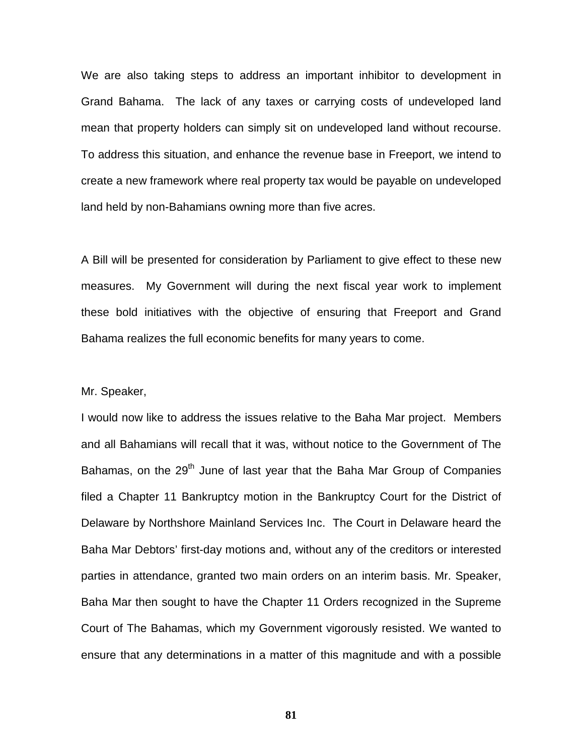We are also taking steps to address an important inhibitor to development in Grand Bahama. The lack of any taxes or carrying costs of undeveloped land mean that property holders can simply sit on undeveloped land without recourse. To address this situation, and enhance the revenue base in Freeport, we intend to create a new framework where real property tax would be payable on undeveloped land held by non-Bahamians owning more than five acres.

A Bill will be presented for consideration by Parliament to give effect to these new measures. My Government will during the next fiscal year work to implement these bold initiatives with the objective of ensuring that Freeport and Grand Bahama realizes the full economic benefits for many years to come.

### Mr. Speaker,

I would now like to address the issues relative to the Baha Mar project. Members and all Bahamians will recall that it was, without notice to the Government of The Bahamas, on the 29<sup>th</sup> June of last year that the Baha Mar Group of Companies filed a Chapter 11 Bankruptcy motion in the Bankruptcy Court for the District of Delaware by Northshore Mainland Services Inc. The Court in Delaware heard the Baha Mar Debtors' first-day motions and, without any of the creditors or interested parties in attendance, granted two main orders on an interim basis. Mr. Speaker, Baha Mar then sought to have the Chapter 11 Orders recognized in the Supreme Court of The Bahamas, which my Government vigorously resisted. We wanted to ensure that any determinations in a matter of this magnitude and with a possible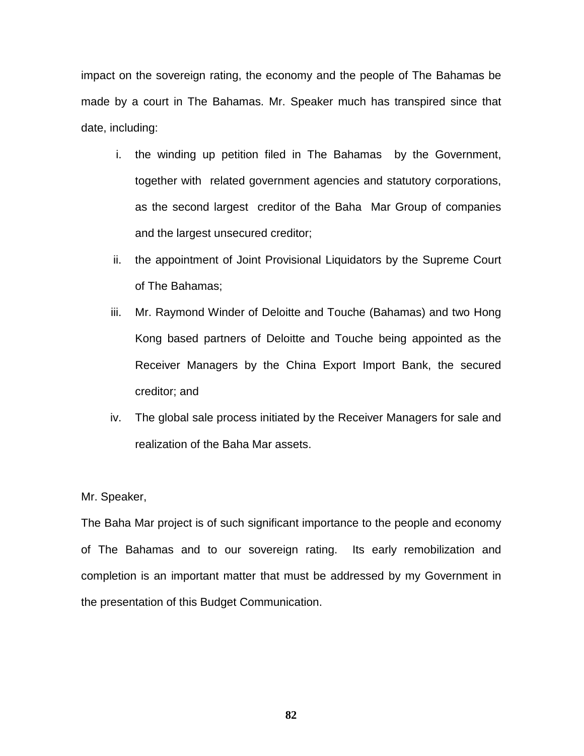impact on the sovereign rating, the economy and the people of The Bahamas be made by a court in The Bahamas. Mr. Speaker much has transpired since that date, including:

- i. the winding up petition filed in The Bahamas by the Government, together with related government agencies and statutory corporations, as the second largest creditor of the Baha Mar Group of companies and the largest unsecured creditor;
- ii. the appointment of Joint Provisional Liquidators by the Supreme Court of The Bahamas;
- iii. Mr. Raymond Winder of Deloitte and Touche (Bahamas) and two Hong Kong based partners of Deloitte and Touche being appointed as the Receiver Managers by the China Export Import Bank, the secured creditor; and
- iv. The global sale process initiated by the Receiver Managers for sale and realization of the Baha Mar assets.

### Mr. Speaker,

The Baha Mar project is of such significant importance to the people and economy of The Bahamas and to our sovereign rating. Its early remobilization and completion is an important matter that must be addressed by my Government in the presentation of this Budget Communication.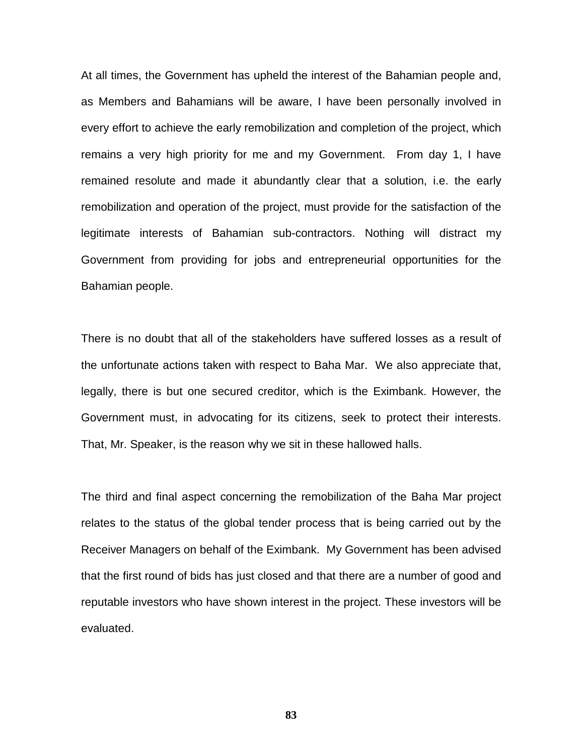At all times, the Government has upheld the interest of the Bahamian people and, as Members and Bahamians will be aware, I have been personally involved in every effort to achieve the early remobilization and completion of the project, which remains a very high priority for me and my Government. From day 1, I have remained resolute and made it abundantly clear that a solution, i.e. the early remobilization and operation of the project, must provide for the satisfaction of the legitimate interests of Bahamian sub-contractors. Nothing will distract my Government from providing for jobs and entrepreneurial opportunities for the Bahamian people.

There is no doubt that all of the stakeholders have suffered losses as a result of the unfortunate actions taken with respect to Baha Mar. We also appreciate that, legally, there is but one secured creditor, which is the Eximbank. However, the Government must, in advocating for its citizens, seek to protect their interests. That, Mr. Speaker, is the reason why we sit in these hallowed halls.

The third and final aspect concerning the remobilization of the Baha Mar project relates to the status of the global tender process that is being carried out by the Receiver Managers on behalf of the Eximbank. My Government has been advised that the first round of bids has just closed and that there are a number of good and reputable investors who have shown interest in the project. These investors will be evaluated.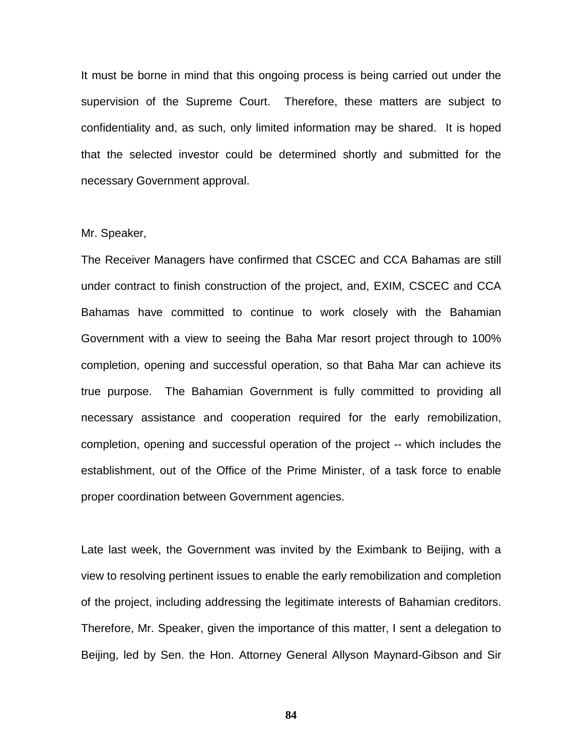It must be borne in mind that this ongoing process is being carried out under the supervision of the Supreme Court. Therefore, these matters are subject to confidentiality and, as such, only limited information may be shared. It is hoped that the selected investor could be determined shortly and submitted for the necessary Government approval.

### Mr. Speaker,

The Receiver Managers have confirmed that CSCEC and CCA Bahamas are still under contract to finish construction of the project, and, EXIM, CSCEC and CCA Bahamas have committed to continue to work closely with the Bahamian Government with a view to seeing the Baha Mar resort project through to 100% completion, opening and successful operation, so that Baha Mar can achieve its true purpose. The Bahamian Government is fully committed to providing all necessary assistance and cooperation required for the early remobilization, completion, opening and successful operation of the project -- which includes the establishment, out of the Office of the Prime Minister, of a task force to enable proper coordination between Government agencies.

Late last week, the Government was invited by the Eximbank to Beijing, with a view to resolving pertinent issues to enable the early remobilization and completion of the project, including addressing the legitimate interests of Bahamian creditors. Therefore, Mr. Speaker, given the importance of this matter, I sent a delegation to Beijing, led by Sen. the Hon. Attorney General Allyson Maynard-Gibson and Sir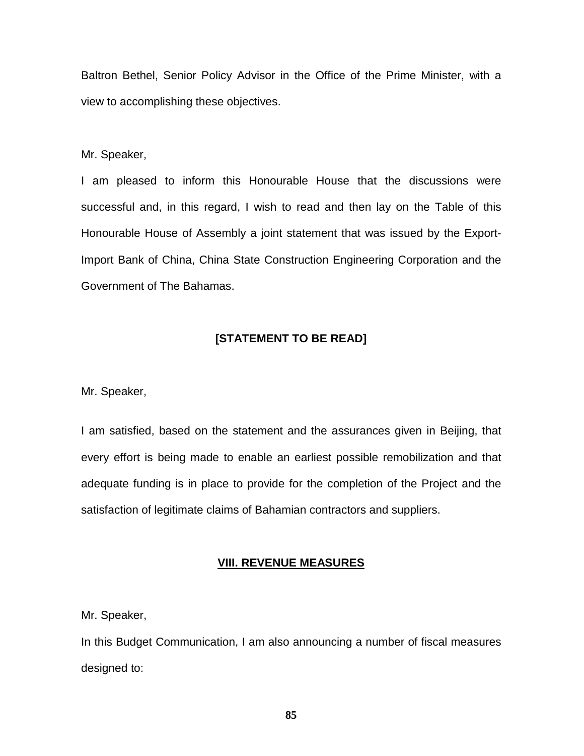Baltron Bethel, Senior Policy Advisor in the Office of the Prime Minister, with a view to accomplishing these objectives.

Mr. Speaker,

I am pleased to inform this Honourable House that the discussions were successful and, in this regard, I wish to read and then lay on the Table of this Honourable House of Assembly a joint statement that was issued by the Export-Import Bank of China, China State Construction Engineering Corporation and the Government of The Bahamas.

## **[STATEMENT TO BE READ]**

Mr. Speaker,

I am satisfied, based on the statement and the assurances given in Beijing, that every effort is being made to enable an earliest possible remobilization and that adequate funding is in place to provide for the completion of the Project and the satisfaction of legitimate claims of Bahamian contractors and suppliers.

## **VIII. REVENUE MEASURES**

Mr. Speaker,

In this Budget Communication, I am also announcing a number of fiscal measures designed to: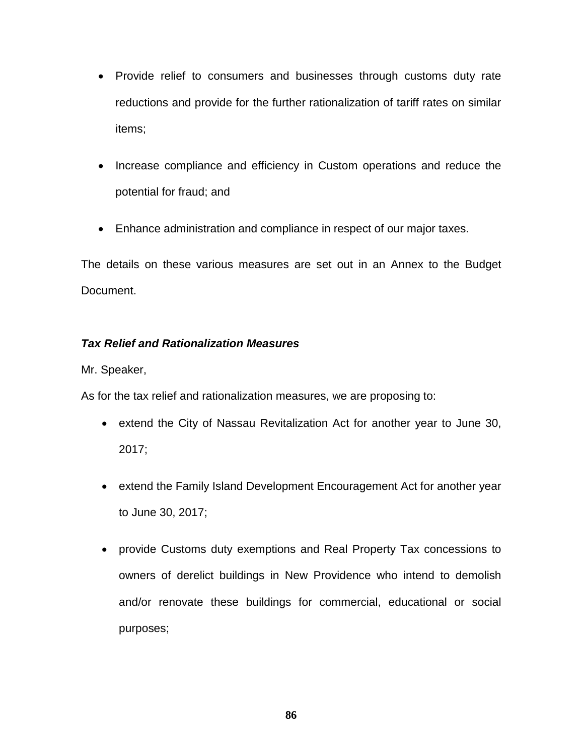- Provide relief to consumers and businesses through customs duty rate reductions and provide for the further rationalization of tariff rates on similar items;
- Increase compliance and efficiency in Custom operations and reduce the potential for fraud; and
- Enhance administration and compliance in respect of our major taxes.

The details on these various measures are set out in an Annex to the Budget Document.

# *Tax Relief and Rationalization Measures*

Mr. Speaker,

As for the tax relief and rationalization measures, we are proposing to:

- extend the City of Nassau Revitalization Act for another year to June 30, 2017;
- extend the Family Island Development Encouragement Act for another year to June 30, 2017;
- provide Customs duty exemptions and Real Property Tax concessions to owners of derelict buildings in New Providence who intend to demolish and/or renovate these buildings for commercial, educational or social purposes;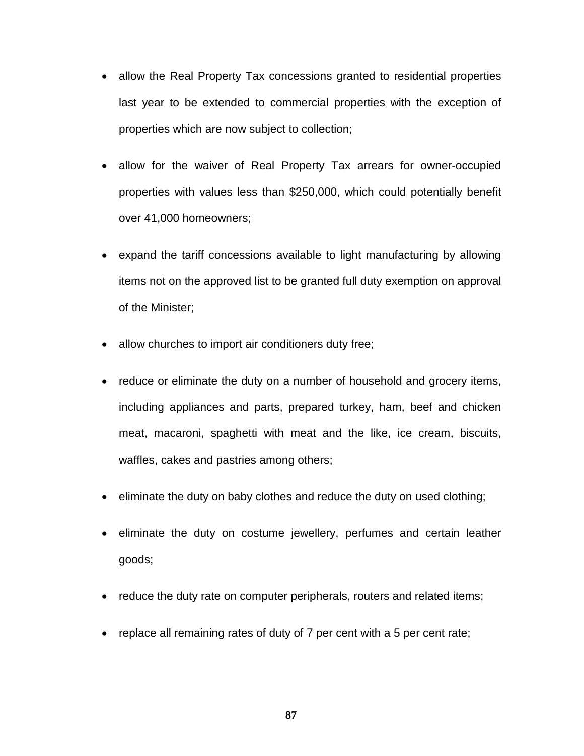- allow the Real Property Tax concessions granted to residential properties last year to be extended to commercial properties with the exception of properties which are now subject to collection;
- allow for the waiver of Real Property Tax arrears for owner-occupied properties with values less than \$250,000, which could potentially benefit over 41,000 homeowners;
- expand the tariff concessions available to light manufacturing by allowing items not on the approved list to be granted full duty exemption on approval of the Minister;
- allow churches to import air conditioners duty free;
- reduce or eliminate the duty on a number of household and grocery items, including appliances and parts, prepared turkey, ham, beef and chicken meat, macaroni, spaghetti with meat and the like, ice cream, biscuits, waffles, cakes and pastries among others;
- eliminate the duty on baby clothes and reduce the duty on used clothing;
- eliminate the duty on costume jewellery, perfumes and certain leather goods;
- reduce the duty rate on computer peripherals, routers and related items;
- replace all remaining rates of duty of 7 per cent with a 5 per cent rate;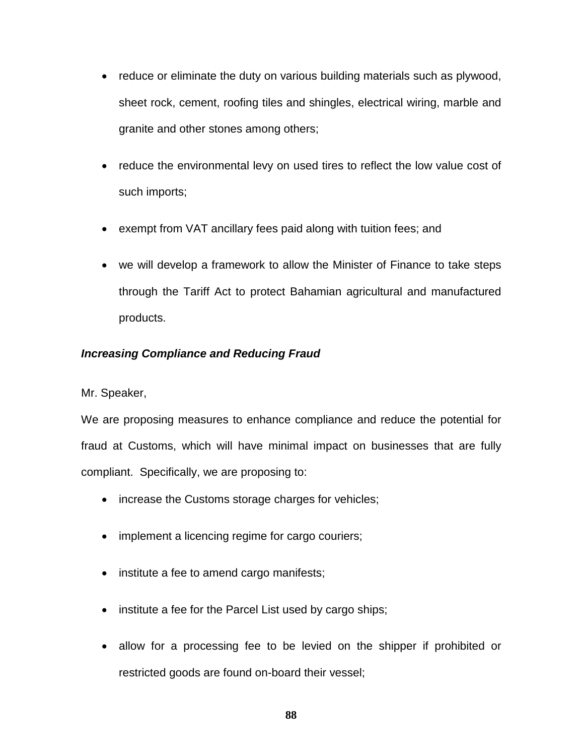- reduce or eliminate the duty on various building materials such as plywood, sheet rock, cement, roofing tiles and shingles, electrical wiring, marble and granite and other stones among others;
- reduce the environmental levy on used tires to reflect the low value cost of such imports;
- exempt from VAT ancillary fees paid along with tuition fees; and
- we will develop a framework to allow the Minister of Finance to take steps through the Tariff Act to protect Bahamian agricultural and manufactured products.

# *Increasing Compliance and Reducing Fraud*

Mr. Speaker,

We are proposing measures to enhance compliance and reduce the potential for fraud at Customs, which will have minimal impact on businesses that are fully compliant. Specifically, we are proposing to:

- increase the Customs storage charges for vehicles;
- implement a licencing regime for cargo couriers;
- institute a fee to amend cargo manifests;
- institute a fee for the Parcel List used by cargo ships;
- allow for a processing fee to be levied on the shipper if prohibited or restricted goods are found on-board their vessel;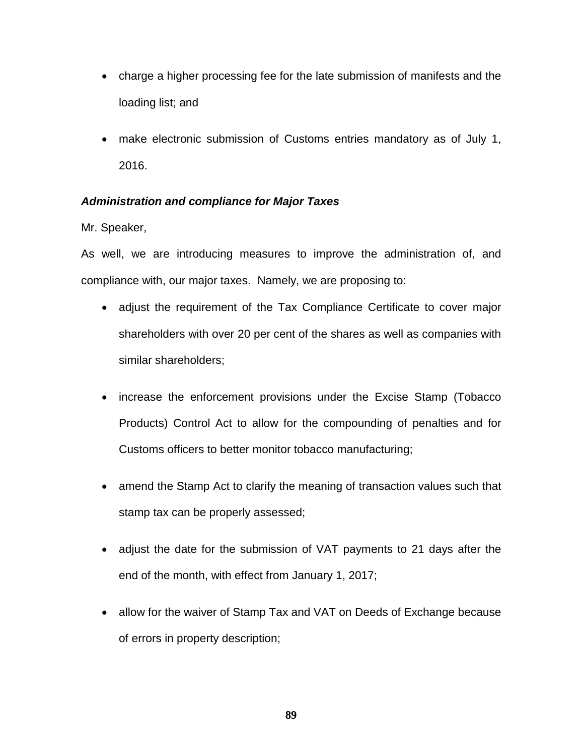- charge a higher processing fee for the late submission of manifests and the loading list; and
- make electronic submission of Customs entries mandatory as of July 1, 2016.

# *Administration and compliance for Major Taxes*

Mr. Speaker,

As well, we are introducing measures to improve the administration of, and compliance with, our major taxes. Namely, we are proposing to:

- adjust the requirement of the Tax Compliance Certificate to cover major shareholders with over 20 per cent of the shares as well as companies with similar shareholders;
- increase the enforcement provisions under the Excise Stamp (Tobacco Products) Control Act to allow for the compounding of penalties and for Customs officers to better monitor tobacco manufacturing;
- amend the Stamp Act to clarify the meaning of transaction values such that stamp tax can be properly assessed;
- adjust the date for the submission of VAT payments to 21 days after the end of the month, with effect from January 1, 2017;
- allow for the waiver of Stamp Tax and VAT on Deeds of Exchange because of errors in property description;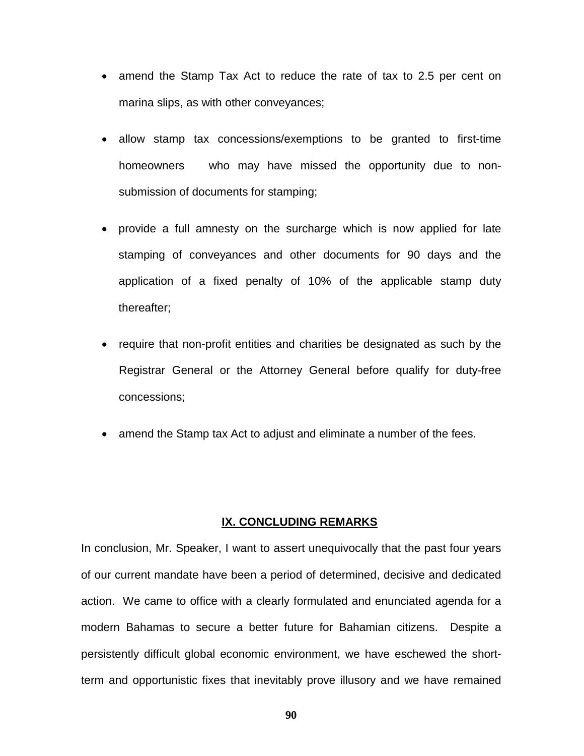- amend the Stamp Tax Act to reduce the rate of tax to 2.5 per cent on marina slips, as with other conveyances;
- allow stamp tax concessions/exemptions to be granted to first-time homeowners who may have missed the opportunity due to nonsubmission of documents for stamping;
- provide a full amnesty on the surcharge which is now applied for late stamping of conveyances and other documents for 90 days and the application of a fixed penalty of 10% of the applicable stamp duty thereafter;
- require that non-profit entities and charities be designated as such by the Registrar General or the Attorney General before qualify for duty-free concessions;
- amend the Stamp tax Act to adjust and eliminate a number of the fees.

### **IX. CONCLUDING REMARKS**

In conclusion, Mr. Speaker, I want to assert unequivocally that the past four years of our current mandate have been a period of determined, decisive and dedicated action. We came to office with a clearly formulated and enunciated agenda for a modern Bahamas to secure a better future for Bahamian citizens. Despite a persistently difficult global economic environment, we have eschewed the shortterm and opportunistic fixes that inevitably prove illusory and we have remained